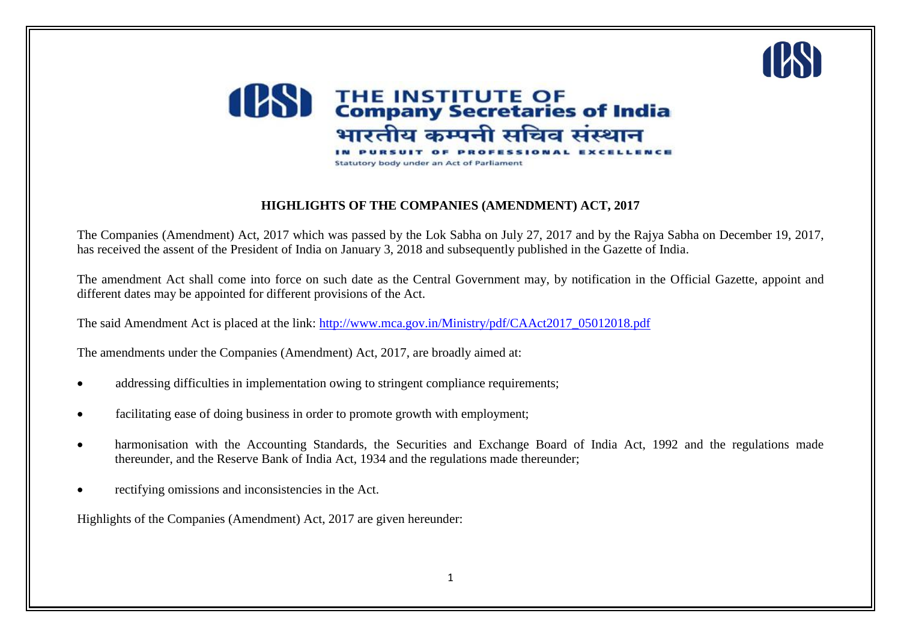



#### **HIGHLIGHTS OF THE COMPANIES (AMENDMENT) ACT, 2017**

The Companies (Amendment) Act, 2017 which was passed by the Lok Sabha on July 27, 2017 and by the Rajya Sabha on December 19, 2017, has received the assent of the President of India on January 3, 2018 and subsequently published in the Gazette of India.

The amendment Act shall come into force on such date as the Central Government may, by notification in the Official Gazette, appoint and different dates may be appointed for different provisions of the Act.

The said Amendment Act is placed at the link: [http://www.mca.gov.in/Ministry/pdf/CAAct2017\\_05012018.pdf](http://www.mca.gov.in/Ministry/pdf/CAAct2017_05012018.pdf)

The amendments under the Companies (Amendment) Act, 2017, are broadly aimed at:

- addressing difficulties in implementation owing to stringent compliance requirements;
- facilitating ease of doing business in order to promote growth with employment;
- harmonisation with the Accounting Standards, the Securities and Exchange Board of India Act, 1992 and the regulations made thereunder, and the Reserve Bank of India Act, 1934 and the regulations made thereunder;
- rectifying omissions and inconsistencies in the Act.

Highlights of the Companies (Amendment) Act, 2017 are given hereunder: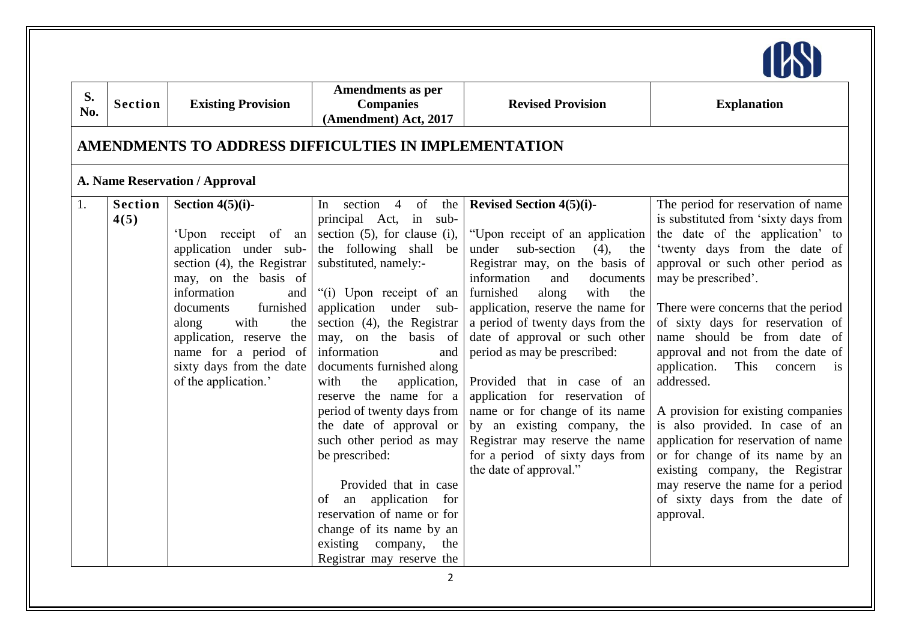| S.<br>No. | <b>Section</b>         | <b>Existing Provision</b>                                                                                                                                                                                                                                                                                  | <b>Amendments as per</b><br><b>Companies</b><br>(Amendment) Act, 2017                                                                                                                                                                                                                                                                                                                                                                                                                                                                                                                                                                                 | <b>Revised Provision</b>                                                                                                                                                                                                                                                                                                                                                                                                                                                                                                                                                                        | <b>Explanation</b>                                                                                                                                                                                                                                                                                                                                                                                                                                                                                                                                                                                                                                                                                   |
|-----------|------------------------|------------------------------------------------------------------------------------------------------------------------------------------------------------------------------------------------------------------------------------------------------------------------------------------------------------|-------------------------------------------------------------------------------------------------------------------------------------------------------------------------------------------------------------------------------------------------------------------------------------------------------------------------------------------------------------------------------------------------------------------------------------------------------------------------------------------------------------------------------------------------------------------------------------------------------------------------------------------------------|-------------------------------------------------------------------------------------------------------------------------------------------------------------------------------------------------------------------------------------------------------------------------------------------------------------------------------------------------------------------------------------------------------------------------------------------------------------------------------------------------------------------------------------------------------------------------------------------------|------------------------------------------------------------------------------------------------------------------------------------------------------------------------------------------------------------------------------------------------------------------------------------------------------------------------------------------------------------------------------------------------------------------------------------------------------------------------------------------------------------------------------------------------------------------------------------------------------------------------------------------------------------------------------------------------------|
|           |                        |                                                                                                                                                                                                                                                                                                            | AMENDMENTS TO ADDRESS DIFFICULTIES IN IMPLEMENTATION                                                                                                                                                                                                                                                                                                                                                                                                                                                                                                                                                                                                  |                                                                                                                                                                                                                                                                                                                                                                                                                                                                                                                                                                                                 |                                                                                                                                                                                                                                                                                                                                                                                                                                                                                                                                                                                                                                                                                                      |
|           |                        | A. Name Reservation / Approval                                                                                                                                                                                                                                                                             |                                                                                                                                                                                                                                                                                                                                                                                                                                                                                                                                                                                                                                                       |                                                                                                                                                                                                                                                                                                                                                                                                                                                                                                                                                                                                 |                                                                                                                                                                                                                                                                                                                                                                                                                                                                                                                                                                                                                                                                                                      |
| 1.        | <b>Section</b><br>4(5) | Section $4(5)(i)$ -<br>'Upon receipt of an<br>application under sub-<br>section (4), the Registrar<br>may, on the basis of<br>information<br>and<br>furnished<br>documents<br>with<br>along<br>the<br>application, reserve the<br>name for a period of<br>sixty days from the date<br>of the application.' | section 4 of the<br>In<br>principal Act, in sub-<br>section $(5)$ , for clause $(i)$ ,<br>the following shall be<br>substituted, namely:-<br>"(i) Upon receipt of an<br>application<br>under sub-<br>section $(4)$ , the Registrar<br>may, on the basis of<br>information<br>and<br>documents furnished along<br>with<br>the<br>application,<br>reserve the name for a<br>period of twenty days from<br>the date of approval or<br>such other period as may<br>be prescribed:<br>Provided that in case<br>an application for<br>of<br>reservation of name or for<br>change of its name by an<br>existing company,<br>the<br>Registrar may reserve the | <b>Revised Section 4(5)(i)-</b><br>"Upon receipt of an application<br>sub-section<br>$(4)$ , the<br>under<br>Registrar may, on the basis of<br>information<br>and<br>documents<br>with<br>furnished<br>along<br>the<br>application, reserve the name for<br>a period of twenty days from the<br>date of approval or such other<br>period as may be prescribed:<br>Provided that in case of an<br>application for reservation of<br>name or for change of its name<br>by an existing company, the<br>Registrar may reserve the name<br>for a period of sixty days from<br>the date of approval." | The period for reservation of name<br>is substituted from 'sixty days from<br>the date of the application' to<br>'twenty days from the date of<br>approval or such other period as<br>may be prescribed'.<br>There were concerns that the period<br>of sixty days for reservation of<br>name should be from date of<br>approval and not from the date of<br>application.<br>This<br>concern<br>$\frac{1}{1}$<br>addressed.<br>A provision for existing companies<br>is also provided. In case of an<br>application for reservation of name<br>or for change of its name by an<br>existing company, the Registrar<br>may reserve the name for a period<br>of sixty days from the date of<br>approval. |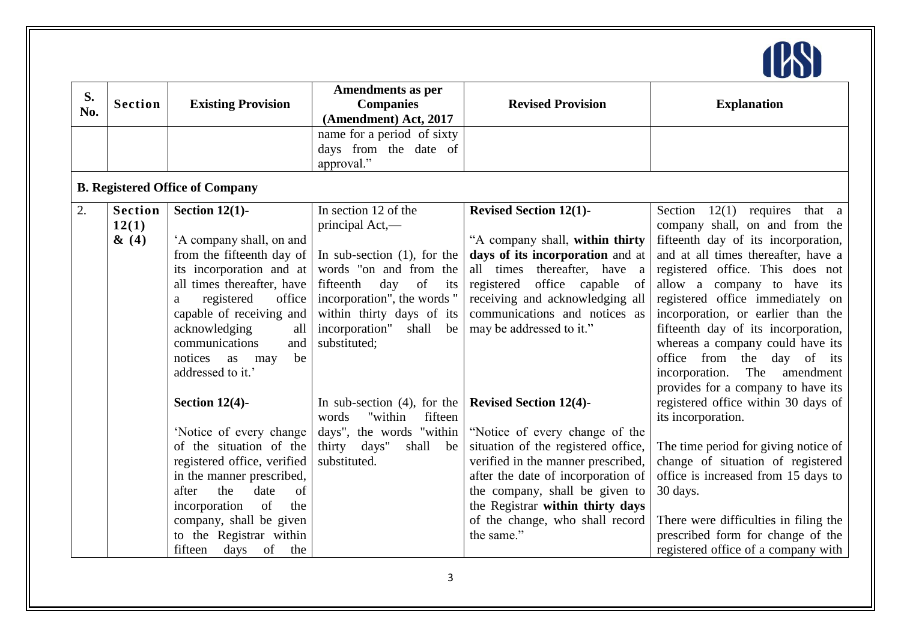

| S.  |                |                                        | Amendments as per                         |                                     |                                       |
|-----|----------------|----------------------------------------|-------------------------------------------|-------------------------------------|---------------------------------------|
| No. | <b>Section</b> | <b>Existing Provision</b>              | <b>Companies</b><br>(Amendment) Act, 2017 | <b>Revised Provision</b>            | <b>Explanation</b>                    |
|     |                |                                        | name for a period of sixty                |                                     |                                       |
|     |                |                                        | days from the date of                     |                                     |                                       |
|     |                |                                        | approval."                                |                                     |                                       |
|     |                | <b>B. Registered Office of Company</b> |                                           |                                     |                                       |
| 2.  | <b>Section</b> | Section $12(1)$ -                      | In section 12 of the                      | <b>Revised Section 12(1)-</b>       | Section $12(1)$<br>requires that a    |
|     | 12(1)          |                                        | principal Act,-                           |                                     | company shall, on and from the        |
|     | $\&(4)$        | 'A company shall, on and               |                                           | "A company shall, within thirty     | fifteenth day of its incorporation,   |
|     |                | from the fifteenth day of              | In sub-section $(1)$ , for the            | days of its incorporation and at    | and at all times thereafter, have a   |
|     |                | its incorporation and at               | words "on and from the                    | all times thereafter, have a        | registered office. This does not      |
|     |                | all times thereafter, have             | fifteenth<br>day<br>of<br>its             | office capable<br>registered<br>of  | allow a company to have its           |
|     |                | registered<br>office<br>a              | incorporation", the words "               | receiving and acknowledging all     | registered office immediately on      |
|     |                | capable of receiving and               | within thirty days of its                 | communications and notices as       | incorporation, or earlier than the    |
|     |                | acknowledging<br>all                   | incorporation"<br>shall be                | may be addressed to it."            | fifteenth day of its incorporation,   |
|     |                | communications<br>and                  | substituted;                              |                                     | whereas a company could have its      |
|     |                | be<br>notices<br>as<br>may             |                                           |                                     | office from the<br>day of its         |
|     |                | addressed to it.'                      |                                           |                                     | incorporation. The<br>amendment       |
|     |                |                                        |                                           |                                     | provides for a company to have its    |
|     |                | Section $12(4)$ -                      | In sub-section $(4)$ , for the            | <b>Revised Section 12(4)-</b>       | registered office within 30 days of   |
|     |                |                                        | "within<br>fifteen<br>words               |                                     | its incorporation.                    |
|     |                | 'Notice of every change                | days", the words "within                  | "Notice of every change of the      |                                       |
|     |                | of the situation of the                | thirty days"<br>shall be                  | situation of the registered office, | The time period for giving notice of  |
|     |                | registered office, verified            | substituted.                              | verified in the manner prescribed,  | change of situation of registered     |
|     |                | in the manner prescribed,              |                                           | after the date of incorporation of  | office is increased from 15 days to   |
|     |                | the<br>date<br>of<br>after             |                                           | the company, shall be given to      | 30 days.                              |
|     |                | incorporation<br>of<br>the             |                                           | the Registrar within thirty days    |                                       |
|     |                | company, shall be given                |                                           | of the change, who shall record     | There were difficulties in filing the |
|     |                | to the Registrar within                |                                           | the same."                          | prescribed form for change of the     |
|     |                | days of<br>fifteen<br>the              |                                           |                                     | registered office of a company with   |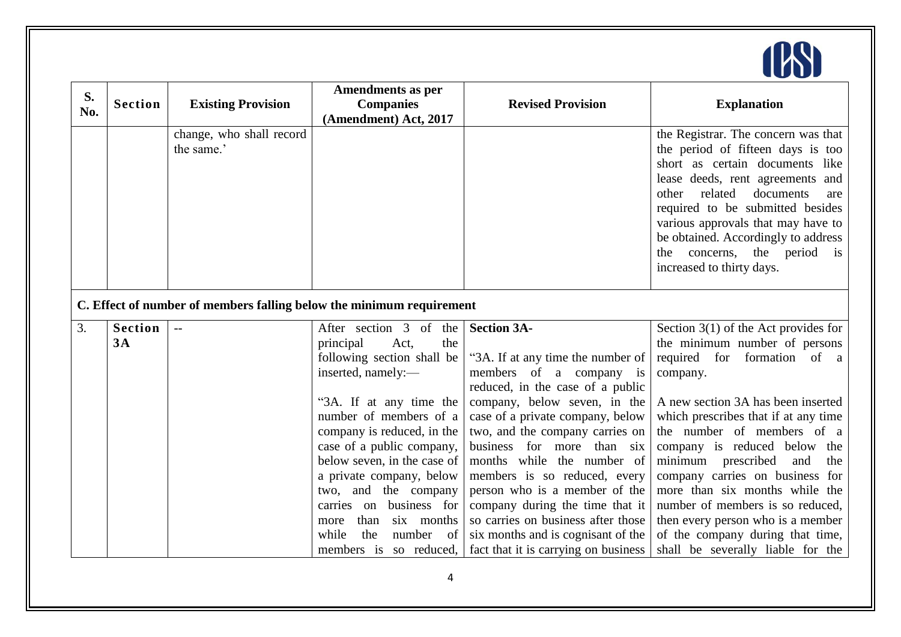

| S.<br>No. | <b>Section</b> | <b>Existing Provision</b>              | <b>Amendments as per</b><br><b>Companies</b><br>(Amendment) Act, 2017                                                                                                                                                                                                                                                    | <b>Revised Provision</b>                                                                                                                                                                                                                                                                                                                                                                                                       | <b>Explanation</b>                                                                                                                                                                                                                                                                                                                                                                                  |
|-----------|----------------|----------------------------------------|--------------------------------------------------------------------------------------------------------------------------------------------------------------------------------------------------------------------------------------------------------------------------------------------------------------------------|--------------------------------------------------------------------------------------------------------------------------------------------------------------------------------------------------------------------------------------------------------------------------------------------------------------------------------------------------------------------------------------------------------------------------------|-----------------------------------------------------------------------------------------------------------------------------------------------------------------------------------------------------------------------------------------------------------------------------------------------------------------------------------------------------------------------------------------------------|
|           |                | change, who shall record<br>the same.' |                                                                                                                                                                                                                                                                                                                          |                                                                                                                                                                                                                                                                                                                                                                                                                                | the Registrar. The concern was that<br>the period of fifteen days is too<br>short as certain documents like<br>lease deeds, rent agreements and<br>related<br>documents<br>other<br>are<br>required to be submitted besides<br>various approvals that may have to<br>be obtained. Accordingly to address<br>concerns, the period is<br>the<br>increased to thirty days.                             |
|           |                |                                        | C. Effect of number of members falling below the minimum requirement                                                                                                                                                                                                                                                     |                                                                                                                                                                                                                                                                                                                                                                                                                                |                                                                                                                                                                                                                                                                                                                                                                                                     |
| 3.        | <b>Section</b> |                                        | After section 3 of the                                                                                                                                                                                                                                                                                                   | <b>Section 3A-</b>                                                                                                                                                                                                                                                                                                                                                                                                             | Section $3(1)$ of the Act provides for                                                                                                                                                                                                                                                                                                                                                              |
|           | 3A             |                                        | the<br>principal<br>Act,                                                                                                                                                                                                                                                                                                 |                                                                                                                                                                                                                                                                                                                                                                                                                                | the minimum number of persons                                                                                                                                                                                                                                                                                                                                                                       |
|           |                |                                        | following section shall be                                                                                                                                                                                                                                                                                               | "3A. If at any time the number of                                                                                                                                                                                                                                                                                                                                                                                              | required for formation of a                                                                                                                                                                                                                                                                                                                                                                         |
|           |                |                                        | inserted, namely:-                                                                                                                                                                                                                                                                                                       | members of a company is                                                                                                                                                                                                                                                                                                                                                                                                        | company.                                                                                                                                                                                                                                                                                                                                                                                            |
|           |                |                                        | "3A. If at any time the<br>number of members of a<br>company is reduced, in the<br>case of a public company,<br>below seven, in the case of<br>a private company, below<br>and the company<br>two,<br>business for<br>carries on<br>six months<br>than<br>more<br>number<br>while<br>the<br>of<br>members is so reduced, | reduced, in the case of a public<br>company, below seven, in the<br>case of a private company, below<br>two, and the company carries on<br>business for more<br>than six<br>months while the number of<br>members is so reduced, every<br>person who is a member of the<br>company during the time that it<br>so carries on business after those<br>six months and is cognisant of the<br>fact that it is carrying on business | A new section 3A has been inserted<br>which prescribes that if at any time<br>the number of members of a<br>company is reduced below the<br>minimum prescribed<br>and<br>the<br>company carries on business for<br>more than six months while the<br>number of members is so reduced,<br>then every person who is a member<br>of the company during that time,<br>shall be severally liable for the |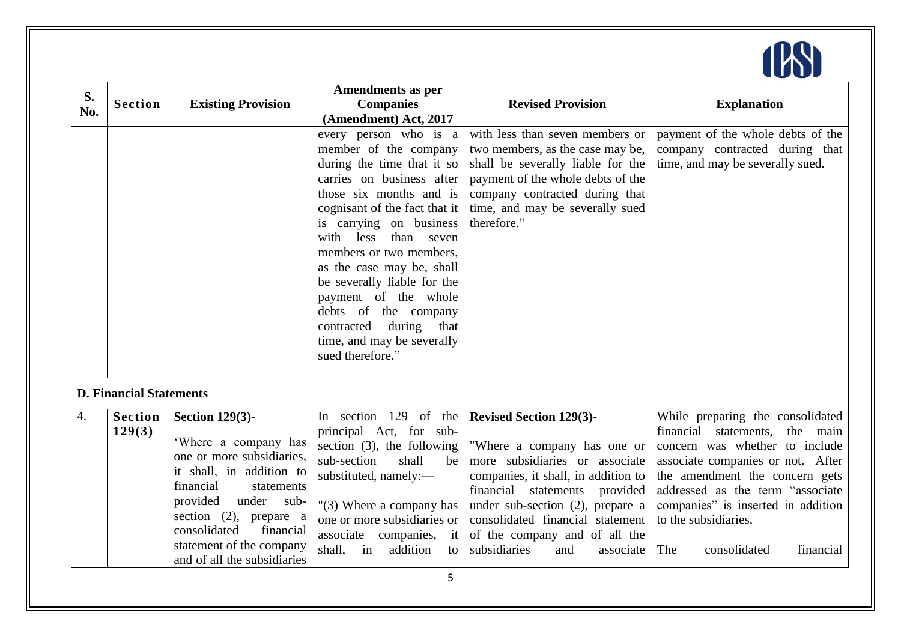

| S.<br>No. | <b>Section</b>                 | <b>Existing Provision</b>                                                                                                                                                                                                                                                         | <b>Amendments as per</b><br><b>Companies</b><br>(Amendment) Act, 2017                                                                                                                                                                                                                                                                                                                                                                                   | <b>Revised Provision</b>                                                                                                                                                                                                                                                                                                   | <b>Explanation</b>                                                                                                                                                                                                                                                                                                   |
|-----------|--------------------------------|-----------------------------------------------------------------------------------------------------------------------------------------------------------------------------------------------------------------------------------------------------------------------------------|---------------------------------------------------------------------------------------------------------------------------------------------------------------------------------------------------------------------------------------------------------------------------------------------------------------------------------------------------------------------------------------------------------------------------------------------------------|----------------------------------------------------------------------------------------------------------------------------------------------------------------------------------------------------------------------------------------------------------------------------------------------------------------------------|----------------------------------------------------------------------------------------------------------------------------------------------------------------------------------------------------------------------------------------------------------------------------------------------------------------------|
|           |                                |                                                                                                                                                                                                                                                                                   | every person who is a<br>member of the company<br>during the time that it so<br>carries on business after<br>those six months and is<br>cognisant of the fact that it<br>is carrying on business<br>with<br>less<br>than seven<br>members or two members,<br>as the case may be, shall<br>be severally liable for the<br>payment of the whole<br>debts of the company<br>during<br>contracted<br>that<br>time, and may be severally<br>sued therefore." | with less than seven members or<br>two members, as the case may be,<br>shall be severally liable for the<br>payment of the whole debts of the<br>company contracted during that<br>time, and may be severally sued<br>therefore."                                                                                          | payment of the whole debts of the<br>company contracted during that<br>time, and may be severally sued.                                                                                                                                                                                                              |
|           | <b>D. Financial Statements</b> |                                                                                                                                                                                                                                                                                   |                                                                                                                                                                                                                                                                                                                                                                                                                                                         |                                                                                                                                                                                                                                                                                                                            |                                                                                                                                                                                                                                                                                                                      |
| 4.        | <b>Section</b><br>129(3)       | <b>Section 129(3)-</b><br>'Where a company has<br>one or more subsidiaries,<br>it shall, in addition to<br>financial<br>statements<br>provided<br>under sub-<br>section $(2)$ , prepare a<br>consolidated<br>financial<br>statement of the company<br>and of all the subsidiaries | In section 129 of the<br>principal Act, for sub-<br>section $(3)$ , the following<br>sub-section<br>shall<br>be<br>substituted, namely:-<br>$"(3)$ Where a company has<br>one or more subsidiaries or<br>associate companies, it<br>shall,<br>in<br>addition<br>to                                                                                                                                                                                      | <b>Revised Section 129(3)-</b><br>"Where a company has one or<br>more subsidiaries or associate<br>companies, it shall, in addition to<br>financial statements<br>provided<br>under sub-section $(2)$ , prepare a<br>consolidated financial statement<br>of the company and of all the<br>subsidiaries<br>and<br>associate | While preparing the consolidated<br>financial statements,<br>the main<br>concern was whether to include<br>associate companies or not. After<br>the amendment the concern gets<br>addressed as the term "associate<br>companies" is inserted in addition<br>to the subsidiaries.<br>The<br>consolidated<br>financial |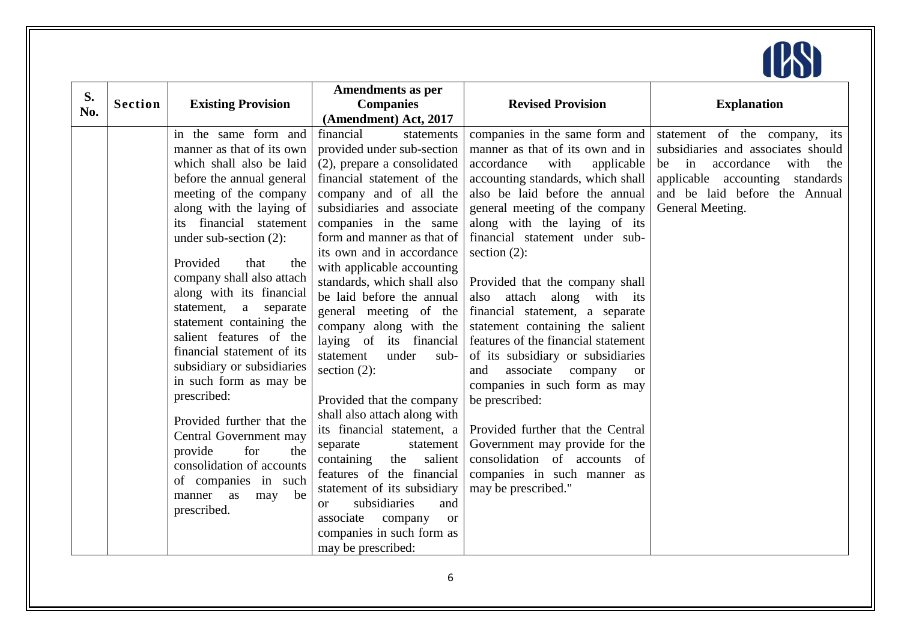

| S.  |                |                                                       | <b>Amendments as per</b>              |                                              |                                    |
|-----|----------------|-------------------------------------------------------|---------------------------------------|----------------------------------------------|------------------------------------|
| No. | <b>Section</b> | <b>Existing Provision</b>                             | <b>Companies</b>                      | <b>Revised Provision</b>                     | <b>Explanation</b>                 |
|     |                |                                                       | (Amendment) Act, 2017                 |                                              |                                    |
|     |                | in the same form and                                  | financial<br>statements               | companies in the same form and               | statement of the company, its      |
|     |                | manner as that of its own                             | provided under sub-section            | manner as that of its own and in             | subsidiaries and associates should |
|     |                | which shall also be laid                              | (2), prepare a consolidated           | accordance<br>with<br>applicable             | accordance<br>be in<br>with<br>the |
|     |                | before the annual general                             | financial statement of the            | accounting standards, which shall            | applicable accounting standards    |
|     |                | meeting of the company                                | company and of all the                | also be laid before the annual               | and be laid before the Annual      |
|     |                | along with the laying of                              | subsidiaries and associate            | general meeting of the company               | General Meeting.                   |
|     |                | its financial statement                               | companies in the same                 | along with the laying of its                 |                                    |
|     |                | under sub-section (2):                                | form and manner as that of            | financial statement under sub-               |                                    |
|     |                |                                                       | its own and in accordance             | section $(2)$ :                              |                                    |
|     |                | Provided<br>that<br>the                               | with applicable accounting            |                                              |                                    |
|     |                | company shall also attach                             | standards, which shall also           | Provided that the company shall              |                                    |
|     |                | along with its financial                              | be laid before the annual             | also attach along with its                   |                                    |
|     |                | statement, a separate                                 | general meeting of the                | financial statement, a separate              |                                    |
|     |                | statement containing the                              | company along with the                | statement containing the salient             |                                    |
|     |                | salient features of the<br>financial statement of its | laying of its financial               | features of the financial statement          |                                    |
|     |                | subsidiary or subsidiaries                            | under<br>statement<br>sub-            | of its subsidiary or subsidiaries            |                                    |
|     |                | in such form as may be                                | section $(2)$ :                       | associate<br>and<br>company<br><sub>or</sub> |                                    |
|     |                | prescribed:                                           |                                       | companies in such form as may                |                                    |
|     |                |                                                       | Provided that the company             | be prescribed:                               |                                    |
|     |                | Provided further that the                             | shall also attach along with          |                                              |                                    |
|     |                | Central Government may                                | its financial statement, a            | Provided further that the Central            |                                    |
|     |                | for<br>provide<br>the                                 | statement<br>separate                 | Government may provide for the               |                                    |
|     |                | consolidation of accounts                             | salient<br>containing<br>the          | consolidation of accounts of                 |                                    |
|     |                | of companies in such                                  | features of the financial             | companies in such manner as                  |                                    |
|     |                | be<br>manner as<br>may                                | statement of its subsidiary           | may be prescribed."                          |                                    |
|     |                | prescribed.                                           | subsidiaries<br>and<br><sub>or</sub>  |                                              |                                    |
|     |                |                                                       | associate<br>company<br><sub>or</sub> |                                              |                                    |
|     |                |                                                       | companies in such form as             |                                              |                                    |
|     |                |                                                       | may be prescribed:                    |                                              |                                    |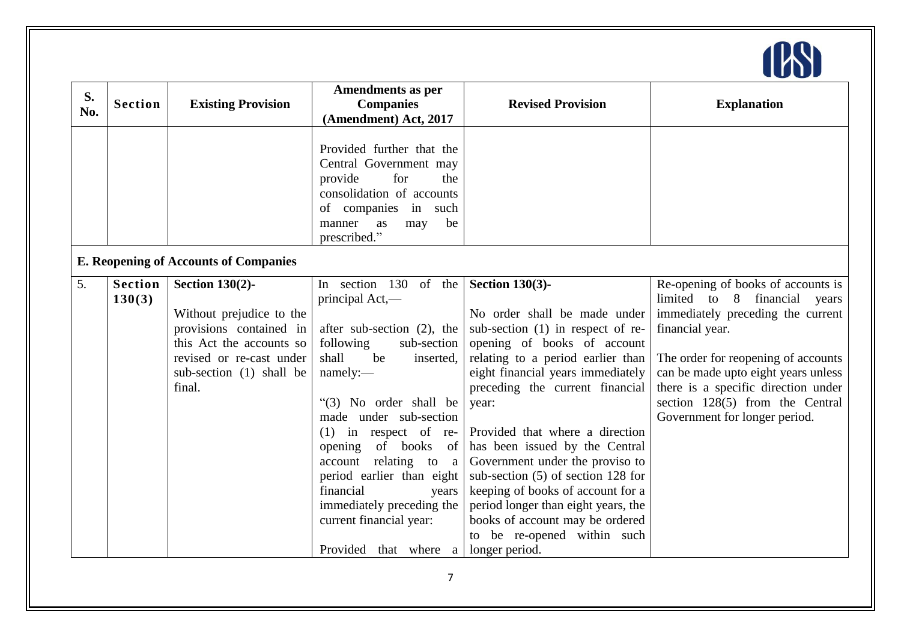

| S.<br>No. | <b>Section</b>           | <b>Existing Provision</b>                                                                                                                                                   | Amendments as per<br><b>Companies</b><br>(Amendment) Act, 2017                                                                                                                                                                                                                                                                                                                                                                      | <b>Revised Provision</b>                                                                                                                                                                                                                                                                                                                                                                                                                                                                                                                   | <b>Explanation</b>                                                                                                                                                                                                                                                                                                           |
|-----------|--------------------------|-----------------------------------------------------------------------------------------------------------------------------------------------------------------------------|-------------------------------------------------------------------------------------------------------------------------------------------------------------------------------------------------------------------------------------------------------------------------------------------------------------------------------------------------------------------------------------------------------------------------------------|--------------------------------------------------------------------------------------------------------------------------------------------------------------------------------------------------------------------------------------------------------------------------------------------------------------------------------------------------------------------------------------------------------------------------------------------------------------------------------------------------------------------------------------------|------------------------------------------------------------------------------------------------------------------------------------------------------------------------------------------------------------------------------------------------------------------------------------------------------------------------------|
|           |                          |                                                                                                                                                                             | Provided further that the<br>Central Government may<br>for<br>provide<br>the<br>consolidation of accounts<br>of companies in such<br>be<br>manner<br>as<br>may<br>prescribed."                                                                                                                                                                                                                                                      |                                                                                                                                                                                                                                                                                                                                                                                                                                                                                                                                            |                                                                                                                                                                                                                                                                                                                              |
|           |                          | <b>E. Reopening of Accounts of Companies</b>                                                                                                                                |                                                                                                                                                                                                                                                                                                                                                                                                                                     |                                                                                                                                                                                                                                                                                                                                                                                                                                                                                                                                            |                                                                                                                                                                                                                                                                                                                              |
| 5.        | <b>Section</b><br>130(3) | <b>Section 130(2)-</b><br>Without prejudice to the<br>provisions contained in<br>this Act the accounts so<br>revised or re-cast under<br>sub-section (1) shall be<br>final. | In section 130 of the<br>principal Act,—<br>after sub-section $(2)$ , the<br>following<br>sub-section<br>shall<br>be<br>inserted,<br>namely:-<br>$\lq(3)$ No order shall be<br>made under sub-section<br>$(1)$ in respect of re-<br>opening of books of<br>account relating to a<br>period earlier than eight<br>financial<br>years<br>immediately preceding the<br>current financial year:<br>Provided that where a longer period. | Section $130(3)$ -<br>No order shall be made under<br>sub-section $(1)$ in respect of re-<br>opening of books of account<br>relating to a period earlier than<br>eight financial years immediately<br>preceding the current financial<br>year:<br>Provided that where a direction<br>has been issued by the Central<br>Government under the proviso to<br>sub-section (5) of section 128 for<br>keeping of books of account for a<br>period longer than eight years, the<br>books of account may be ordered<br>to be re-opened within such | Re-opening of books of accounts is<br>limited to<br>8<br>financial<br>years<br>immediately preceding the current<br>financial year.<br>The order for reopening of accounts<br>can be made upto eight years unless<br>there is a specific direction under<br>section 128(5) from the Central<br>Government for longer period. |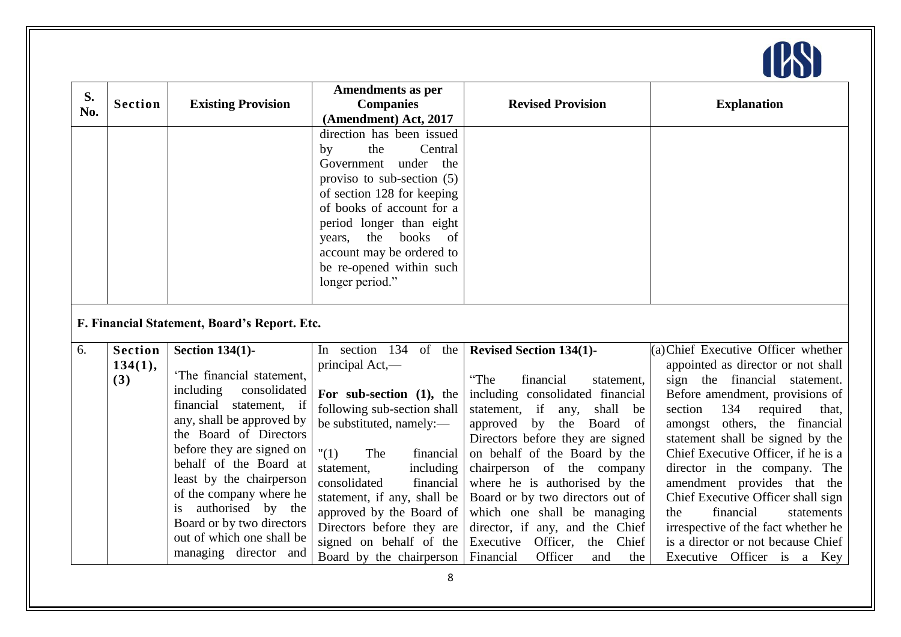

| S.<br>No. | <b>Section</b>                   | <b>Existing Provision</b>                                                                                                                                                                                                                                                                                                                                                                            | <b>Amendments as per</b><br><b>Companies</b><br>(Amendment) Act, 2017                                                                                                                                                                                                                                                                                              | <b>Revised Provision</b>                                                                                                                                                                                                                                                                                                                                                                                                                                                                           | <b>Explanation</b>                                                                                                                                                                                                                                                                                                                                                                                                                                                                                                                                 |
|-----------|----------------------------------|------------------------------------------------------------------------------------------------------------------------------------------------------------------------------------------------------------------------------------------------------------------------------------------------------------------------------------------------------------------------------------------------------|--------------------------------------------------------------------------------------------------------------------------------------------------------------------------------------------------------------------------------------------------------------------------------------------------------------------------------------------------------------------|----------------------------------------------------------------------------------------------------------------------------------------------------------------------------------------------------------------------------------------------------------------------------------------------------------------------------------------------------------------------------------------------------------------------------------------------------------------------------------------------------|----------------------------------------------------------------------------------------------------------------------------------------------------------------------------------------------------------------------------------------------------------------------------------------------------------------------------------------------------------------------------------------------------------------------------------------------------------------------------------------------------------------------------------------------------|
|           |                                  |                                                                                                                                                                                                                                                                                                                                                                                                      | direction has been issued<br>by<br>the<br>Central<br>under the<br>Government<br>proviso to sub-section $(5)$<br>of section 128 for keeping<br>of books of account for a<br>period longer than eight<br>books<br>the<br>of<br>years,<br>account may be ordered to<br>be re-opened within such<br>longer period."                                                    |                                                                                                                                                                                                                                                                                                                                                                                                                                                                                                    |                                                                                                                                                                                                                                                                                                                                                                                                                                                                                                                                                    |
|           |                                  | F. Financial Statement, Board's Report. Etc.                                                                                                                                                                                                                                                                                                                                                         |                                                                                                                                                                                                                                                                                                                                                                    |                                                                                                                                                                                                                                                                                                                                                                                                                                                                                                    |                                                                                                                                                                                                                                                                                                                                                                                                                                                                                                                                                    |
| 6.        | <b>Section</b><br>134(1),<br>(3) | <b>Section 134(1)-</b><br>The financial statement,<br>including<br>consolidated<br>financial statement, if<br>any, shall be approved by<br>the Board of Directors<br>before they are signed on<br>behalf of the Board at<br>least by the chairperson<br>of the company where he<br>authorised by the<br><i>is</i><br>Board or by two directors<br>out of which one shall be<br>managing director and | In section 134 of the<br>principal Act,-<br>For sub-section (1), the<br>following sub-section shall<br>be substituted, namely:-<br>"(1)<br>The<br>financial<br>including<br>statement,<br>financial<br>consolidated<br>statement, if any, shall be<br>approved by the Board of<br>Directors before they are<br>signed on behalf of the<br>Board by the chairperson | <b>Revised Section 134(1)-</b><br>"The<br>financial<br>statement,<br>including consolidated financial<br>shall<br>statement, if<br>be<br>any,<br>approved by the<br>Board of<br>Directors before they are signed<br>on behalf of the Board by the<br>chairperson of the company<br>where he is authorised by the<br>Board or by two directors out of<br>which one shall be managing<br>director, if any, and the Chief<br>Executive Officer,<br>the<br>Chief<br>Financial<br>Officer<br>and<br>the | (a) Chief Executive Officer whether<br>appointed as director or not shall<br>sign the financial statement.<br>Before amendment, provisions of<br>134<br>section<br>required<br>that,<br>amongst others, the financial<br>statement shall be signed by the<br>Chief Executive Officer, if he is a<br>director in the company. The<br>amendment provides that the<br>Chief Executive Officer shall sign<br>financial<br>the<br>statements<br>irrespective of the fact whether he<br>is a director or not because Chief<br>Executive Officer is a Key |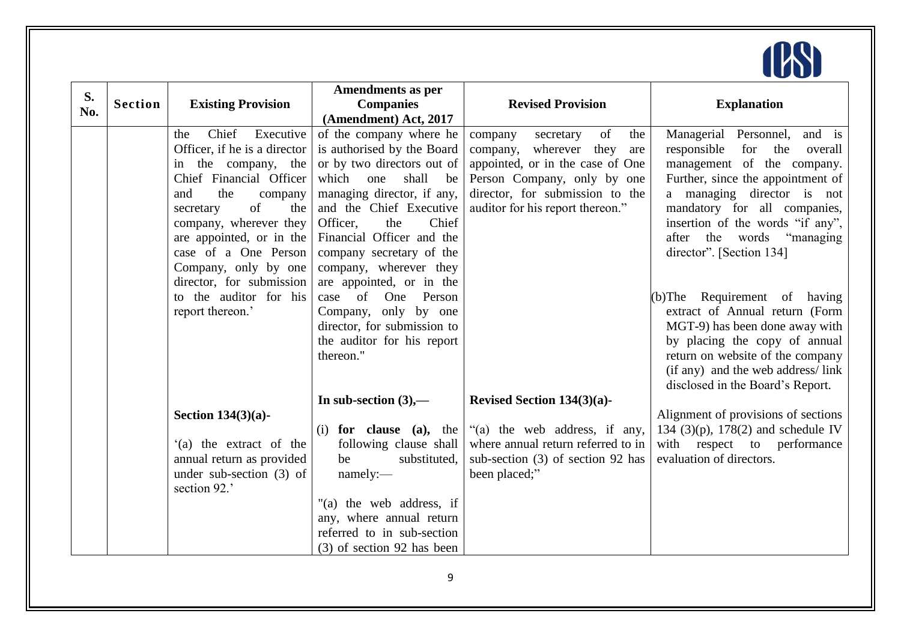

| S.  |                |                                            | <b>Amendments as per</b>                                 |                                                                     |                                                         |
|-----|----------------|--------------------------------------------|----------------------------------------------------------|---------------------------------------------------------------------|---------------------------------------------------------|
| No. | <b>Section</b> | <b>Existing Provision</b>                  | <b>Companies</b>                                         | <b>Revised Provision</b>                                            | <b>Explanation</b>                                      |
|     |                |                                            | (Amendment) Act, 2017                                    |                                                                     |                                                         |
|     |                | Chief<br>Executive<br>the                  | of the company where he                                  | of<br>company<br>secretary<br>the                                   | Managerial Personnel,<br>and is                         |
|     |                | Officer, if he is a director               | is authorised by the Board                               | company, wherever they<br>are                                       | for<br>the<br>responsible<br>overall                    |
|     |                | in the company, the                        | or by two directors out of                               | appointed, or in the case of One                                    | management of the company.                              |
|     |                | Chief Financial Officer                    | which<br>one<br>shall<br>be                              | Person Company, only by one                                         | Further, since the appointment of                       |
|     |                | the<br>and<br>company                      | managing director, if any,                               | director, for submission to the                                     | a managing director is not                              |
|     |                | of<br>the<br>secretary                     | and the Chief Executive                                  | auditor for his report thereon."                                    | mandatory for all companies,                            |
|     |                | company, wherever they                     | Officer,<br>Chief<br>the                                 |                                                                     | insertion of the words "if any",                        |
|     |                | are appointed, or in the                   | Financial Officer and the                                |                                                                     | "managing"<br>after the words                           |
|     |                | case of a One Person                       | company secretary of the                                 |                                                                     | director". [Section 134]                                |
|     |                | Company, only by one                       | company, wherever they                                   |                                                                     |                                                         |
|     |                | director, for submission                   | are appointed, or in the                                 |                                                                     |                                                         |
|     |                | to the auditor for his                     | case of<br>One<br>Person                                 |                                                                     | (b)The Requirement of having                            |
|     |                | report thereon.'                           | Company, only by one                                     |                                                                     | extract of Annual return (Form                          |
|     |                |                                            | director, for submission to                              |                                                                     | MGT-9) has been done away with                          |
|     |                |                                            | the auditor for his report                               |                                                                     | by placing the copy of annual                           |
|     |                |                                            | thereon."                                                |                                                                     | return on website of the company                        |
|     |                |                                            |                                                          |                                                                     | (if any) and the web address/link                       |
|     |                |                                            |                                                          |                                                                     | disclosed in the Board's Report.                        |
|     |                |                                            | In sub-section $(3)$ ,—                                  | Revised Section $134(3)(a)$ -                                       |                                                         |
|     |                | Section $134(3)(a)$ -                      |                                                          |                                                                     | Alignment of provisions of sections                     |
|     |                |                                            | for clause (a), the<br>(i)                               | "(a) the web address, if any,<br>where annual return referred to in | 134 (3)(p), 178(2) and schedule IV                      |
|     |                | '(a) the extract of the                    | following clause shall<br>be                             |                                                                     | with respect to performance<br>evaluation of directors. |
|     |                | annual return as provided                  | substituted,                                             | sub-section (3) of section 92 has                                   |                                                         |
|     |                | under sub-section $(3)$ of<br>section 92.' | namely:-                                                 | been placed;"                                                       |                                                         |
|     |                |                                            | "(a) the web address, if                                 |                                                                     |                                                         |
|     |                |                                            | any, where annual return                                 |                                                                     |                                                         |
|     |                |                                            |                                                          |                                                                     |                                                         |
|     |                |                                            |                                                          |                                                                     |                                                         |
|     |                |                                            | referred to in sub-section<br>(3) of section 92 has been |                                                                     |                                                         |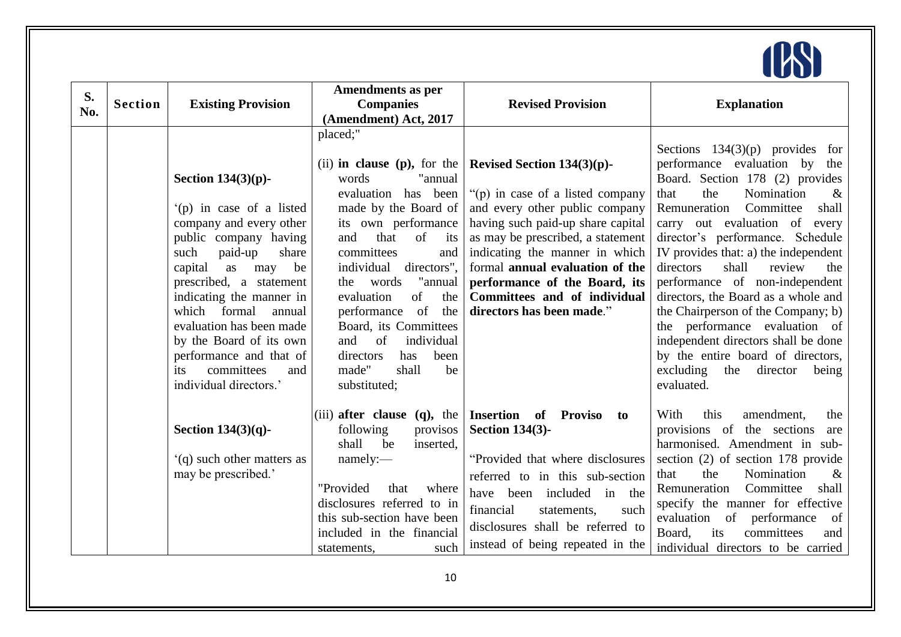

| S.<br>No. | <b>Section</b> | <b>Existing Provision</b>                                                                                                                                                                                                                                                                                                                                                                 | <b>Amendments as per</b><br><b>Companies</b><br>(Amendment) Act, 2017                                                                                                                                                                                                                                                                                                                                            | <b>Revised Provision</b>                                                                                                                                                                                                                                                                                                                         | <b>Explanation</b>                                                                                                                                                                                                                                                                                                                                                                                                                                                                                                                                                                                                         |
|-----------|----------------|-------------------------------------------------------------------------------------------------------------------------------------------------------------------------------------------------------------------------------------------------------------------------------------------------------------------------------------------------------------------------------------------|------------------------------------------------------------------------------------------------------------------------------------------------------------------------------------------------------------------------------------------------------------------------------------------------------------------------------------------------------------------------------------------------------------------|--------------------------------------------------------------------------------------------------------------------------------------------------------------------------------------------------------------------------------------------------------------------------------------------------------------------------------------------------|----------------------------------------------------------------------------------------------------------------------------------------------------------------------------------------------------------------------------------------------------------------------------------------------------------------------------------------------------------------------------------------------------------------------------------------------------------------------------------------------------------------------------------------------------------------------------------------------------------------------------|
|           |                | Section $134(3)(p)$ -<br>$(p)$ in case of a listed<br>company and every other<br>public company having<br>paid-up<br>such<br>share<br>capital<br>be<br>as<br>may<br>prescribed, a statement<br>indicating the manner in<br>which formal<br>annual<br>evaluation has been made<br>by the Board of its own<br>performance and that of<br>committees<br>its<br>and<br>individual directors.' | placed;"<br>(ii) in clause (p), for the<br>words<br>"annual<br>evaluation has been<br>made by the Board of<br>its own performance<br>that<br>of its<br>and<br>committees<br>and<br>directors",<br>individual<br>words<br>"annual<br>the<br>of<br>the<br>evaluation<br>performance of the<br>Board, its Committees<br>of<br>and<br>individual<br>directors<br>has<br>been<br>made"<br>shall<br>be<br>substituted; | Revised Section $134(3)(p)$ -<br>"(p) in case of a listed company<br>and every other public company<br>having such paid-up share capital<br>as may be prescribed, a statement<br>indicating the manner in which<br>formal annual evaluation of the<br>performance of the Board, its<br>Committees and of individual<br>directors has been made." | Sections $134(3)(p)$ provides for<br>performance evaluation by<br>the<br>Board. Section 178 (2) provides<br>Nomination<br>the<br>$\&$<br>that<br>Remuneration<br>Committee<br>shall<br>carry out evaluation of every<br>director's performance. Schedule<br>IV provides that: a) the independent<br>directors<br>shall<br>review<br>the<br>performance of non-independent<br>directors, the Board as a whole and<br>the Chairperson of the Company; b)<br>the performance evaluation of<br>independent directors shall be done<br>by the entire board of directors,<br>excluding<br>the<br>director<br>being<br>evaluated. |
|           |                | Section $134(3)(q)$ -                                                                                                                                                                                                                                                                                                                                                                     | (iii) after clause $(q)$ , the<br>following<br>provisos<br>shall be<br>inserted,                                                                                                                                                                                                                                                                                                                                 | <b>Insertion of Proviso</b><br>to<br><b>Section 134(3)-</b>                                                                                                                                                                                                                                                                                      | With<br>this<br>amendment,<br>the<br>provisions of the sections<br>are<br>harmonised. Amendment in sub-                                                                                                                                                                                                                                                                                                                                                                                                                                                                                                                    |
|           |                | (q) such other matters as<br>may be prescribed.'                                                                                                                                                                                                                                                                                                                                          | namely:<br>"Provided<br>that<br>where<br>disclosures referred to in<br>this sub-section have been<br>included in the financial<br>such<br>statements,                                                                                                                                                                                                                                                            | "Provided that where disclosures"<br>referred to in this sub-section<br>have been included in the<br>financial<br>such<br>statements,<br>disclosures shall be referred to<br>instead of being repeated in the                                                                                                                                    | section (2) of section 178 provide<br>that<br>the<br>Nomination<br>$\&$<br>Committee<br>shall<br>Remuneration<br>specify the manner for effective<br>evaluation of performance<br>of<br>committees<br>Board,<br>its<br>and<br>individual directors to be carried                                                                                                                                                                                                                                                                                                                                                           |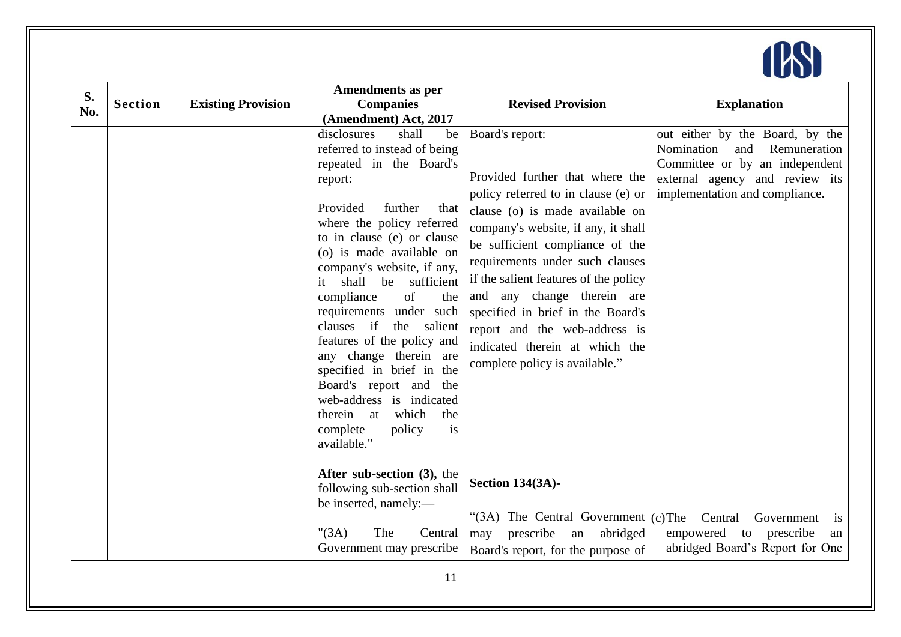

| S.  |                |                           | <b>Amendments as per</b>                                                                                                                                                                                                                                                                                                                                                                                                                                                                                                                                                                 |                                                                                                                                                                                                                                                                                                                                                                                                                                                            |                                                                                                                                                                            |
|-----|----------------|---------------------------|------------------------------------------------------------------------------------------------------------------------------------------------------------------------------------------------------------------------------------------------------------------------------------------------------------------------------------------------------------------------------------------------------------------------------------------------------------------------------------------------------------------------------------------------------------------------------------------|------------------------------------------------------------------------------------------------------------------------------------------------------------------------------------------------------------------------------------------------------------------------------------------------------------------------------------------------------------------------------------------------------------------------------------------------------------|----------------------------------------------------------------------------------------------------------------------------------------------------------------------------|
| No. | <b>Section</b> | <b>Existing Provision</b> | <b>Companies</b>                                                                                                                                                                                                                                                                                                                                                                                                                                                                                                                                                                         | <b>Revised Provision</b>                                                                                                                                                                                                                                                                                                                                                                                                                                   | <b>Explanation</b>                                                                                                                                                         |
|     |                |                           | (Amendment) Act, 2017                                                                                                                                                                                                                                                                                                                                                                                                                                                                                                                                                                    |                                                                                                                                                                                                                                                                                                                                                                                                                                                            |                                                                                                                                                                            |
|     |                |                           | disclosures<br>shall<br>be<br>referred to instead of being<br>repeated in the Board's<br>report:<br>Provided<br>further<br>that<br>where the policy referred<br>to in clause (e) or clause<br>(o) is made available on<br>company's website, if any,<br>shall be sufficient<br>it<br>compliance<br>of<br>the<br>requirements under such<br>clauses if<br>the salient<br>features of the policy and<br>any change therein are<br>specified in brief in the<br>Board's report and the<br>web-address is indicated<br>therein at<br>which<br>the<br>is<br>complete<br>policy<br>available." | Board's report:<br>Provided further that where the<br>policy referred to in clause (e) or<br>clause (o) is made available on<br>company's website, if any, it shall<br>be sufficient compliance of the<br>requirements under such clauses<br>if the salient features of the policy<br>and any change therein are<br>specified in brief in the Board's<br>report and the web-address is<br>indicated therein at which the<br>complete policy is available." | out either by the Board, by the<br>Nomination<br>Remuneration<br>and<br>Committee or by an independent<br>external agency and review its<br>implementation and compliance. |
|     |                |                           | After sub-section (3), the<br>following sub-section shall<br>be inserted, namely:-<br>" $(3A)$<br>The<br>Central<br>Government may prescribe                                                                                                                                                                                                                                                                                                                                                                                                                                             | <b>Section 134(3A)-</b><br>"(3A) The Central Government $(c)$ The<br>prescribe<br>abridged<br>an<br>may<br>Board's report, for the purpose of                                                                                                                                                                                                                                                                                                              | Central<br>Government<br><i>is</i><br>empowered<br>to<br>prescribe<br>an<br>abridged Board's Report for One                                                                |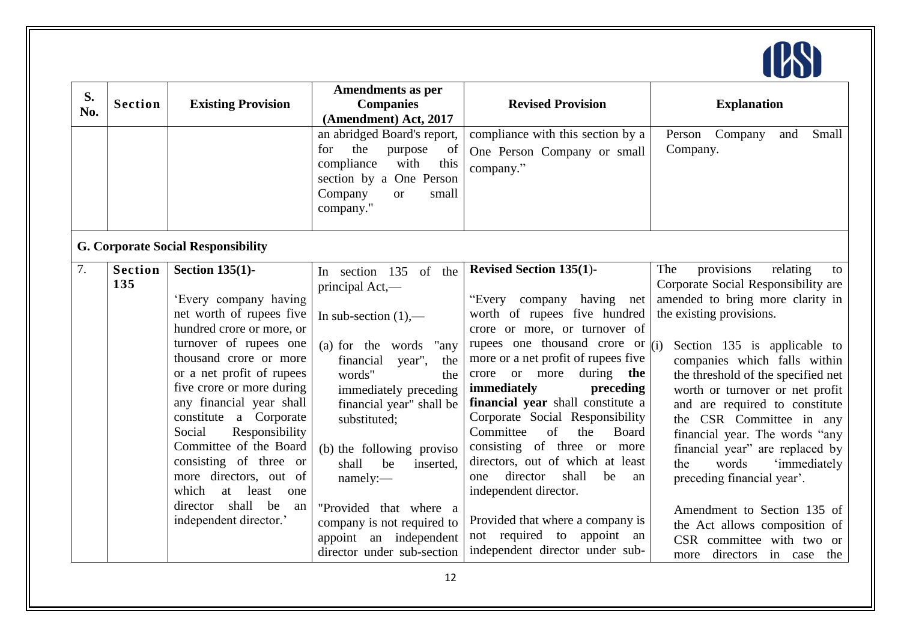

| S.<br>No. | <b>Section</b>        | <b>Existing Provision</b>                                                                                                                                                                                                                                                                                                                                                                                                                                                  | Amendments as per<br><b>Companies</b><br>(Amendment) Act, 2017                                                                                                                                                                                                                                                                                                              | <b>Revised Provision</b>                                                                                                                                                                                                                                                                                                                                                                                                                                                                                                                                                              | <b>Explanation</b>                                                                                                                                                                                                                                                                                                                                                                                                                                                                                                                                                                |
|-----------|-----------------------|----------------------------------------------------------------------------------------------------------------------------------------------------------------------------------------------------------------------------------------------------------------------------------------------------------------------------------------------------------------------------------------------------------------------------------------------------------------------------|-----------------------------------------------------------------------------------------------------------------------------------------------------------------------------------------------------------------------------------------------------------------------------------------------------------------------------------------------------------------------------|---------------------------------------------------------------------------------------------------------------------------------------------------------------------------------------------------------------------------------------------------------------------------------------------------------------------------------------------------------------------------------------------------------------------------------------------------------------------------------------------------------------------------------------------------------------------------------------|-----------------------------------------------------------------------------------------------------------------------------------------------------------------------------------------------------------------------------------------------------------------------------------------------------------------------------------------------------------------------------------------------------------------------------------------------------------------------------------------------------------------------------------------------------------------------------------|
|           |                       |                                                                                                                                                                                                                                                                                                                                                                                                                                                                            | an abridged Board's report,<br>the<br>for<br>purpose<br>of<br>compliance<br>with<br>this<br>section by a One Person<br>Company<br>small<br><b>or</b><br>company."                                                                                                                                                                                                           | compliance with this section by a<br>One Person Company or small<br>company."                                                                                                                                                                                                                                                                                                                                                                                                                                                                                                         | Person Company<br>Small<br>and<br>Company.                                                                                                                                                                                                                                                                                                                                                                                                                                                                                                                                        |
|           |                       | <b>G. Corporate Social Responsibility</b>                                                                                                                                                                                                                                                                                                                                                                                                                                  |                                                                                                                                                                                                                                                                                                                                                                             |                                                                                                                                                                                                                                                                                                                                                                                                                                                                                                                                                                                       |                                                                                                                                                                                                                                                                                                                                                                                                                                                                                                                                                                                   |
| 7.        | <b>Section</b><br>135 | <b>Section 135(1)-</b><br>'Every company having<br>net worth of rupees five<br>hundred crore or more, or<br>turnover of rupees one<br>thousand crore or more<br>or a net profit of rupees<br>five crore or more during<br>any financial year shall<br>constitute a Corporate<br>Social<br>Responsibility<br>Committee of the Board<br>consisting of three or<br>more directors, out of<br>which<br>least<br>at<br>one<br>director shall be<br>an<br>independent director.' | In section 135 of the<br>principal Act,—<br>In sub-section $(1)$ ,—<br>(a) for the words<br>"any<br>financial<br>year",<br>the<br>words"<br>the<br>immediately preceding<br>financial year" shall be<br>substituted;<br>(b) the following proviso<br>shall<br>be<br>inserted.<br>namely:-<br>"Provided that where a<br>company is not required to<br>appoint an independent | <b>Revised Section 135(1)-</b><br>"Every company having net<br>worth of rupees five hundred<br>crore or more, or turnover of<br>rupees one thousand crore or $(i)$<br>more or a net profit of rupees five<br>crore or more during<br>the<br>immediately<br>preceding<br>financial year shall constitute a<br>Corporate Social Responsibility<br>of<br>Committee<br>the<br>Board<br>consisting of three or more<br>directors, out of which at least<br>director<br>shall<br>be<br>one<br>an<br>independent director.<br>Provided that where a company is<br>not required to appoint an | provisions<br>The<br>relating<br>to<br>Corporate Social Responsibility are<br>amended to bring more clarity in<br>the existing provisions.<br>Section 135 is applicable to<br>companies which falls within<br>the threshold of the specified net<br>worth or turnover or net profit<br>and are required to constitute<br>the CSR Committee in any<br>financial year. The words "any<br>financial year" are replaced by<br>'immediately<br>the<br>words<br>preceding financial year'.<br>Amendment to Section 135 of<br>the Act allows composition of<br>CSR committee with two or |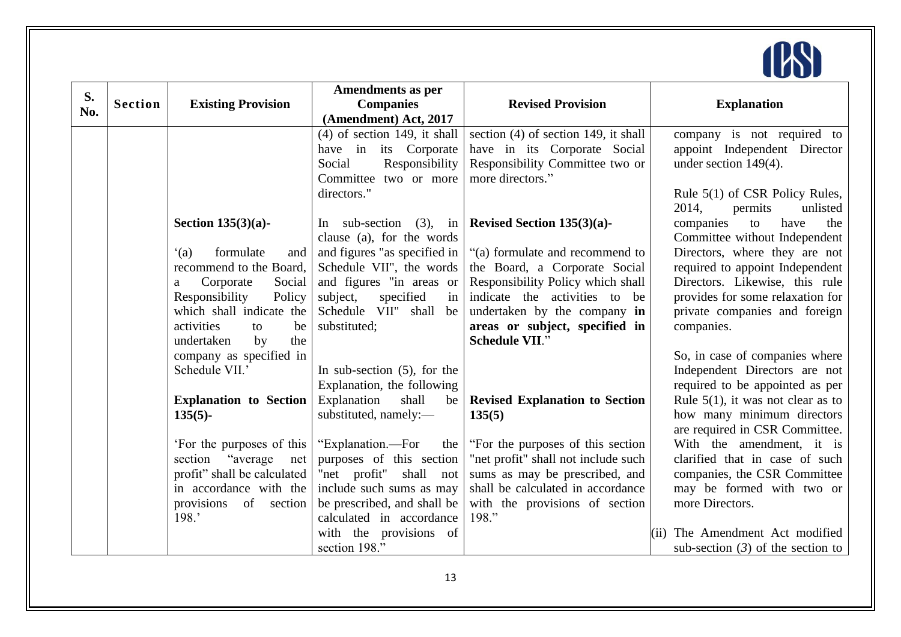

| S.  |                |                                              | Amendments as per              |                                        |                                                                 |
|-----|----------------|----------------------------------------------|--------------------------------|----------------------------------------|-----------------------------------------------------------------|
| No. | <b>Section</b> | <b>Existing Provision</b>                    | <b>Companies</b>               | <b>Revised Provision</b>               | <b>Explanation</b>                                              |
|     |                |                                              | (Amendment) Act, 2017          |                                        |                                                                 |
|     |                |                                              | $(4)$ of section 149, it shall | section $(4)$ of section 149, it shall | company is not required to                                      |
|     |                |                                              | have in its Corporate          | have in its Corporate Social           | appoint Independent Director                                    |
|     |                |                                              | Social<br>Responsibility       | Responsibility Committee two or        | under section $149(4)$ .                                        |
|     |                |                                              | Committee two or more          | more directors."                       |                                                                 |
|     |                |                                              | directors."                    |                                        | Rule 5(1) of CSR Policy Rules,                                  |
|     |                |                                              |                                |                                        | 2014,<br>unlisted<br>permits                                    |
|     |                | Section $135(3)(a)$ -                        | In sub-section $(3)$ , in      | Revised Section $135(3)(a)$ -          | companies<br>have<br>to<br>the                                  |
|     |                |                                              | clause (a), for the words      |                                        | Committee without Independent                                   |
|     |                | (a)<br>formulate<br>and                      | and figures "as specified in   | "(a) formulate and recommend to        | Directors, where they are not                                   |
|     |                | recommend to the Board,                      | Schedule VII", the words       | the Board, a Corporate Social          | required to appoint Independent                                 |
|     |                | Corporate<br>Social<br>a                     | and figures "in areas or       | Responsibility Policy which shall      | Directors. Likewise, this rule                                  |
|     |                | Responsibility<br>Policy                     | specified<br>subject,<br>in    | indicate the activities to be          | provides for some relaxation for                                |
|     |                | which shall indicate the                     | Schedule VII"<br>shall<br>be   | undertaken by the company in           | private companies and foreign                                   |
|     |                | activities<br>be<br>to                       | substituted;                   | areas or subject, specified in         | companies.                                                      |
|     |                | the<br>undertaken<br>$\mathbf{b} \mathbf{v}$ |                                | <b>Schedule VII."</b>                  |                                                                 |
|     |                | company as specified in<br>Schedule VII.'    | In sub-section $(5)$ , for the |                                        | So, in case of companies where<br>Independent Directors are not |
|     |                |                                              | Explanation, the following     |                                        | required to be appointed as per                                 |
|     |                | <b>Explanation to Section</b>                | shall<br>Explanation<br>be     | <b>Revised Explanation to Section</b>  | Rule $5(1)$ , it was not clear as to                            |
|     |                | $135(5)$ -                                   | substituted, namely:-          | 135(5)                                 | how many minimum directors                                      |
|     |                |                                              |                                |                                        | are required in CSR Committee.                                  |
|     |                | 'For the purposes of this                    | "Explanation.—For<br>the       | "For the purposes of this section"     | With the amendment, it is                                       |
|     |                | section "average"<br>net                     | purposes of this section       | "net profit" shall not include such    | clarified that in case of such                                  |
|     |                | profit" shall be calculated                  | "net profit" shall not         | sums as may be prescribed, and         | companies, the CSR Committee                                    |
|     |                | in accordance with the                       | include such sums as may       | shall be calculated in accordance      | may be formed with two or                                       |
|     |                | of section<br>provisions                     | be prescribed, and shall be    | with the provisions of section         | more Directors.                                                 |
|     |                | 198.'                                        | calculated in accordance       | 198."                                  |                                                                 |
|     |                |                                              | with the provisions of         |                                        | (ii) The Amendment Act modified                                 |
|     |                |                                              | section 198."                  |                                        | sub-section $(3)$ of the section to                             |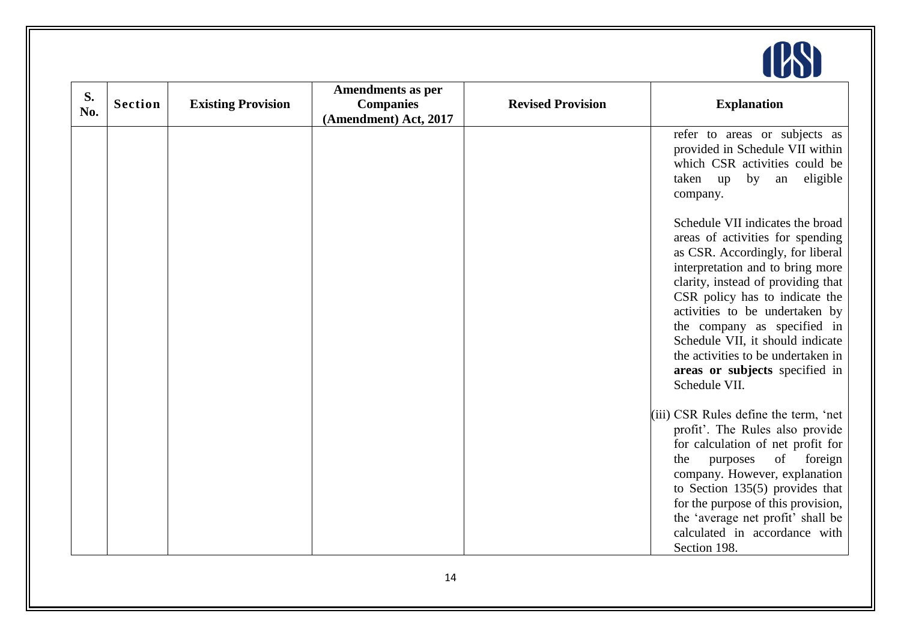

| S.  |                |                           | Amendments as per     |                          |                                                                                                                                                                                                                                                                                                                                                                                                                    |
|-----|----------------|---------------------------|-----------------------|--------------------------|--------------------------------------------------------------------------------------------------------------------------------------------------------------------------------------------------------------------------------------------------------------------------------------------------------------------------------------------------------------------------------------------------------------------|
| No. | <b>Section</b> | <b>Existing Provision</b> | <b>Companies</b>      | <b>Revised Provision</b> | <b>Explanation</b>                                                                                                                                                                                                                                                                                                                                                                                                 |
|     |                |                           | (Amendment) Act, 2017 |                          |                                                                                                                                                                                                                                                                                                                                                                                                                    |
|     |                |                           |                       |                          | refer to areas or subjects as<br>provided in Schedule VII within<br>which CSR activities could be<br>eligible<br>by an<br>taken up<br>company.                                                                                                                                                                                                                                                                     |
|     |                |                           |                       |                          | Schedule VII indicates the broad<br>areas of activities for spending<br>as CSR. Accordingly, for liberal<br>interpretation and to bring more<br>clarity, instead of providing that<br>CSR policy has to indicate the<br>activities to be undertaken by<br>the company as specified in<br>Schedule VII, it should indicate<br>the activities to be undertaken in<br>areas or subjects specified in<br>Schedule VII. |
|     |                |                           |                       |                          | (iii) CSR Rules define the term, 'net<br>profit'. The Rules also provide<br>for calculation of net profit for<br>of foreign<br>the<br>purposes<br>company. However, explanation<br>to Section 135(5) provides that<br>for the purpose of this provision,<br>the 'average net profit' shall be<br>calculated in accordance with<br>Section 198.                                                                     |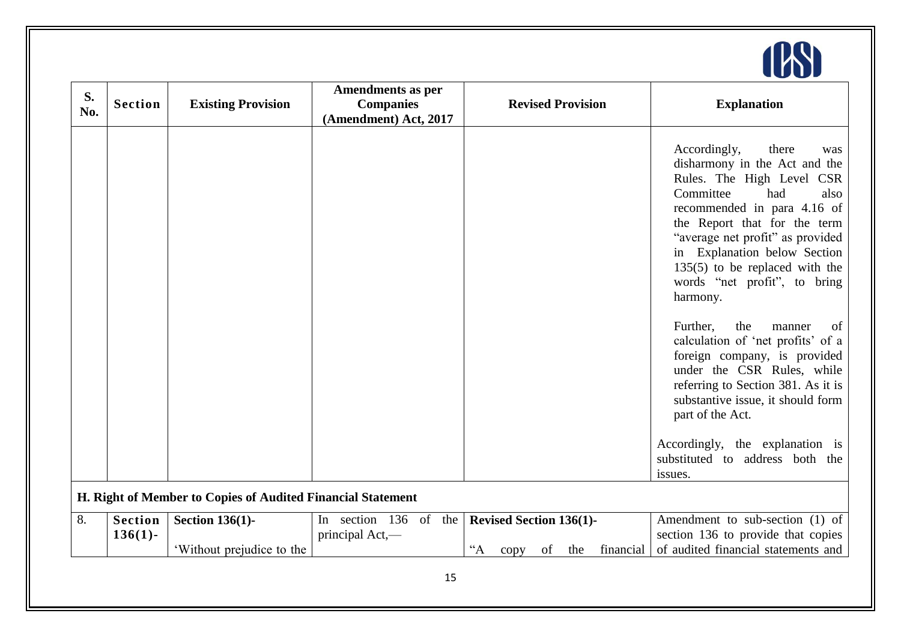

| S.<br>No. | <b>Section</b>               | <b>Existing Provision</b>                                   | <b>Amendments as per</b><br><b>Companies</b><br>(Amendment) Act, 2017 |                  |                                        |    | <b>Revised Provision</b> |           | <b>Explanation</b>                                                                                                                                                                                                                                                                                                                                                                                                                                                                                                                                                                                                                                              |
|-----------|------------------------------|-------------------------------------------------------------|-----------------------------------------------------------------------|------------------|----------------------------------------|----|--------------------------|-----------|-----------------------------------------------------------------------------------------------------------------------------------------------------------------------------------------------------------------------------------------------------------------------------------------------------------------------------------------------------------------------------------------------------------------------------------------------------------------------------------------------------------------------------------------------------------------------------------------------------------------------------------------------------------------|
|           |                              |                                                             |                                                                       |                  |                                        |    |                          |           | Accordingly,<br>there<br>was<br>disharmony in the Act and the<br>Rules. The High Level CSR<br>Committee<br>had<br>also<br>recommended in para 4.16 of<br>the Report that for the term<br>"average net profit" as provided<br>in Explanation below Section<br>$135(5)$ to be replaced with the<br>words "net profit", to bring<br>harmony.<br>Further,<br>the<br>manner<br>of<br>calculation of 'net profits' of a<br>foreign company, is provided<br>under the CSR Rules, while<br>referring to Section 381. As it is<br>substantive issue, it should form<br>part of the Act.<br>Accordingly, the explanation is<br>substituted to address both the<br>issues. |
|           |                              | H. Right of Member to Copies of Audited Financial Statement |                                                                       |                  |                                        |    |                          |           |                                                                                                                                                                                                                                                                                                                                                                                                                                                                                                                                                                                                                                                                 |
| 8.        | <b>Section</b><br>$136(1)$ - | <b>Section 136(1)-</b><br>'Without prejudice to the         | In section 136 of the<br>principal Act,—                              | $A^{\cdot\cdot}$ | <b>Revised Section 136(1)-</b><br>copy | of | the                      | financial | Amendment to sub-section (1) of<br>section 136 to provide that copies<br>of audited financial statements and                                                                                                                                                                                                                                                                                                                                                                                                                                                                                                                                                    |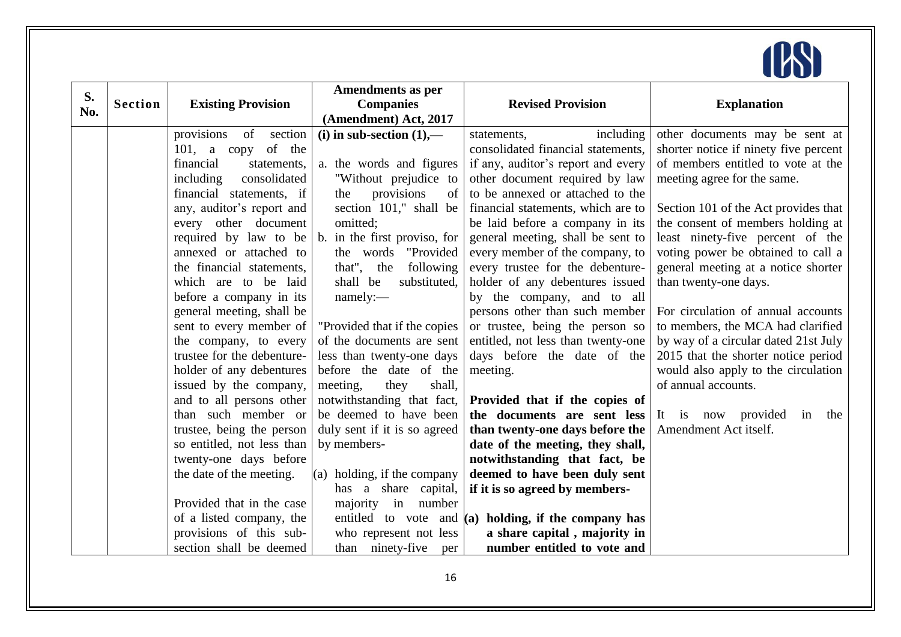

| S.  |                |                             | <b>Amendments as per</b>      |                                                        |                                       |
|-----|----------------|-----------------------------|-------------------------------|--------------------------------------------------------|---------------------------------------|
| No. | <b>Section</b> | <b>Existing Provision</b>   | <b>Companies</b>              | <b>Revised Provision</b>                               | <b>Explanation</b>                    |
|     |                |                             | (Amendment) Act, 2017         |                                                        |                                       |
|     |                | provisions<br>of<br>section | (i) in sub-section $(1)$ ,—   | including<br>statements,                               | other documents may be sent at        |
|     |                | 101, a copy of the          |                               | consolidated financial statements,                     | shorter notice if ninety five percent |
|     |                | financial<br>statements,    | a. the words and figures      | if any, auditor's report and every                     | of members entitled to vote at the    |
|     |                | consolidated<br>including   | "Without prejudice to         | other document required by law                         | meeting agree for the same.           |
|     |                | financial statements, if    | provisions<br>the<br>of       | to be annexed or attached to the                       |                                       |
|     |                | any, auditor's report and   | section 101," shall be        | financial statements, which are to                     | Section 101 of the Act provides that  |
|     |                | every other document        | omitted;                      | be laid before a company in its                        | the consent of members holding at     |
|     |                | required by law to be       | b. in the first proviso, for  | general meeting, shall be sent to                      | least ninety-five percent of the      |
|     |                | annexed or attached to      | the words "Provided"          | every member of the company, to                        | voting power be obtained to call a    |
|     |                | the financial statements,   | that", the<br>following       | every trustee for the debenture-                       | general meeting at a notice shorter   |
|     |                | which are to be laid        | shall be<br>substituted,      | holder of any debentures issued                        | than twenty-one days.                 |
|     |                | before a company in its     | namely:                       | by the company, and to all                             |                                       |
|     |                | general meeting, shall be   |                               | persons other than such member                         | For circulation of annual accounts    |
|     |                | sent to every member of     | "Provided that if the copies" | or trustee, being the person so                        | to members, the MCA had clarified     |
|     |                | the company, to every       | of the documents are sent     | entitled, not less than twenty-one                     | by way of a circular dated 21st July  |
|     |                | trustee for the debenture-  | less than twenty-one days     | days before the date of the                            | 2015 that the shorter notice period   |
|     |                | holder of any debentures    | before the date of the        | meeting.                                               | would also apply to the circulation   |
|     |                | issued by the company,      | meeting,<br>they<br>shall,    |                                                        | of annual accounts.                   |
|     |                | and to all persons other    | notwithstanding that fact,    | Provided that if the copies of                         |                                       |
|     |                | than such member or         | be deemed to have been        | the documents are sent less                            | It is now provided<br>in<br>the       |
|     |                | trustee, being the person   | duly sent if it is so agreed  | than twenty-one days before the                        | Amendment Act itself.                 |
|     |                | so entitled, not less than  | by members-                   | date of the meeting, they shall,                       |                                       |
|     |                | twenty-one days before      |                               | notwithstanding that fact, be                          |                                       |
|     |                | the date of the meeting.    | $(a)$ holding, if the company | deemed to have been duly sent                          |                                       |
|     |                |                             | share capital,<br>has a       | if it is so agreed by members-                         |                                       |
|     |                | Provided that in the case   | majority in<br>number         |                                                        |                                       |
|     |                | of a listed company, the    |                               | entitled to vote and $(a)$ holding, if the company has |                                       |
|     |                | provisions of this sub-     | who represent not less        | a share capital, majority in                           |                                       |
|     |                | section shall be deemed     | than ninety-five<br>per       | number entitled to vote and                            |                                       |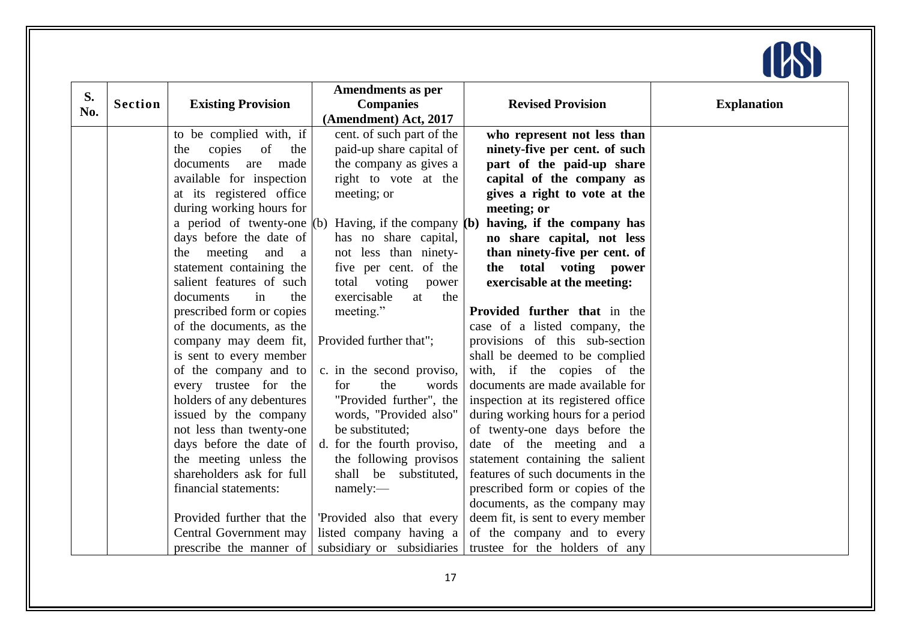

| S.  |                |                                       | <b>Amendments as per</b>                                  |                                     |                    |
|-----|----------------|---------------------------------------|-----------------------------------------------------------|-------------------------------------|--------------------|
| No. | <b>Section</b> | <b>Existing Provision</b>             | <b>Companies</b>                                          | <b>Revised Provision</b>            | <b>Explanation</b> |
|     |                |                                       | (Amendment) Act, 2017                                     |                                     |                    |
|     |                | to be complied with, if               | cent. of such part of the                                 | who represent not less than         |                    |
|     |                | copies of<br>the<br>the               | paid-up share capital of                                  | ninety-five per cent. of such       |                    |
|     |                | documents<br>made<br>are              | the company as gives a                                    | part of the paid-up share           |                    |
|     |                | available for inspection              | right to vote at the                                      | capital of the company as           |                    |
|     |                | at its registered office              | meeting; or                                               | gives a right to vote at the        |                    |
|     |                | during working hours for              |                                                           | meeting; or                         |                    |
|     |                |                                       | a period of twenty-one $(b)$ Having, if the company $(b)$ | having, if the company has          |                    |
|     |                | days before the date of               | has no share capital,                                     | no share capital, not less          |                    |
|     |                | meeting<br>and<br>the<br><sub>a</sub> | not less than ninety-                                     | than ninety-five per cent. of       |                    |
|     |                | statement containing the              | five per cent. of the                                     | the total voting power              |                    |
|     |                | salient features of such              | total voting power                                        | exercisable at the meeting:         |                    |
|     |                | the<br>documents<br>in                | exercisable<br>the<br>at                                  |                                     |                    |
|     |                | prescribed form or copies             | meeting."                                                 | Provided further that in the        |                    |
|     |                | of the documents, as the              |                                                           | case of a listed company, the       |                    |
|     |                | company may deem fit,                 | Provided further that";                                   | provisions of this sub-section      |                    |
|     |                | is sent to every member               |                                                           | shall be deemed to be complied      |                    |
|     |                | of the company and to                 | c. in the second proviso,                                 | with, if the copies of the          |                    |
|     |                | every trustee for the                 | the<br>for<br>words                                       | documents are made available for    |                    |
|     |                | holders of any debentures             | "Provided further", the                                   | inspection at its registered office |                    |
|     |                | issued by the company                 | words, "Provided also"                                    | during working hours for a period   |                    |
|     |                | not less than twenty-one              | be substituted;                                           | of twenty-one days before the       |                    |
|     |                | days before the date of               | d. for the fourth proviso,                                | date of the meeting and a           |                    |
|     |                | the meeting unless the                | the following provisos                                    | statement containing the salient    |                    |
|     |                | shareholders ask for full             | shall be substituted,                                     | features of such documents in the   |                    |
|     |                | financial statements:                 | namely:                                                   | prescribed form or copies of the    |                    |
|     |                |                                       |                                                           | documents, as the company may       |                    |
|     |                | Provided further that the             | 'Provided also that every                                 | deem fit, is sent to every member   |                    |
|     |                | Central Government may                | listed company having a                                   | of the company and to every         |                    |
|     |                |                                       | prescribe the manner of subsidiary or subsidiaries        | trustee for the holders of any      |                    |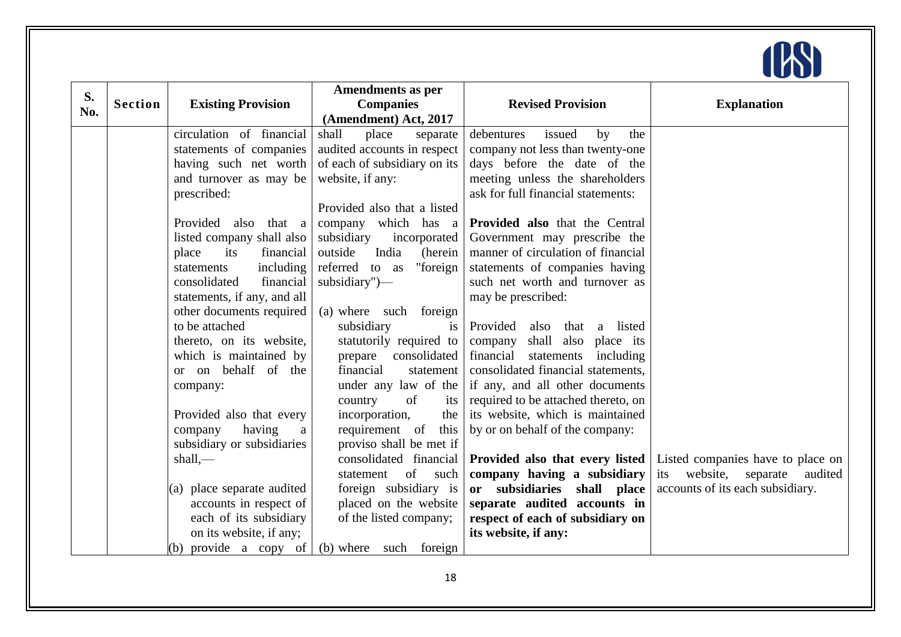

| S.  |                |                             | <b>Amendments as per</b>     |                                       |                                     |
|-----|----------------|-----------------------------|------------------------------|---------------------------------------|-------------------------------------|
| No. | <b>Section</b> | <b>Existing Provision</b>   | <b>Companies</b>             | <b>Revised Provision</b>              | <b>Explanation</b>                  |
|     |                |                             | (Amendment) Act, 2017        |                                       |                                     |
|     |                | circulation of financial    | shall<br>place<br>separate   | debentures<br>issued<br>by<br>the     |                                     |
|     |                | statements of companies     | audited accounts in respect  | company not less than twenty-one      |                                     |
|     |                | having such net worth       | of each of subsidiary on its | days before the date of the           |                                     |
|     |                | and turnover as may be      | website, if any:             | meeting unless the shareholders       |                                     |
|     |                | prescribed:                 |                              | ask for full financial statements:    |                                     |
|     |                |                             | Provided also that a listed  |                                       |                                     |
|     |                | Provided also that a        | company which has a          | <b>Provided also</b> that the Central |                                     |
|     |                | listed company shall also   | subsidiary<br>incorporated   | Government may prescribe the          |                                     |
|     |                | financial<br>place<br>its   | outside<br>India<br>(herein  | manner of circulation of financial    |                                     |
|     |                | including<br>statements     | "foreign<br>referred to as   | statements of companies having        |                                     |
|     |                | financial<br>consolidated   | subsidiary")—                | such net worth and turnover as        |                                     |
|     |                | statements, if any, and all |                              | may be prescribed:                    |                                     |
|     |                | other documents required    | (a) where such foreign       |                                       |                                     |
|     |                | to be attached              | subsidiary<br>is             | Provided<br>that a listed<br>also     |                                     |
|     |                | thereto, on its website,    | statutorily required to      | shall also place its<br>company       |                                     |
|     |                | which is maintained by      | consolidated<br>prepare      | financial<br>statements including     |                                     |
|     |                | or on behalf of the         | financial<br>statement       | consolidated financial statements,    |                                     |
|     |                | company:                    | under any law of the         | if any, and all other documents       |                                     |
|     |                |                             | country<br>of<br>its         | required to be attached thereto, on   |                                     |
|     |                | Provided also that every    | incorporation,<br>the        | its website, which is maintained      |                                     |
|     |                | company<br>having<br>a      | requirement of<br>this       | by or on behalf of the company:       |                                     |
|     |                | subsidiary or subsidiaries  | proviso shall be met if      |                                       |                                     |
|     |                | shall,                      | consolidated financial       | Provided also that every listed       | Listed companies have to place on   |
|     |                |                             | of<br>such<br>statement      | company having a subsidiary           | website, separate<br>its<br>audited |
|     |                | (a) place separate audited  | foreign subsidiary is        | or subsidiaries shall place           | accounts of its each subsidiary.    |
|     |                | accounts in respect of      | placed on the website        | separate audited accounts in          |                                     |
|     |                | each of its subsidiary      | of the listed company;       | respect of each of subsidiary on      |                                     |
|     |                | on its website, if any;     |                              | its website, if any:                  |                                     |
|     |                | (b) provide a copy of       | (b) where such foreign       |                                       |                                     |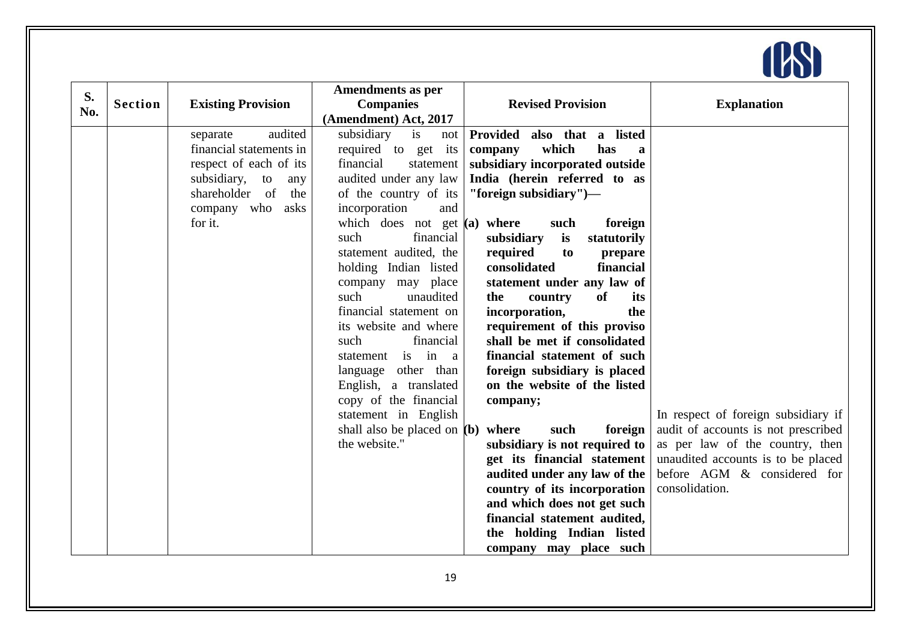

| S.<br>No. | <b>Section</b> | <b>Existing Provision</b>                                                                                                                                    | <b>Amendments as per</b><br><b>Companies</b><br>(Amendment) Act, 2017                                                                                                                                                                                                                                                                                                                                                                                                                                                                                        | <b>Revised Provision</b>                                                                                                                                                                                                                                                                                                                                                                                                                                                                                                                                                                                                                                                                                                                                                                                          | <b>Explanation</b>                                                                                                                                                                                   |
|-----------|----------------|--------------------------------------------------------------------------------------------------------------------------------------------------------------|--------------------------------------------------------------------------------------------------------------------------------------------------------------------------------------------------------------------------------------------------------------------------------------------------------------------------------------------------------------------------------------------------------------------------------------------------------------------------------------------------------------------------------------------------------------|-------------------------------------------------------------------------------------------------------------------------------------------------------------------------------------------------------------------------------------------------------------------------------------------------------------------------------------------------------------------------------------------------------------------------------------------------------------------------------------------------------------------------------------------------------------------------------------------------------------------------------------------------------------------------------------------------------------------------------------------------------------------------------------------------------------------|------------------------------------------------------------------------------------------------------------------------------------------------------------------------------------------------------|
|           |                | audited<br>separate<br>financial statements in<br>respect of each of its<br>subsidiary, to<br>any<br>shareholder of<br>the<br>company who<br>asks<br>for it. | subsidiary<br>is<br>not<br>required to get its<br>financial<br>statement<br>audited under any law<br>of the country of its<br>incorporation<br>and<br>which does not get $(a)$ where<br>financial<br>such<br>statement audited, the<br>holding Indian listed<br>company may place<br>such<br>unaudited<br>financial statement on<br>its website and where<br>such<br>financial<br>statement is in a<br>language other than<br>English, a translated<br>copy of the financial<br>statement in English<br>shall also be placed on $(b)$ where<br>the website." | Provided also that a listed<br>which<br>has<br>company<br>a<br>subsidiary incorporated outside<br>India (herein referred to as<br>"foreign subsidiary")-<br>foreign<br>such<br>is<br>statutorily<br>subsidiary<br>required<br>to<br>prepare<br>consolidated<br>financial<br>statement under any law of<br>of<br>the<br>its<br>country<br>incorporation,<br>the<br>requirement of this proviso<br>shall be met if consolidated<br>financial statement of such<br>foreign subsidiary is placed<br>on the website of the listed<br>company;<br>such<br>foreign<br>subsidiary is not required to<br>get its financial statement<br>audited under any law of the<br>country of its incorporation<br>and which does not get such<br>financial statement audited,<br>the holding Indian listed<br>company may place such | In respect of foreign subsidiary if<br>audit of accounts is not prescribed<br>as per law of the country, then<br>unaudited accounts is to be placed<br>before AGM & considered for<br>consolidation. |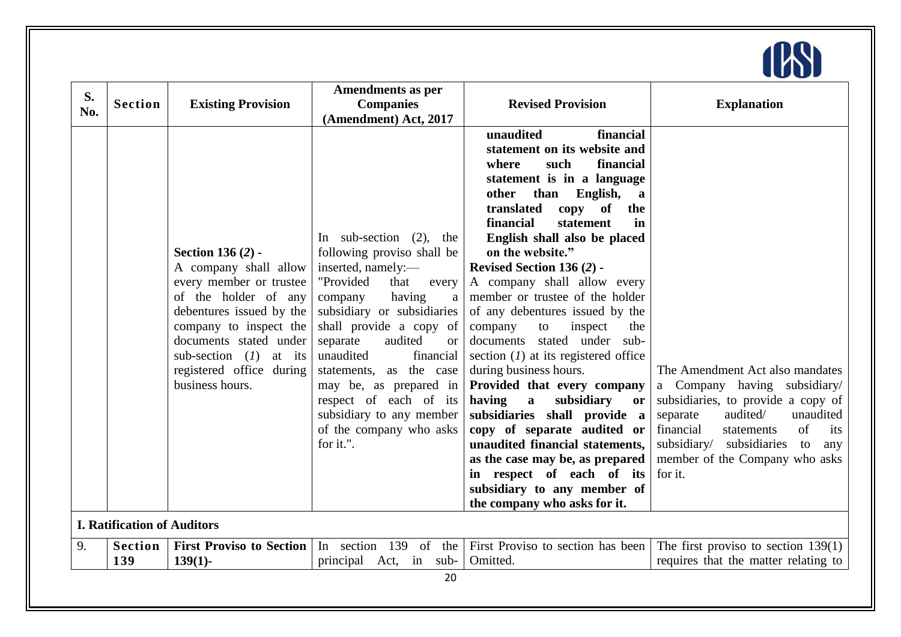

|           |                                    |                                 | <b>Amendments as per</b>          |                                                   |                                          |
|-----------|------------------------------------|---------------------------------|-----------------------------------|---------------------------------------------------|------------------------------------------|
| S.<br>No. | <b>Section</b>                     | <b>Existing Provision</b>       | <b>Companies</b>                  | <b>Revised Provision</b>                          | <b>Explanation</b>                       |
|           |                                    |                                 | (Amendment) Act, 2017             |                                                   |                                          |
|           |                                    |                                 |                                   | unaudited<br>financial                            |                                          |
|           |                                    |                                 |                                   | statement on its website and                      |                                          |
|           |                                    |                                 |                                   | such<br>financial<br>where                        |                                          |
|           |                                    |                                 |                                   | statement is in a language                        |                                          |
|           |                                    |                                 |                                   | other than English,<br>a                          |                                          |
|           |                                    |                                 |                                   | translated<br>copy<br>of<br>the                   |                                          |
|           |                                    |                                 |                                   | financial<br>statement<br>in                      |                                          |
|           |                                    |                                 | In sub-section $(2)$ ,<br>the     | English shall also be placed                      |                                          |
|           |                                    | <b>Section 136 (2) -</b>        | following proviso shall be        | on the website."                                  |                                          |
|           |                                    | A company shall allow           | inserted, namely:-                | Revised Section 136 (2) -                         |                                          |
|           |                                    | every member or trustee         | "Provided<br>that<br>every        | A company shall allow every                       |                                          |
|           |                                    | of the holder of any            | having<br>company<br>$\mathbf{a}$ | member or trustee of the holder                   |                                          |
|           |                                    | debentures issued by the        | subsidiary or subsidiaries        | of any debentures issued by the                   |                                          |
|           |                                    | company to inspect the          | shall provide a copy of           | company<br>the<br>to<br>inspect                   |                                          |
|           |                                    | documents stated under          | audited<br>separate<br><b>or</b>  | documents stated under<br>sub-                    |                                          |
|           |                                    | sub-section $(I)$ at its        | unaudited<br>financial            | section $(I)$ at its registered office            |                                          |
|           |                                    | registered office during        | statements, as the case           | during business hours.                            | The Amendment Act also mandates          |
|           |                                    | business hours.                 | may be, as prepared in            | Provided that every company                       | a Company having subsidiary/             |
|           |                                    |                                 | respect of each of its            | having<br>$\mathbf{a}$<br>subsidiary<br><b>or</b> | subsidiaries, to provide a copy of       |
|           |                                    |                                 | subsidiary to any member          | subsidiaries shall provide a                      | audited/<br>unaudited<br>separate        |
|           |                                    |                                 | of the company who asks           | copy of separate audited or                       | of<br>financial<br>statements<br>its     |
|           |                                    |                                 | for it.".                         | unaudited financial statements,                   | subsidiary/<br>subsidiaries<br>to<br>any |
|           |                                    |                                 |                                   | as the case may be, as prepared                   | member of the Company who asks           |
|           |                                    |                                 |                                   | in respect of each of its                         | for it.                                  |
|           |                                    |                                 |                                   | subsidiary to any member of                       |                                          |
|           |                                    |                                 |                                   | the company who asks for it.                      |                                          |
|           | <b>I. Ratification of Auditors</b> |                                 |                                   |                                                   |                                          |
| 9.        | <b>Section</b>                     | <b>First Proviso to Section</b> | In section $139$ of the           | First Proviso to section has been                 | The first proviso to section $139(1)$    |
|           | 139                                | $139(1)$ -                      | principal Act,<br>sub-<br>in      | Omitted.                                          | requires that the matter relating to     |
|           |                                    |                                 | 20                                |                                                   |                                          |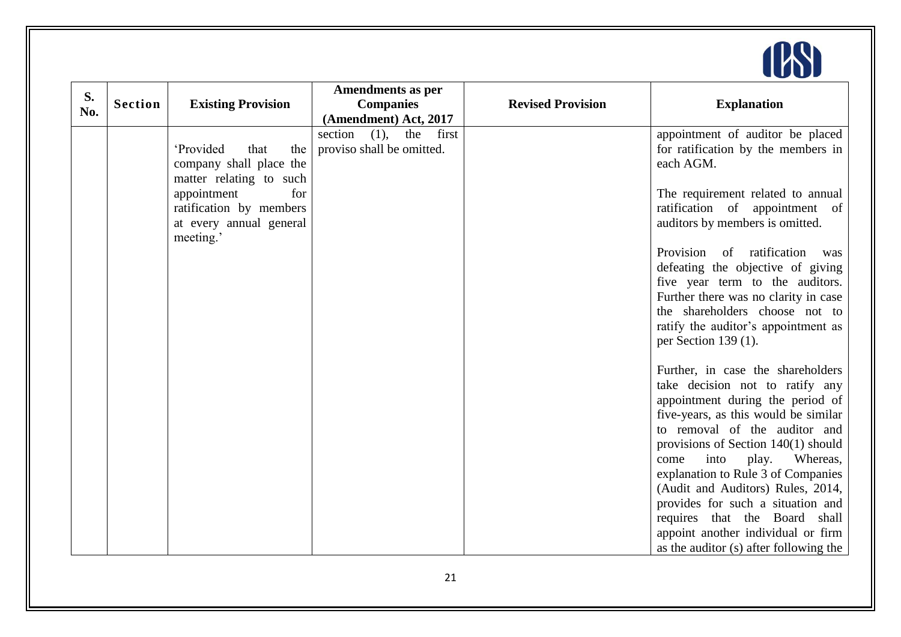

| S.  |                |                           | <b>Amendments as per</b>        |                          |                                                                |
|-----|----------------|---------------------------|---------------------------------|--------------------------|----------------------------------------------------------------|
| No. | <b>Section</b> | <b>Existing Provision</b> | <b>Companies</b>                | <b>Revised Provision</b> | <b>Explanation</b>                                             |
|     |                |                           | (Amendment) Act, 2017           |                          |                                                                |
|     |                |                           | (1),<br>section<br>the<br>first |                          | appointment of auditor be placed                               |
|     |                | 'Provided<br>that<br>the  | proviso shall be omitted.       |                          | for ratification by the members in                             |
|     |                | company shall place the   |                                 |                          | each AGM.                                                      |
|     |                | matter relating to such   |                                 |                          |                                                                |
|     |                | appointment<br>for        |                                 |                          | The requirement related to annual                              |
|     |                | ratification by members   |                                 |                          | ratification of appointment of                                 |
|     |                | at every annual general   |                                 |                          | auditors by members is omitted.                                |
|     |                | meeting.'                 |                                 |                          |                                                                |
|     |                |                           |                                 |                          | Provision of ratification was                                  |
|     |                |                           |                                 |                          | defeating the objective of giving                              |
|     |                |                           |                                 |                          | five year term to the auditors.                                |
|     |                |                           |                                 |                          | Further there was no clarity in case                           |
|     |                |                           |                                 |                          | the shareholders choose not to                                 |
|     |                |                           |                                 |                          | ratify the auditor's appointment as<br>per Section 139 $(1)$ . |
|     |                |                           |                                 |                          |                                                                |
|     |                |                           |                                 |                          | Further, in case the shareholders                              |
|     |                |                           |                                 |                          | take decision not to ratify any                                |
|     |                |                           |                                 |                          | appointment during the period of                               |
|     |                |                           |                                 |                          | five-years, as this would be similar                           |
|     |                |                           |                                 |                          | to removal of the auditor and                                  |
|     |                |                           |                                 |                          | provisions of Section $140(1)$ should                          |
|     |                |                           |                                 |                          | into<br>play.<br>Whereas,<br>come                              |
|     |                |                           |                                 |                          | explanation to Rule 3 of Companies                             |
|     |                |                           |                                 |                          | (Audit and Auditors) Rules, 2014,                              |
|     |                |                           |                                 |                          | provides for such a situation and                              |
|     |                |                           |                                 |                          | requires that the Board shall                                  |
|     |                |                           |                                 |                          | appoint another individual or firm                             |
|     |                |                           |                                 |                          | as the auditor (s) after following the                         |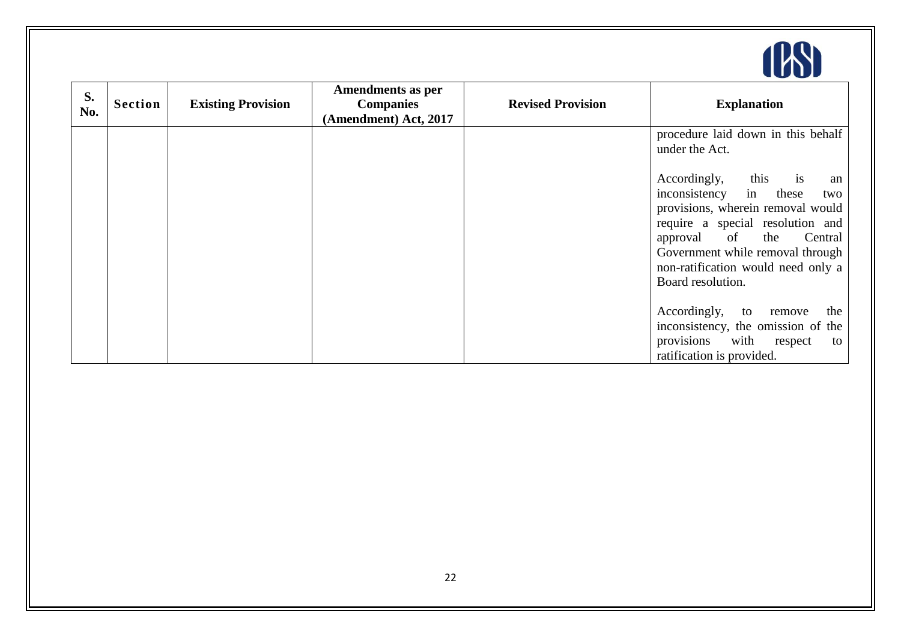

| S.<br>No. | <b>Section</b> | <b>Existing Provision</b> | <b>Amendments as per</b><br><b>Companies</b><br>(Amendment) Act, 2017 | <b>Revised Provision</b> | <b>Explanation</b>                                                                                                                                                                                                                                                         |
|-----------|----------------|---------------------------|-----------------------------------------------------------------------|--------------------------|----------------------------------------------------------------------------------------------------------------------------------------------------------------------------------------------------------------------------------------------------------------------------|
|           |                |                           |                                                                       |                          | procedure laid down in this behalf<br>under the Act.                                                                                                                                                                                                                       |
|           |                |                           |                                                                       |                          | this<br>Accordingly,<br>1S<br>an<br>inconsistency in<br>these<br>two<br>provisions, wherein removal would<br>require a special resolution and<br>approval of the<br>Central<br>Government while removal through<br>non-ratification would need only a<br>Board resolution. |
|           |                |                           |                                                                       |                          | Accordingly, to remove<br>the<br>inconsistency, the omission of the<br>provisions with<br>respect<br>to<br>ratification is provided.                                                                                                                                       |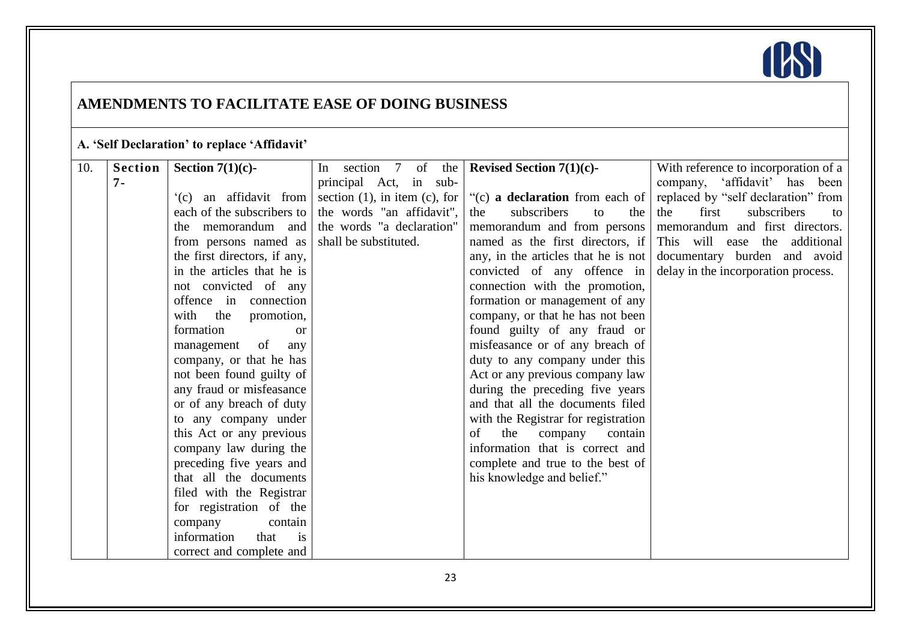

### **AMENDMENTS TO FACILITATE EASE OF DOING BUSINESS**

### **A. ‗Self Declaration' to replace ‗Affidavit'**

| 10. | Section | Section 7(1)(c)-                     | In section 7 of the $\vert$ | <b>Revised Section 7(1)(c)-</b>                                                          | With reference to incorporation of a                           |
|-----|---------|--------------------------------------|-----------------------------|------------------------------------------------------------------------------------------|----------------------------------------------------------------|
|     | $7 -$   |                                      | principal Act, in sub-      |                                                                                          | company, 'affidavit' has been                                  |
|     |         |                                      |                             | $'(c)$ an affidavit from section (1), in item (c), for $ (c)$ a declaration from each of | replaced by "self declaration" from                            |
|     |         | each of the subscribers to           | the words "an affidavit",   | subscribers<br>the<br>to<br>the                                                          | first<br>subscribers<br>the<br>to                              |
|     |         | the memorandum and                   | the words "a declaration"   |                                                                                          | memorandum and from persons memorandum and first directors.    |
|     |         | from persons named as                | shall be substituted.       |                                                                                          | named as the first directors, if This will ease the additional |
|     |         | the first directors, if any,         |                             | any, in the articles that he is not                                                      | documentary burden and avoid                                   |
|     |         | in the articles that he is           |                             | convicted of any offence in                                                              | delay in the incorporation process.                            |
|     |         | not convicted of any                 |                             | connection with the promotion,                                                           |                                                                |
|     |         | offence in connection                |                             | formation or management of any                                                           |                                                                |
|     |         | with the promotion,                  |                             | company, or that he has not been                                                         |                                                                |
|     |         | formation<br><b>or</b>               |                             | found guilty of any fraud or                                                             |                                                                |
|     |         | management of<br>any                 |                             | misfeasance or of any breach of                                                          |                                                                |
|     |         | company, or that he has              |                             | duty to any company under this                                                           |                                                                |
|     |         | not been found guilty of             |                             | Act or any previous company law                                                          |                                                                |
|     |         | any fraud or misfeasance             |                             | during the preceding five years                                                          |                                                                |
|     |         | or of any breach of duty             |                             | and that all the documents filed                                                         |                                                                |
|     |         | to any company under                 |                             | with the Registrar for registration                                                      |                                                                |
|     |         | this Act or any previous             |                             | of<br>the<br>company<br>contain                                                          |                                                                |
|     |         | company law during the               |                             | information that is correct and                                                          |                                                                |
|     |         | preceding five years and             |                             | complete and true to the best of                                                         |                                                                |
|     |         | that all the documents               |                             | his knowledge and belief."                                                               |                                                                |
|     |         | filed with the Registrar             |                             |                                                                                          |                                                                |
|     |         | for registration of the              |                             |                                                                                          |                                                                |
|     |         | company<br>contain                   |                             |                                                                                          |                                                                |
|     |         | information<br>that<br>$\frac{1}{1}$ |                             |                                                                                          |                                                                |
|     |         | correct and complete and             |                             |                                                                                          |                                                                |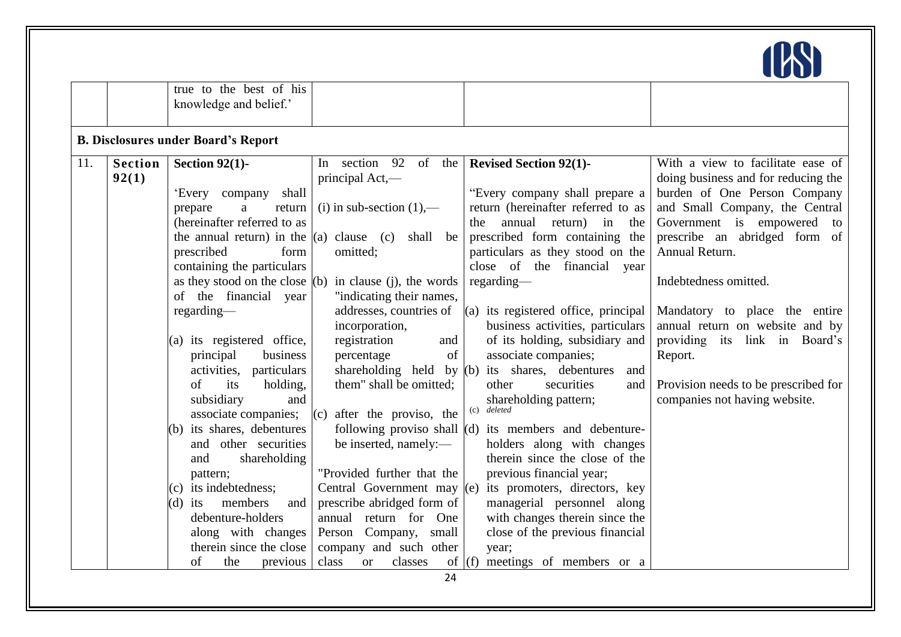

|                                |                                                                                                                                                                                                                                                                                                                                                                                                                                                                                                                                                                                                                                                           |                                                                                                                                                                                                                                                                                                                                                                                                                                                                                                                                                                                                       |                                                                                                                                                                                                                                                                                                                                                                                                                                                                                                                                                                                                                                                                                                                                                                                                                                                       | $\sim$<br>$\sim$                                                                                                                                                                                                                                                                                                                                                                                                                              |
|--------------------------------|-----------------------------------------------------------------------------------------------------------------------------------------------------------------------------------------------------------------------------------------------------------------------------------------------------------------------------------------------------------------------------------------------------------------------------------------------------------------------------------------------------------------------------------------------------------------------------------------------------------------------------------------------------------|-------------------------------------------------------------------------------------------------------------------------------------------------------------------------------------------------------------------------------------------------------------------------------------------------------------------------------------------------------------------------------------------------------------------------------------------------------------------------------------------------------------------------------------------------------------------------------------------------------|-------------------------------------------------------------------------------------------------------------------------------------------------------------------------------------------------------------------------------------------------------------------------------------------------------------------------------------------------------------------------------------------------------------------------------------------------------------------------------------------------------------------------------------------------------------------------------------------------------------------------------------------------------------------------------------------------------------------------------------------------------------------------------------------------------------------------------------------------------|-----------------------------------------------------------------------------------------------------------------------------------------------------------------------------------------------------------------------------------------------------------------------------------------------------------------------------------------------------------------------------------------------------------------------------------------------|
|                                | true to the best of his<br>knowledge and belief.'                                                                                                                                                                                                                                                                                                                                                                                                                                                                                                                                                                                                         |                                                                                                                                                                                                                                                                                                                                                                                                                                                                                                                                                                                                       |                                                                                                                                                                                                                                                                                                                                                                                                                                                                                                                                                                                                                                                                                                                                                                                                                                                       |                                                                                                                                                                                                                                                                                                                                                                                                                                               |
|                                | <b>B. Disclosures under Board's Report</b>                                                                                                                                                                                                                                                                                                                                                                                                                                                                                                                                                                                                                |                                                                                                                                                                                                                                                                                                                                                                                                                                                                                                                                                                                                       |                                                                                                                                                                                                                                                                                                                                                                                                                                                                                                                                                                                                                                                                                                                                                                                                                                                       |                                                                                                                                                                                                                                                                                                                                                                                                                                               |
| 11.<br><b>Section</b><br>92(1) | Section $92(1)$ -<br>shall<br>'Every company<br>a<br>prepare<br>return<br>(hereinafter referred to as<br>the annual return) in the $(a)$ clause (c)<br>prescribed<br>form<br>containing the particulars<br>of the financial year<br>regarding-<br>(a) its registered office,<br>principal<br>business<br>activities, particulars<br>its<br>holding,<br>of<br>subsidiary<br>and<br>associate companies;<br>its shares, debentures<br>(b)<br>and other securities<br>shareholding<br>and<br>pattern;<br>(c) its indebtedness;<br>members<br>$(d)$ its<br>and<br>debenture-holders<br>along with changes<br>therein since the close<br>of<br>the<br>previous | In section 92 of the Revised Section 92(1)-<br>principal Act,-<br>(i) in sub-section $(1)$ ,—<br>shall be<br>omitted;<br>as they stood on the close $(1)$ in clause $(1)$ , the words<br>"indicating their names,<br>addresses, countries of<br>incorporation,<br>registration<br>and<br>of<br>percentage<br>them" shall be omitted;<br>after the proviso, the<br>(c)<br>be inserted, namely:-<br>"Provided further that the<br>Central Government may (e)<br>prescribe abridged form of<br>annual return for One<br>Person Company, small<br>company and such other<br>class<br>classes<br><b>or</b> | "Every company shall prepare a<br>return (hereinafter referred to as<br>annual<br>return) in<br>the -<br>the<br>prescribed form containing the<br>particulars as they stood on the<br>close of the financial year<br>regarding<br>$(a)$ its registered office, principal<br>business activities, particulars<br>of its holding, subsidiary and<br>associate companies;<br>shareholding held by $(b)$ its shares, debentures<br>and<br>securities<br>other<br>and<br>shareholding pattern;<br>(c) deleted<br>following proviso shall $(d)$ its members and debenture-<br>holders along with changes<br>therein since the close of the<br>previous financial year;<br>its promoters, directors, key<br>managerial personnel along<br>with changes therein since the<br>close of the previous financial<br>year;<br>meetings of members or a<br>of $(f)$ | With a view to facilitate ease of<br>doing business and for reducing the<br>burden of One Person Company<br>and Small Company, the Central<br>Government is empowered to<br>prescribe an abridged form of<br>Annual Return.<br>Indebtedness omitted.<br>Mandatory to place the entire<br>annual return on website and by<br>providing its link in Board's<br>Report.<br>Provision needs to be prescribed for<br>companies not having website. |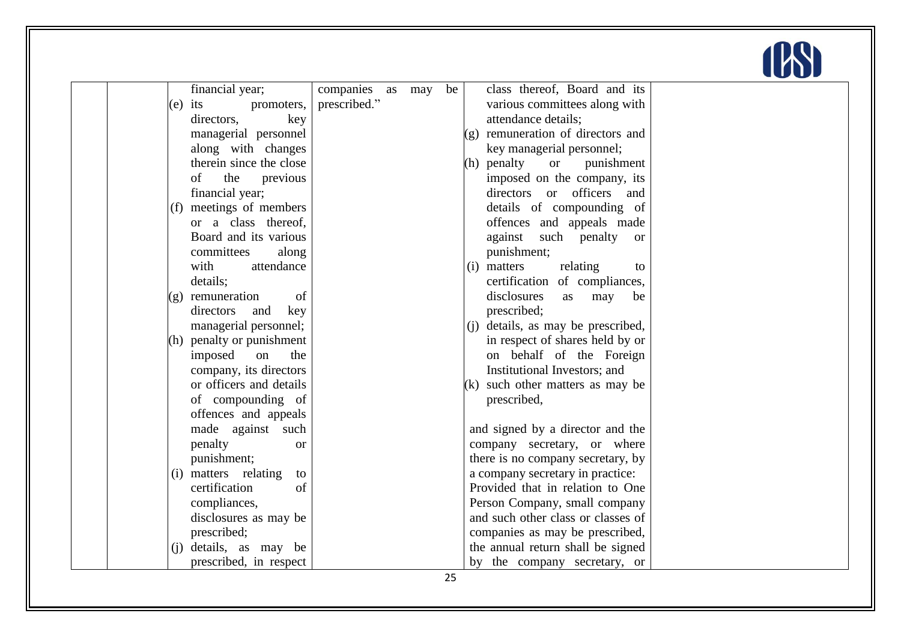

| financial year;      | companies as may           | be | class thereof, Board and its           |  |
|----------------------|----------------------------|----|----------------------------------------|--|
| $(e)$ its            | prescribed."<br>promoters, |    | various committees along with          |  |
| directors,           | key                        |    | attendance details;                    |  |
|                      | managerial personnel       |    | remuneration of directors and<br>(g)   |  |
|                      | along with changes         |    | key managerial personnel;              |  |
|                      | therein since the close    |    | (h) penalty<br><b>or</b><br>punishment |  |
| the<br>of            | previous                   |    | imposed on the company, its            |  |
| financial year;      |                            |    | directors or officers<br>and           |  |
| (f)                  | meetings of members        |    | details of compounding of              |  |
|                      | or a class thereof,        |    | offences and appeals made              |  |
|                      | Board and its various      |    | against such penalty<br><sub>or</sub>  |  |
| committees           | along                      |    | punishment;                            |  |
| with                 | attendance                 |    | matters<br>relating<br>(i)<br>to       |  |
| details;             |                            |    | certification of compliances,          |  |
| remuneration<br>(g)  | of                         |    | disclosures<br>may<br>as<br>be         |  |
| directors            | key<br>and                 |    | prescribed;                            |  |
|                      | managerial personnel;      |    | details, as may be prescribed,<br>(i)  |  |
|                      | (h) penalty or punishment  |    | in respect of shares held by or        |  |
| imposed              | the<br>on                  |    | on behalf of the Foreign               |  |
|                      | company, its directors     |    | Institutional Investors; and           |  |
|                      | or officers and details    |    | such other matters as may be<br>(k)    |  |
|                      | of compounding of          |    | prescribed,                            |  |
|                      | offences and appeals       |    |                                        |  |
|                      | made against<br>such       |    | and signed by a director and the       |  |
| penalty              | <b>or</b>                  |    | company secretary, or where            |  |
| punishment;          |                            |    | there is no company secretary, by      |  |
| (i) matters relating | to                         |    | a company secretary in practice:       |  |
| certification        | of                         |    | Provided that in relation to One       |  |
| compliances,         |                            |    | Person Company, small company          |  |
|                      | disclosures as may be      |    | and such other class or classes of     |  |
| prescribed;          |                            |    | companies as may be prescribed,        |  |
| (i)                  | details, as may be         |    | the annual return shall be signed      |  |
|                      | prescribed, in respect     |    | by the company secretary, or           |  |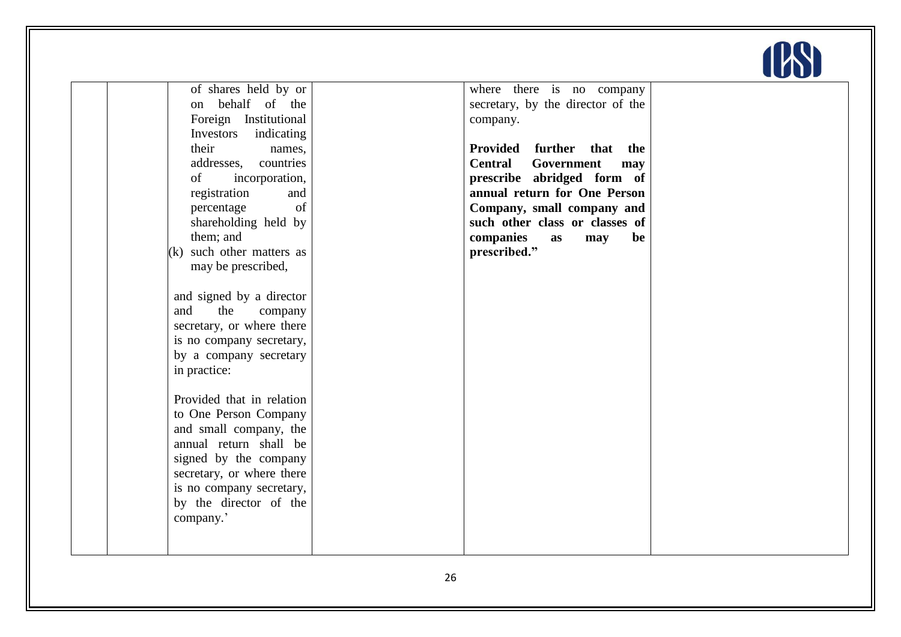

| of shares held by or<br>behalf of the<br>on<br>Foreign Institutional<br>Investors indicating<br>their | where there is no company<br>secretary, by the director of the<br>company.<br>Provided further<br>that the |  |
|-------------------------------------------------------------------------------------------------------|------------------------------------------------------------------------------------------------------------|--|
| names,<br>addresses,<br>countries                                                                     | <b>Central</b><br>Government<br>may                                                                        |  |
| incorporation,<br>of                                                                                  | prescribe abridged form of                                                                                 |  |
| registration<br>and                                                                                   | annual return for One Person                                                                               |  |
| of<br>percentage                                                                                      | Company, small company and<br>such other class or classes of                                               |  |
| shareholding held by<br>them; and                                                                     | be<br>companies<br>may<br>as                                                                               |  |
| (k) such other matters as                                                                             | prescribed."                                                                                               |  |
| may be prescribed,                                                                                    |                                                                                                            |  |
|                                                                                                       |                                                                                                            |  |
| and signed by a director                                                                              |                                                                                                            |  |
| and<br>the<br>company                                                                                 |                                                                                                            |  |
| secretary, or where there                                                                             |                                                                                                            |  |
| is no company secretary,                                                                              |                                                                                                            |  |
| by a company secretary                                                                                |                                                                                                            |  |
| in practice:                                                                                          |                                                                                                            |  |
| Provided that in relation                                                                             |                                                                                                            |  |
| to One Person Company                                                                                 |                                                                                                            |  |
| and small company, the<br>annual return shall be                                                      |                                                                                                            |  |
| signed by the company                                                                                 |                                                                                                            |  |
| secretary, or where there                                                                             |                                                                                                            |  |
| is no company secretary,                                                                              |                                                                                                            |  |
| by the director of the                                                                                |                                                                                                            |  |
| company.'                                                                                             |                                                                                                            |  |
|                                                                                                       |                                                                                                            |  |
|                                                                                                       |                                                                                                            |  |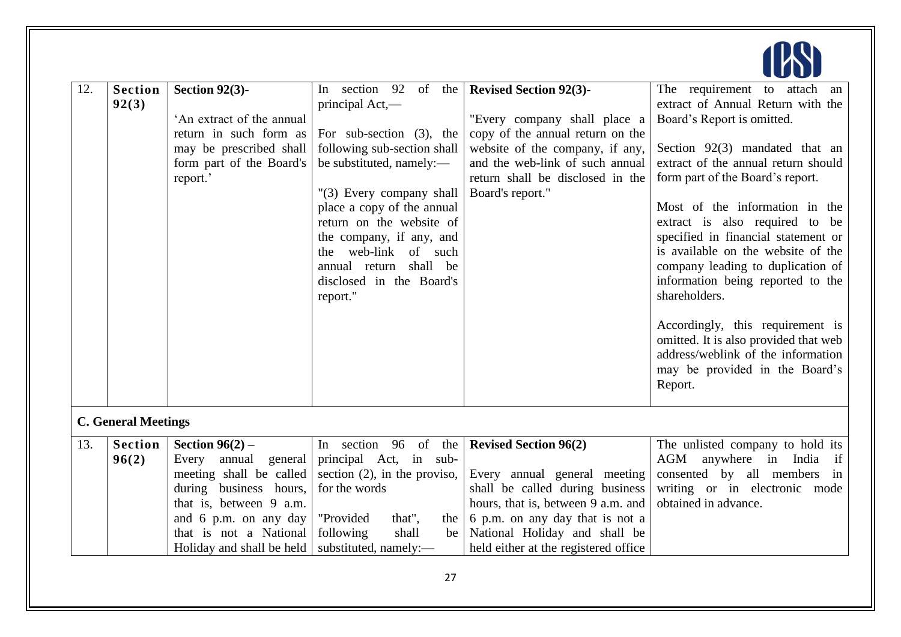| 12. | <b>Section</b><br>92(3)    | Section $92(3)$ -<br>'An extract of the annual<br>return in such form as<br>may be prescribed shall<br>form part of the Board's<br>report.'                                                                  | In section 92<br>of the<br>principal Act,—<br>For sub-section $(3)$ , the<br>following sub-section shall<br>be substituted, namely:-<br>"(3) Every company shall<br>place a copy of the annual<br>return on the website of<br>the company, if any, and<br>the web-link of such<br>annual return shall be<br>disclosed in the Board's<br>report." | <b>Revised Section 92(3)-</b><br>"Every company shall place a<br>copy of the annual return on the<br>website of the company, if any,<br>and the web-link of such annual<br>return shall be disclosed in the<br>Board's report."                   | The requirement to attach<br>an<br>extract of Annual Return with the<br>Board's Report is omitted.<br>Section 92(3) mandated that an<br>extract of the annual return should<br>form part of the Board's report.<br>Most of the information in the<br>extract is also required to be<br>specified in financial statement or<br>is available on the website of the<br>company leading to duplication of<br>information being reported to the<br>shareholders.<br>Accordingly, this requirement is<br>omitted. It is also provided that web<br>address/weblink of the information<br>may be provided in the Board's<br>Report. |
|-----|----------------------------|--------------------------------------------------------------------------------------------------------------------------------------------------------------------------------------------------------------|--------------------------------------------------------------------------------------------------------------------------------------------------------------------------------------------------------------------------------------------------------------------------------------------------------------------------------------------------|---------------------------------------------------------------------------------------------------------------------------------------------------------------------------------------------------------------------------------------------------|-----------------------------------------------------------------------------------------------------------------------------------------------------------------------------------------------------------------------------------------------------------------------------------------------------------------------------------------------------------------------------------------------------------------------------------------------------------------------------------------------------------------------------------------------------------------------------------------------------------------------------|
|     | <b>C. General Meetings</b> |                                                                                                                                                                                                              |                                                                                                                                                                                                                                                                                                                                                  |                                                                                                                                                                                                                                                   |                                                                                                                                                                                                                                                                                                                                                                                                                                                                                                                                                                                                                             |
| 13. | <b>Section</b><br>96(2)    | Section $96(2)$ –<br>Every annual<br>general<br>meeting shall be called<br>during business hours,<br>that is, between 9 a.m.<br>and 6 p.m. on any day<br>that is not a National<br>Holiday and shall be held | In section 96 of the<br>principal Act, in sub-<br>section $(2)$ , in the proviso,<br>for the words<br>that",<br>"Provided<br>the  <br>shall<br>following<br>be  <br>substituted, namely:-                                                                                                                                                        | <b>Revised Section 96(2)</b><br>Every annual general meeting<br>shall be called during business<br>hours, that is, between 9 a.m. and<br>6 p.m. on any day that is not a<br>National Holiday and shall be<br>held either at the registered office | The unlisted company to hold its<br>AGM<br>anywhere in India<br>if<br>consented by all members<br>in<br>writing or in electronic mode<br>obtained in advance.                                                                                                                                                                                                                                                                                                                                                                                                                                                               |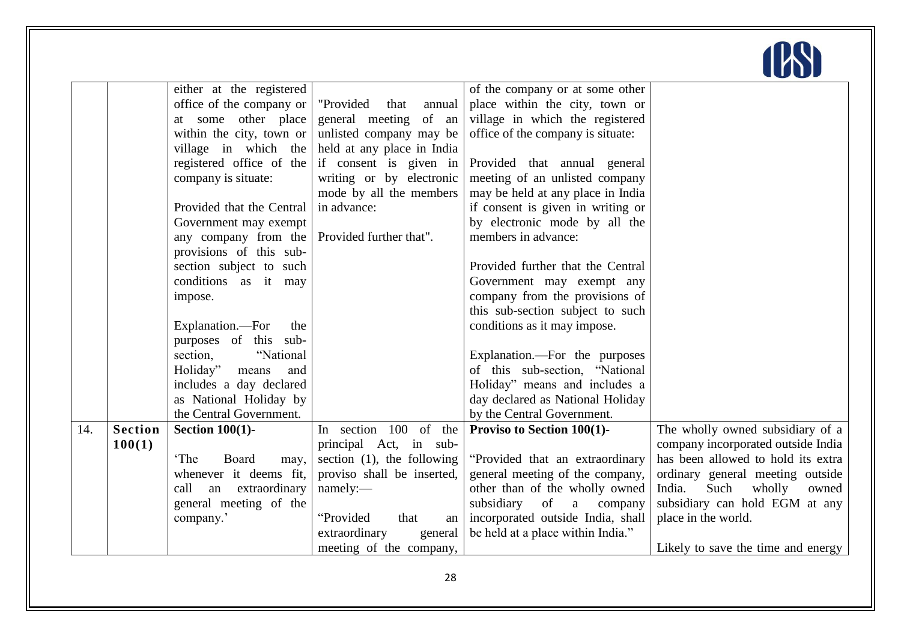|     |                | either at the registered    |                               | of the company or at some other   |                                    |
|-----|----------------|-----------------------------|-------------------------------|-----------------------------------|------------------------------------|
|     |                | office of the company or    | "Provided<br>annual<br>that   | place within the city, town or    |                                    |
|     |                | at some other place         | general meeting<br>of an      | village in which the registered   |                                    |
|     |                | within the city, town or    | unlisted company may be       | office of the company is situate: |                                    |
|     |                | village in which the        | held at any place in India    |                                   |                                    |
|     |                | registered office of the    | if consent is given in        | Provided that annual general      |                                    |
|     |                | company is situate:         | writing or by electronic      | meeting of an unlisted company    |                                    |
|     |                |                             | mode by all the members       | may be held at any place in India |                                    |
|     |                | Provided that the Central   | in advance:                   | if consent is given in writing or |                                    |
|     |                | Government may exempt       |                               | by electronic mode by all the     |                                    |
|     |                | any company from the        | Provided further that".       | members in advance:               |                                    |
|     |                | provisions of this sub-     |                               |                                   |                                    |
|     |                | section subject to such     |                               | Provided further that the Central |                                    |
|     |                | conditions as it may        |                               | Government may exempt any         |                                    |
|     |                | impose.                     |                               | company from the provisions of    |                                    |
|     |                |                             |                               | this sub-section subject to such  |                                    |
|     |                | Explanation.--For<br>the    |                               | conditions as it may impose.      |                                    |
|     |                | purposes of this sub-       |                               |                                   |                                    |
|     |                | "National<br>section,       |                               | Explanation.—For the purposes     |                                    |
|     |                | Holiday"<br>means<br>and    |                               | of this sub-section, "National    |                                    |
|     |                | includes a day declared     |                               | Holiday" means and includes a     |                                    |
|     |                | as National Holiday by      |                               | day declared as National Holiday  |                                    |
|     |                | the Central Government.     |                               | by the Central Government.        |                                    |
| 14. | <b>Section</b> | Section $100(1)$ -          | In section 100 of the         | Proviso to Section 100(1)-        | The wholly owned subsidiary of a   |
|     | 100(1)         |                             | principal Act, in sub-        |                                   | company incorporated outside India |
|     |                | 'The<br>Board<br>may,       | section $(1)$ , the following | "Provided that an extraordinary   | has been allowed to hold its extra |
|     |                | whenever it deems fit,      | proviso shall be inserted,    | general meeting of the company,   | ordinary general meeting outside   |
|     |                | call<br>extraordinary<br>an | namely:                       | other than of the wholly owned    | India.<br>Such<br>wholly<br>owned  |
|     |                | general meeting of the      | "Provided                     | subsidiary<br>of<br>a<br>company  | subsidiary can hold EGM at any     |
|     |                | company.'                   | that<br>an                    | incorporated outside India, shall | place in the world.                |
|     |                |                             | extraordinary<br>general      | be held at a place within India." |                                    |
|     |                |                             | meeting of the company,       |                                   | Likely to save the time and energy |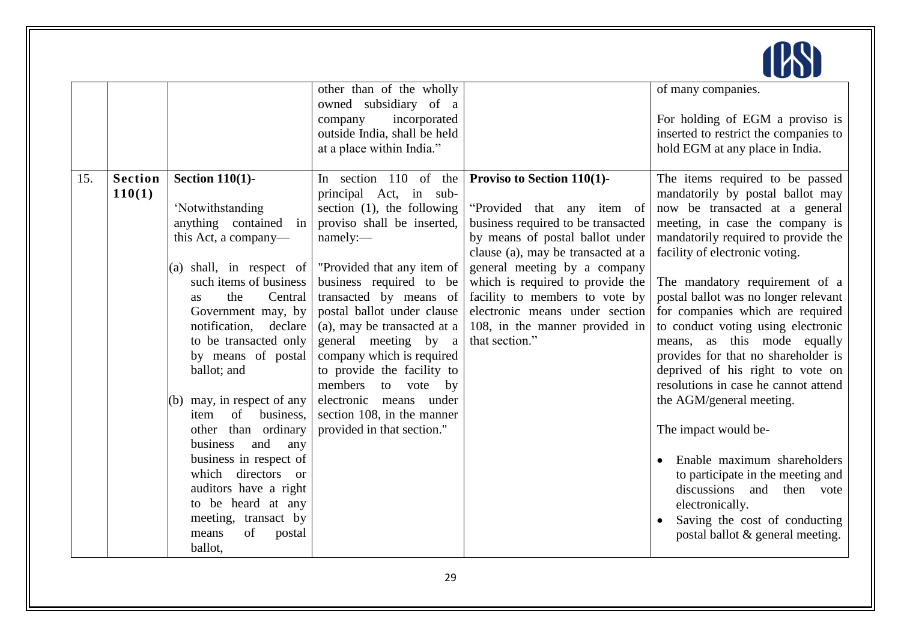

|     |                |                                               | other than of the wholly<br>owned subsidiary of a       |                                                                       | of many companies.                                                       |
|-----|----------------|-----------------------------------------------|---------------------------------------------------------|-----------------------------------------------------------------------|--------------------------------------------------------------------------|
|     |                |                                               | incorporated<br>company<br>outside India, shall be held |                                                                       | For holding of EGM a proviso is                                          |
|     |                |                                               | at a place within India."                               |                                                                       | inserted to restrict the companies to<br>hold EGM at any place in India. |
|     |                |                                               |                                                         |                                                                       |                                                                          |
| 15. | <b>Section</b> | <b>Section 110(1)-</b>                        | In section $110$ of the                                 | Proviso to Section 110(1)-                                            | The items required to be passed                                          |
|     | 110(1)         |                                               | principal Act, in sub-                                  |                                                                       | mandatorily by postal ballot may                                         |
|     |                | 'Notwithstanding                              | section $(1)$ , the following                           | "Provided that any item of                                            | now be transacted at a general                                           |
|     |                | anything contained in<br>this Act, a company— | proviso shall be inserted,<br>namely:-                  | business required to be transacted<br>by means of postal ballot under | meeting, in case the company is<br>mandatorily required to provide the   |
|     |                |                                               |                                                         | clause (a), may be transacted at a                                    | facility of electronic voting.                                           |
|     |                | (a) shall, in respect of                      | "Provided that any item of                              | general meeting by a company                                          |                                                                          |
|     |                | such items of business                        | business required to be                                 | which is required to provide the                                      | The mandatory requirement of a                                           |
|     |                | the<br>Central<br><b>as</b>                   | transacted by means of                                  | facility to members to vote by                                        | postal ballot was no longer relevant                                     |
|     |                | Government may, by                            | postal ballot under clause                              | electronic means under section                                        | for companies which are required                                         |
|     |                | notification,<br>declare                      | (a), may be transacted at a                             | 108, in the manner provided in                                        | to conduct voting using electronic                                       |
|     |                | to be transacted only                         | general meeting by a                                    | that section."                                                        | means, as this mode equally                                              |
|     |                | by means of postal                            | company which is required                               |                                                                       | provides for that no shareholder is                                      |
|     |                | ballot; and                                   | to provide the facility to                              |                                                                       | deprived of his right to vote on<br>resolutions in case he cannot attend |
|     |                | (b) may, in respect of any                    | members<br>to vote<br>by<br>electronic means under      |                                                                       | the AGM/general meeting.                                                 |
|     |                | business,<br>of<br>item                       | section 108, in the manner                              |                                                                       |                                                                          |
|     |                | other than ordinary                           | provided in that section."                              |                                                                       | The impact would be-                                                     |
|     |                | and<br>business<br>any                        |                                                         |                                                                       |                                                                          |
|     |                | business in respect of                        |                                                         |                                                                       | Enable maximum shareholders                                              |
|     |                | which directors or                            |                                                         |                                                                       | to participate in the meeting and                                        |
|     |                | auditors have a right                         |                                                         |                                                                       | discussions and then vote                                                |
|     |                | to be heard at any                            |                                                         |                                                                       | electronically.                                                          |
|     |                | meeting, transact by                          |                                                         |                                                                       | Saving the cost of conducting                                            |
|     |                | of<br>means<br>postal                         |                                                         |                                                                       | postal ballot & general meeting.                                         |
|     |                | ballot,                                       |                                                         |                                                                       |                                                                          |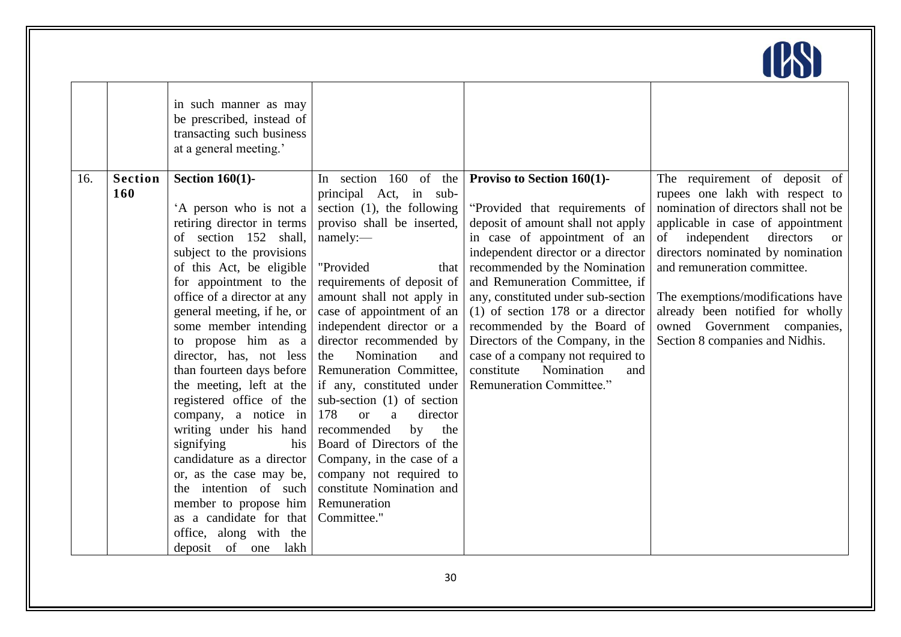

|     |                       | in such manner as may<br>be prescribed, instead of<br>transacting such business<br>at a general meeting.'                                                                                                                                                                                                                                                                                                                                                                                                                                                                                                                                                                              |                                                                                                                                                                                                                                                                                                                                                                                                                                                                                                                                                                                                                                      |                                                                                                                                                                                                                                                                                                                                                                                                                                                                                                      |                                                                                                                                                                                                                                                                                                                                                                                                                 |
|-----|-----------------------|----------------------------------------------------------------------------------------------------------------------------------------------------------------------------------------------------------------------------------------------------------------------------------------------------------------------------------------------------------------------------------------------------------------------------------------------------------------------------------------------------------------------------------------------------------------------------------------------------------------------------------------------------------------------------------------|--------------------------------------------------------------------------------------------------------------------------------------------------------------------------------------------------------------------------------------------------------------------------------------------------------------------------------------------------------------------------------------------------------------------------------------------------------------------------------------------------------------------------------------------------------------------------------------------------------------------------------------|------------------------------------------------------------------------------------------------------------------------------------------------------------------------------------------------------------------------------------------------------------------------------------------------------------------------------------------------------------------------------------------------------------------------------------------------------------------------------------------------------|-----------------------------------------------------------------------------------------------------------------------------------------------------------------------------------------------------------------------------------------------------------------------------------------------------------------------------------------------------------------------------------------------------------------|
| 16. | <b>Section</b><br>160 | Section $160(1)$ -<br>'A person who is not a<br>retiring director in terms<br>of section 152 shall,<br>subject to the provisions<br>of this Act, be eligible<br>for appointment to the<br>office of a director at any<br>general meeting, if he, or<br>some member intending<br>to propose him as a<br>director, has, not less<br>than fourteen days before<br>the meeting, left at the<br>registered office of the<br>company, a notice in<br>writing under his hand<br>signifying<br>his<br>candidature as a director<br>or, as the case may be,<br>the intention of such<br>member to propose him<br>as a candidate for that<br>office, along with the<br>deposit of<br>one<br>lakh | In section 160 of the<br>principal Act, in sub-<br>section $(1)$ , the following<br>proviso shall be inserted,<br>namely:<br>"Provided<br>that<br>requirements of deposit of<br>amount shall not apply in<br>case of appointment of an<br>independent director or a<br>director recommended by<br>Nomination<br>the<br>and<br>Remuneration Committee,<br>if any, constituted under<br>sub-section $(1)$ of section<br>178<br>director<br><b>or</b><br>a<br>recommended<br>by<br>the<br>Board of Directors of the<br>Company, in the case of a<br>company not required to<br>constitute Nomination and<br>Remuneration<br>Committee." | <b>Proviso to Section 160(1)-</b><br>"Provided that requirements of<br>deposit of amount shall not apply<br>in case of appointment of an<br>independent director or a director<br>recommended by the Nomination<br>and Remuneration Committee, if<br>any, constituted under sub-section<br>$(1)$ of section 178 or a director<br>recommended by the Board of<br>Directors of the Company, in the<br>case of a company not required to<br>Nomination<br>constitute<br>and<br>Remuneration Committee." | The requirement of deposit of<br>rupees one lakh with respect to<br>nomination of directors shall not be<br>applicable in case of appointment<br>independent<br>directors<br>of<br><sub>or</sub><br>directors nominated by nomination<br>and remuneration committee.<br>The exemptions/modifications have<br>already been notified for wholly<br>owned Government companies,<br>Section 8 companies and Nidhis. |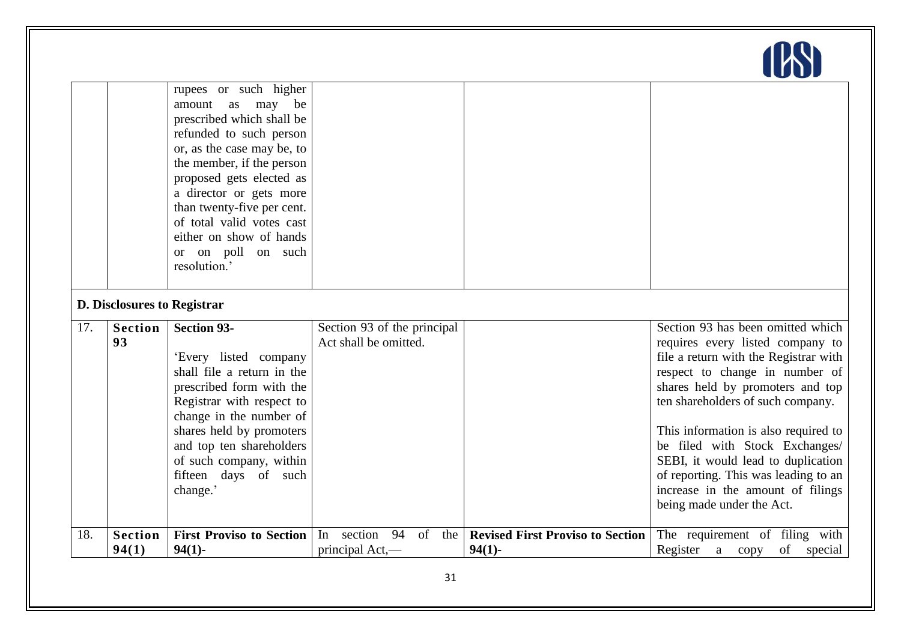|     |                             | rupees or such higher<br>as may be<br>amount<br>prescribed which shall be<br>refunded to such person<br>or, as the case may be, to<br>the member, if the person<br>proposed gets elected as<br>a director or gets more<br>than twenty-five per cent.<br>of total valid votes cast<br>either on show of hands<br>or on poll on such<br>resolution.' |                                                      |                                                      |                                                                                                                                                                                                                                                                                                                                                                                                                                                     |
|-----|-----------------------------|----------------------------------------------------------------------------------------------------------------------------------------------------------------------------------------------------------------------------------------------------------------------------------------------------------------------------------------------------|------------------------------------------------------|------------------------------------------------------|-----------------------------------------------------------------------------------------------------------------------------------------------------------------------------------------------------------------------------------------------------------------------------------------------------------------------------------------------------------------------------------------------------------------------------------------------------|
|     | D. Disclosures to Registrar |                                                                                                                                                                                                                                                                                                                                                    |                                                      |                                                      |                                                                                                                                                                                                                                                                                                                                                                                                                                                     |
| 17. | <b>Section</b><br>93        | <b>Section 93-</b><br>'Every listed company<br>shall file a return in the<br>prescribed form with the<br>Registrar with respect to<br>change in the number of<br>shares held by promoters<br>and top ten shareholders<br>of such company, within<br>fifteen days of such<br>change.'                                                               | Section 93 of the principal<br>Act shall be omitted. |                                                      | Section 93 has been omitted which<br>requires every listed company to<br>file a return with the Registrar with<br>respect to change in number of<br>shares held by promoters and top<br>ten shareholders of such company.<br>This information is also required to<br>be filed with Stock Exchanges/<br>SEBI, it would lead to duplication<br>of reporting. This was leading to an<br>increase in the amount of filings<br>being made under the Act. |
| 18. | <b>Section</b><br>94(1)     | <b>First Proviso to Section</b><br>$94(1)$ -                                                                                                                                                                                                                                                                                                       | section<br>94<br>In<br>of<br>the<br>principal Act,-  | <b>Revised First Proviso to Section</b><br>$94(1)$ - | The requirement of filing with<br>of<br>Register a copy<br>special                                                                                                                                                                                                                                                                                                                                                                                  |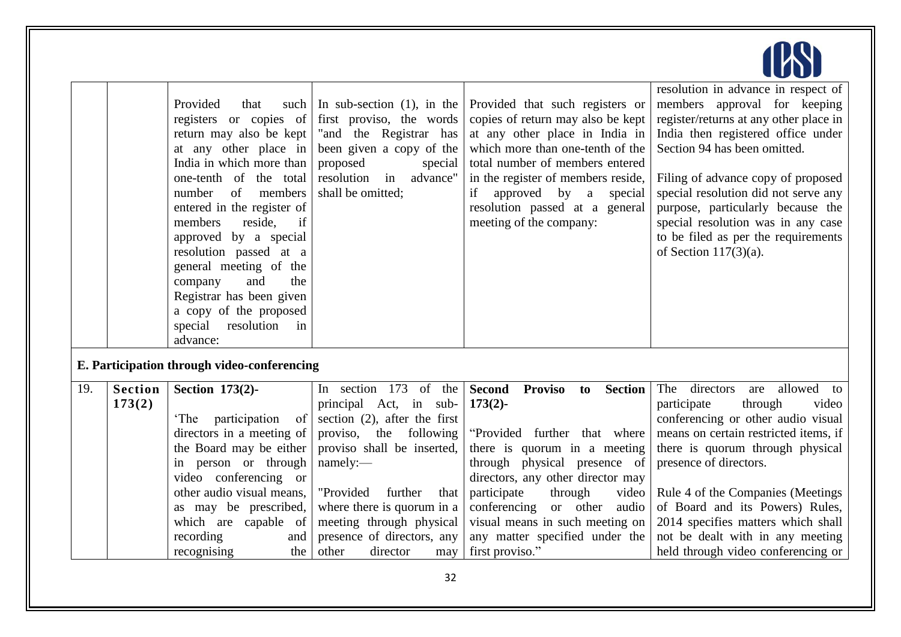|                          | Provided<br>that<br>return may also be kept<br>at any other place in<br>India in which more than<br>one-tenth of the total<br>$\sigma$<br>members<br>number<br>entered in the register of<br>members<br>reside,<br>if<br>approved by a special<br>resolution passed at a<br>general meeting of the<br>and<br>the<br>company<br>Registrar has been given<br>a copy of the proposed<br>special<br>resolution<br>in<br>advance: | In sub-section $(1)$ , in the<br>first proviso, the words<br>"and the Registrar has<br>been given a copy of the<br>proposed<br>special<br>resolution in<br>advance"<br>shall be omitted;                                                                                                                      | Provided that such registers or<br>copies of return may also be kept<br>at any other place in India in<br>which more than one-tenth of the<br>total number of members entered<br>in the register of members reside,<br>approved by a<br>if<br>special<br>resolution passed at a general<br>meeting of the company: | resolution in advance in respect of<br>members approval for keeping<br>register/returns at any other place in<br>India then registered office under<br>Section 94 has been omitted.<br>Filing of advance copy of proposed<br>special resolution did not serve any<br>purpose, particularly because the<br>special resolution was in any case<br>to be filed as per the requirements<br>of Section $117(3)(a)$ .  |
|--------------------------|------------------------------------------------------------------------------------------------------------------------------------------------------------------------------------------------------------------------------------------------------------------------------------------------------------------------------------------------------------------------------------------------------------------------------|---------------------------------------------------------------------------------------------------------------------------------------------------------------------------------------------------------------------------------------------------------------------------------------------------------------|--------------------------------------------------------------------------------------------------------------------------------------------------------------------------------------------------------------------------------------------------------------------------------------------------------------------|------------------------------------------------------------------------------------------------------------------------------------------------------------------------------------------------------------------------------------------------------------------------------------------------------------------------------------------------------------------------------------------------------------------|
|                          |                                                                                                                                                                                                                                                                                                                                                                                                                              |                                                                                                                                                                                                                                                                                                               |                                                                                                                                                                                                                                                                                                                    |                                                                                                                                                                                                                                                                                                                                                                                                                  |
| <b>Section</b><br>173(2) | Section 173(2)-<br>'The<br>participation<br>$\circ$ of<br>directors in a meeting of<br>the Board may be either<br>in person or through<br>video conferencing or<br>other audio visual means,<br>as may be prescribed,<br>which are capable of<br>recording<br>and<br>recognising<br>the                                                                                                                                      | In section 173 of the<br>principal Act, in sub-<br>section $(2)$ , after the first<br>the following<br>proviso,<br>proviso shall be inserted,<br>namely:-<br>"Provided<br>further<br>that<br>where there is quorum in a<br>meeting through physical<br>presence of directors, any<br>other<br>director<br>may | <b>Proviso</b><br><b>Second</b><br>to<br>$173(2)$ -<br>"Provided further that where<br>there is quorum in a meeting<br>through physical presence of<br>directors, any other director may<br>participate<br>through<br>conferencing or other<br>audio<br>any matter specified under the<br>first proviso."          | directors<br>allowed<br>The<br>are<br>to<br>through<br>participate<br>video<br>conferencing or other audio visual<br>means on certain restricted items, if<br>there is quorum through physical<br>presence of directors.<br>Rule 4 of the Companies (Meetings<br>of Board and its Powers) Rules,<br>2014 specifies matters which shall<br>not be dealt with in any meeting<br>held through video conferencing or |
|                          |                                                                                                                                                                                                                                                                                                                                                                                                                              |                                                                                                                                                                                                                                                                                                               | such  <br>registers or copies of<br>E. Participation through video-conferencing                                                                                                                                                                                                                                    | <b>Section</b><br>video<br>visual means in such meeting on                                                                                                                                                                                                                                                                                                                                                       |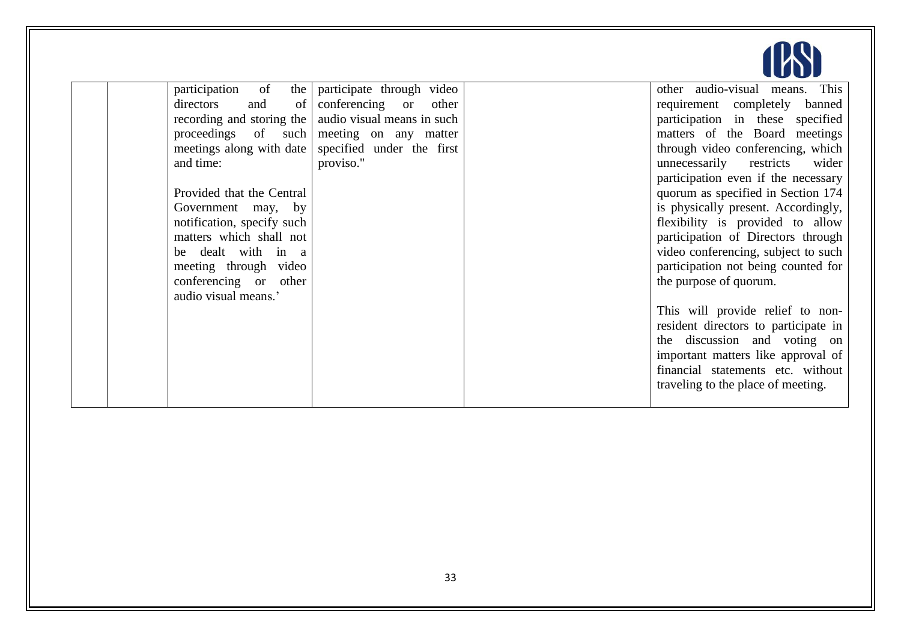

| participation of<br>the    | participate through video                              | other audio-visual means. This       |
|----------------------------|--------------------------------------------------------|--------------------------------------|
| and<br>directors<br>of     | conferencing or other                                  | requirement completely banned        |
|                            | recording and storing the   audio visual means in such | participation in these specified     |
|                            | proceedings of such meeting on any matter              | matters of the Board meetings        |
| meetings along with date   | specified under the first                              | through video conferencing, which    |
| and time:                  | proviso."                                              | unnecessarily restricts<br>wider     |
|                            |                                                        | participation even if the necessary  |
| Provided that the Central  |                                                        | quorum as specified in Section 174   |
| Government may, by         |                                                        | is physically present. Accordingly,  |
| notification, specify such |                                                        | flexibility is provided to allow     |
| matters which shall not    |                                                        | participation of Directors through   |
| be dealt with in a         |                                                        | video conferencing, subject to such  |
| meeting through video      |                                                        | participation not being counted for  |
| conferencing or other      |                                                        | the purpose of quorum.               |
| audio visual means.'       |                                                        |                                      |
|                            |                                                        | This will provide relief to non-     |
|                            |                                                        | resident directors to participate in |
|                            |                                                        | the discussion and voting on         |
|                            |                                                        | important matters like approval of   |
|                            |                                                        | financial statements etc. without    |
|                            |                                                        | traveling to the place of meeting.   |
|                            |                                                        |                                      |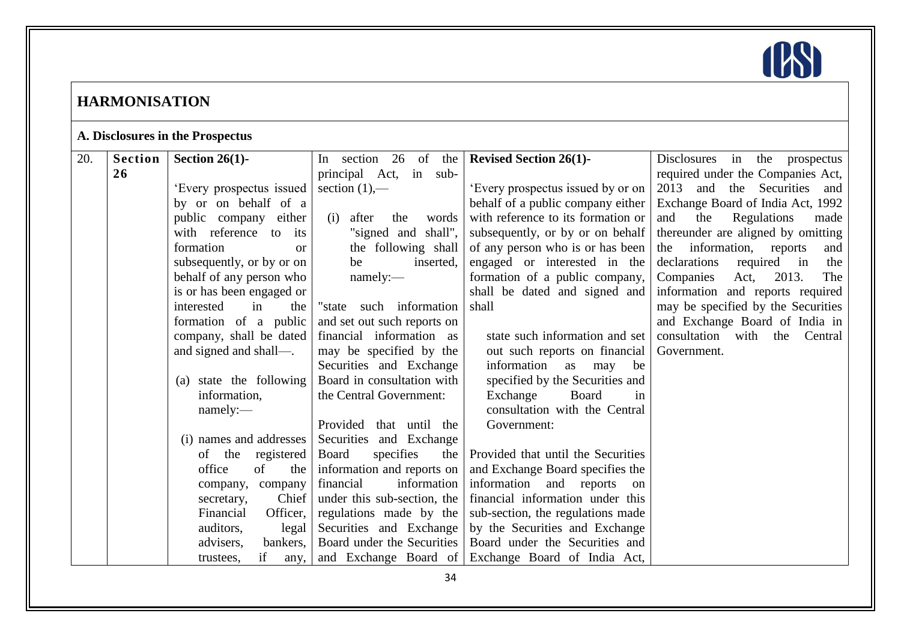

# **HARMONISATION**

# **A. Disclosures in the Prospectus**

| 20. | <b>Section</b> | Section 26(1)-            | In section 26 of the         | <b>Revised Section 26(1)-</b>                      | Disclosures in<br>the prospectus    |
|-----|----------------|---------------------------|------------------------------|----------------------------------------------------|-------------------------------------|
|     | 26             |                           | principal Act, in sub-       |                                                    | required under the Companies Act,   |
|     |                | 'Every prospectus issued  | section $(1)$ ,—             | 'Every prospectus issued by or on                  | 2013 and the Securities and         |
|     |                | by or on behalf of a      |                              | behalf of a public company either                  | Exchange Board of India Act, 1992   |
|     |                | public company either     | after<br>(i)<br>the<br>words | with reference to its formation or                 | Regulations<br>and<br>the<br>made   |
|     |                | with reference to its     | "signed and shall",          | subsequently, or by or on behalf                   | thereunder are aligned by omitting  |
|     |                | formation<br><b>or</b>    | the following shall          | of any person who is or has been                   | the information, reports<br>and     |
|     |                | subsequently, or by or on | be<br>inserted,              | engaged or interested in the                       | declarations<br>required in<br>the  |
|     |                | behalf of any person who  | namely:                      | formation of a public company,                     | Companies<br>Act,<br>2013.<br>The   |
|     |                | is or has been engaged or |                              | shall be dated and signed and                      | information and reports required    |
|     |                | interested<br>in<br>the   | "state such information      | shall                                              | may be specified by the Securities  |
|     |                | formation of a public     | and set out such reports on  |                                                    | and Exchange Board of India in      |
|     |                | company, shall be dated   | financial information as     | state such information and set                     | consultation with<br>Central<br>the |
|     |                | and signed and shall-     | may be specified by the      | out such reports on financial                      | Government.                         |
|     |                |                           | Securities and Exchange      | information as<br>may<br>be                        |                                     |
|     |                | (a) state the following   | Board in consultation with   | specified by the Securities and                    |                                     |
|     |                | information,              | the Central Government:      | Exchange<br>Board<br>in                            |                                     |
|     |                | namely:                   |                              | consultation with the Central                      |                                     |
|     |                |                           | Provided that until the      | Government:                                        |                                     |
|     |                | (i) names and addresses   | Securities and Exchange      |                                                    |                                     |
|     |                | of the<br>registered      | specifies<br>Board<br>the    | Provided that until the Securities                 |                                     |
|     |                | office<br>of<br>the       | information and reports on   | and Exchange Board specifies the                   |                                     |
|     |                | company, company          | financial<br>information     | information and reports on                         |                                     |
|     |                | Chief<br>secretary,       | under this sub-section, the  | financial information under this                   |                                     |
|     |                | Financial<br>Officer,     | regulations made by the      | sub-section, the regulations made                  |                                     |
|     |                | auditors,<br>legal        | Securities and Exchange      | by the Securities and Exchange                     |                                     |
|     |                | advisers,<br>bankers,     | Board under the Securities   | Board under the Securities and                     |                                     |
|     |                | if<br>trustees,<br>any,   |                              | and Exchange Board of Exchange Board of India Act, |                                     |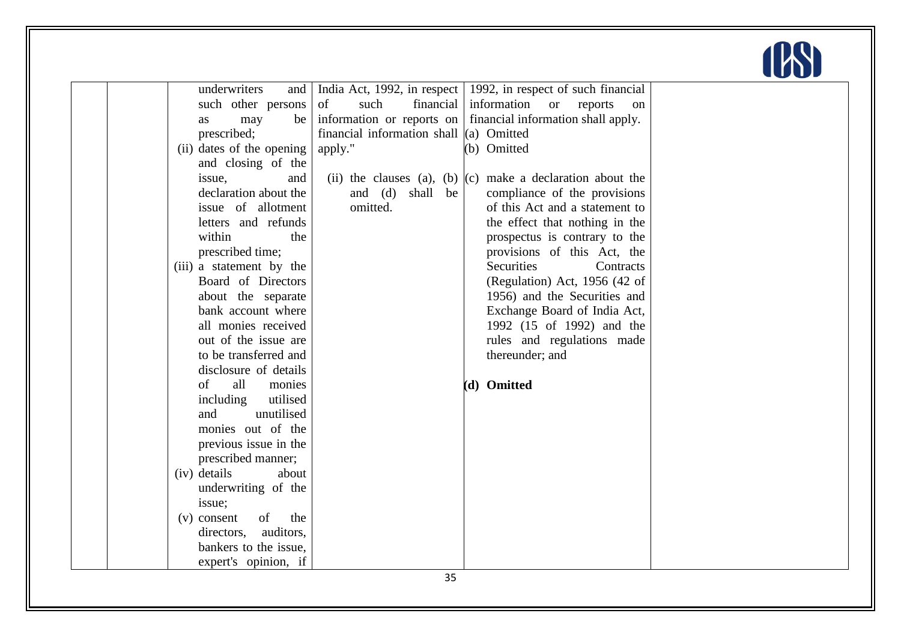

|                           |                                           |                                                                    | $\sim$ |
|---------------------------|-------------------------------------------|--------------------------------------------------------------------|--------|
| underwriters<br>and       |                                           | India Act, 1992, in respect   1992, in respect of such financial   |        |
| such other persons        | financial<br>of<br>such                   | information<br>reports<br><sub>or</sub><br>on                      |        |
| may<br>be<br>as           | information or reports on                 | financial information shall apply.                                 |        |
| prescribed;               | financial information shall $(a)$ Omitted |                                                                    |        |
| (ii) dates of the opening | apply."                                   | (b) Omitted                                                        |        |
| and closing of the        |                                           |                                                                    |        |
| issue,<br>and             |                                           | (ii) the clauses (a), (b) $\vert$ (c) make a declaration about the |        |
| declaration about the     | and (d) shall be                          | compliance of the provisions                                       |        |
| issue of allotment        | omitted.                                  | of this Act and a statement to                                     |        |
| letters and refunds       |                                           | the effect that nothing in the                                     |        |
| within<br>the             |                                           | prospectus is contrary to the                                      |        |
| prescribed time;          |                                           | provisions of this Act, the                                        |        |
| (iii) a statement by the  |                                           | Securities<br>Contracts                                            |        |
| Board of Directors        |                                           | (Regulation) Act, 1956 (42 of                                      |        |
| about the separate        |                                           | 1956) and the Securities and                                       |        |
| bank account where        |                                           | Exchange Board of India Act,                                       |        |
| all monies received       |                                           | 1992 (15 of 1992) and the                                          |        |
| out of the issue are      |                                           | rules and regulations made                                         |        |
| to be transferred and     |                                           | thereunder; and                                                    |        |
| disclosure of details     |                                           |                                                                    |        |
| of<br>all<br>monies       |                                           | (d) Omitted                                                        |        |
| utilised<br>including     |                                           |                                                                    |        |
| unutilised<br>and         |                                           |                                                                    |        |
| monies out of the         |                                           |                                                                    |        |
| previous issue in the     |                                           |                                                                    |        |
| prescribed manner;        |                                           |                                                                    |        |
| (iv) details<br>about     |                                           |                                                                    |        |
| underwriting of the       |                                           |                                                                    |        |
| issue;                    |                                           |                                                                    |        |
| of<br>the<br>(v) consent  |                                           |                                                                    |        |
| auditors,<br>directors,   |                                           |                                                                    |        |
| bankers to the issue,     |                                           |                                                                    |        |
| expert's opinion, if      |                                           |                                                                    |        |
|                           | n m                                       |                                                                    |        |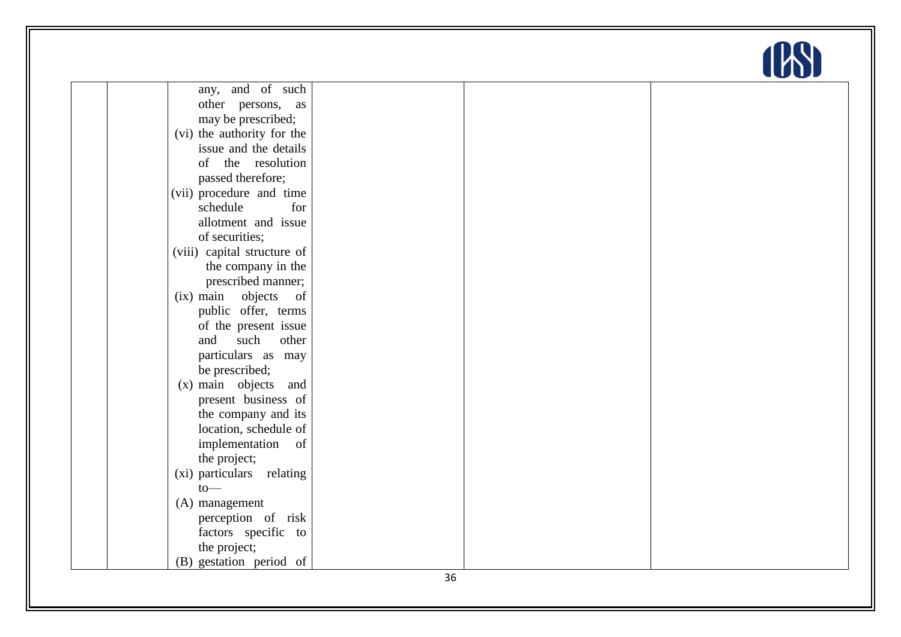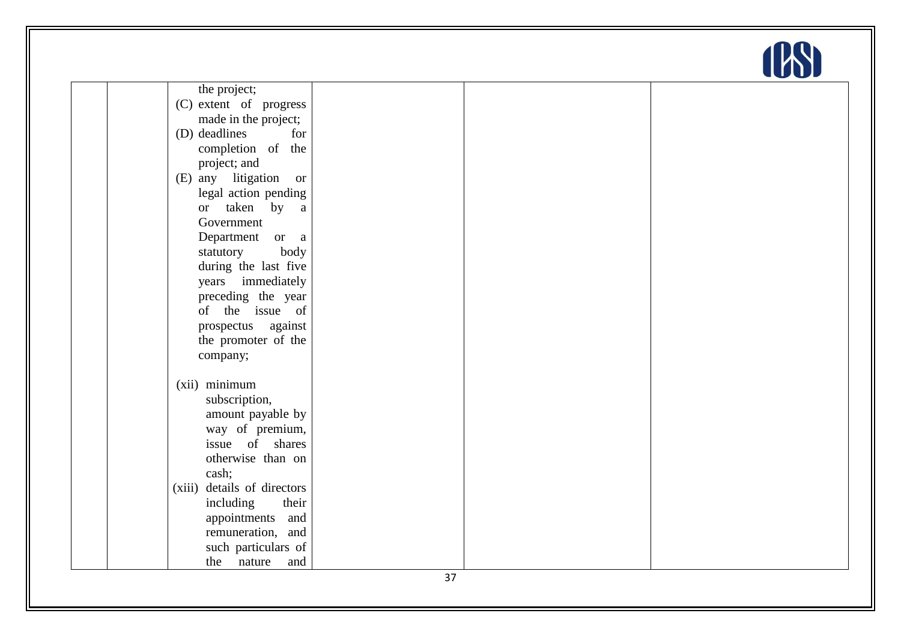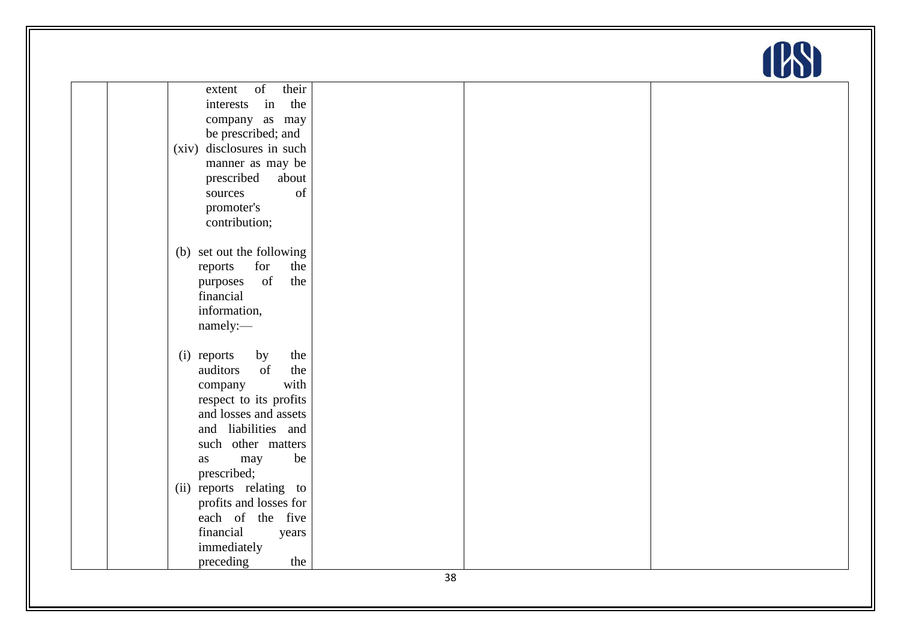| of<br>their<br>extent       |  |
|-----------------------------|--|
| in<br>the<br>interests      |  |
| company as may              |  |
| be prescribed; and          |  |
| (xiv) disclosures in such   |  |
| manner as may be            |  |
| prescribed<br>about         |  |
| of<br>sources               |  |
| promoter's                  |  |
| contribution;               |  |
|                             |  |
| (b) set out the following   |  |
| for<br>the<br>reports       |  |
| of<br>the<br>purposes       |  |
| financial                   |  |
| information,                |  |
| namely:-                    |  |
| (i) reports<br>the          |  |
| by<br>of<br>the<br>auditors |  |
| with<br>company             |  |
| respect to its profits      |  |
| and losses and assets       |  |
| and liabilities and         |  |
| such other matters          |  |
| be<br>may<br>as             |  |
| prescribed;                 |  |
| (ii) reports relating to    |  |
| profits and losses for      |  |
| each of the five            |  |
| financial<br>years          |  |
| immediately                 |  |
| preceding<br>the            |  |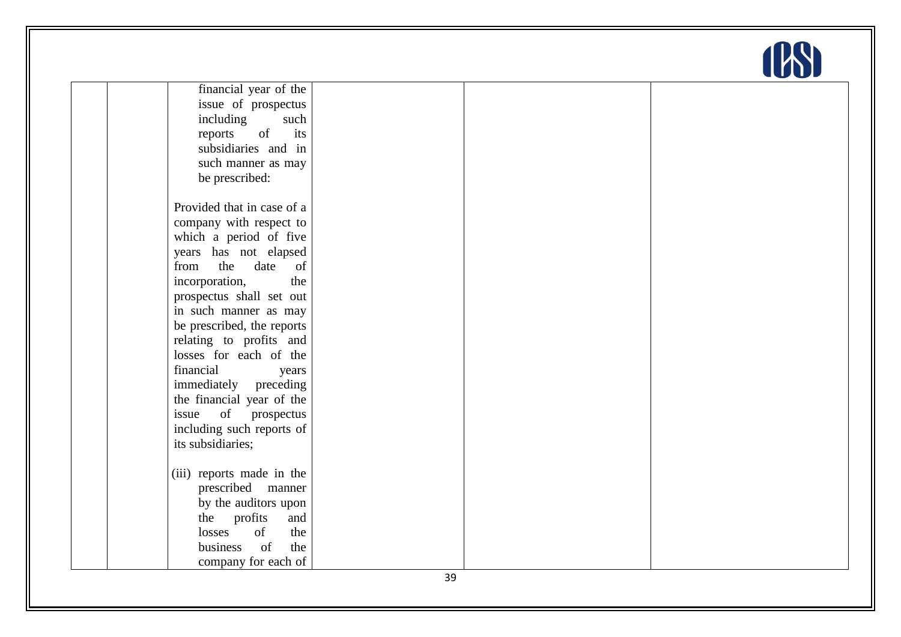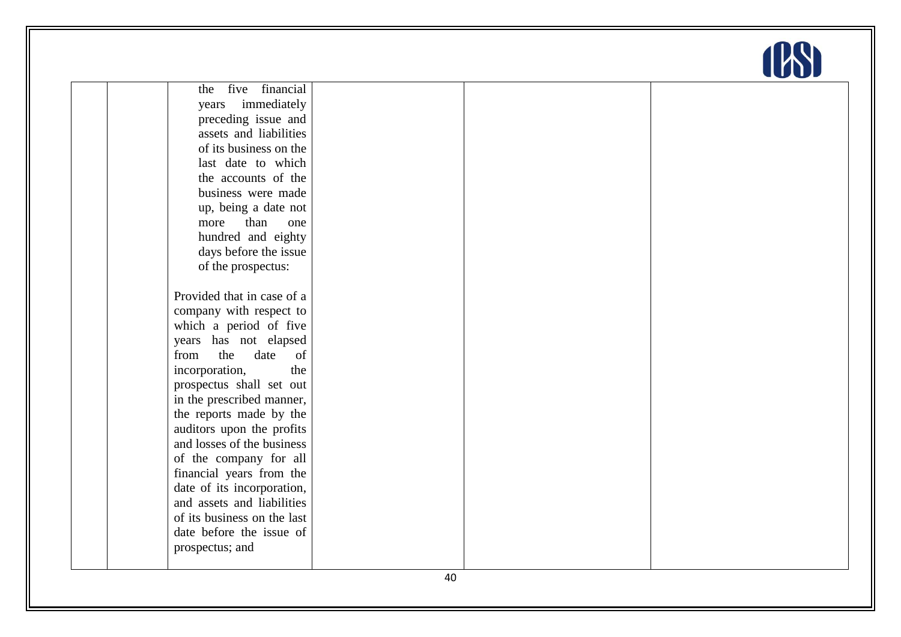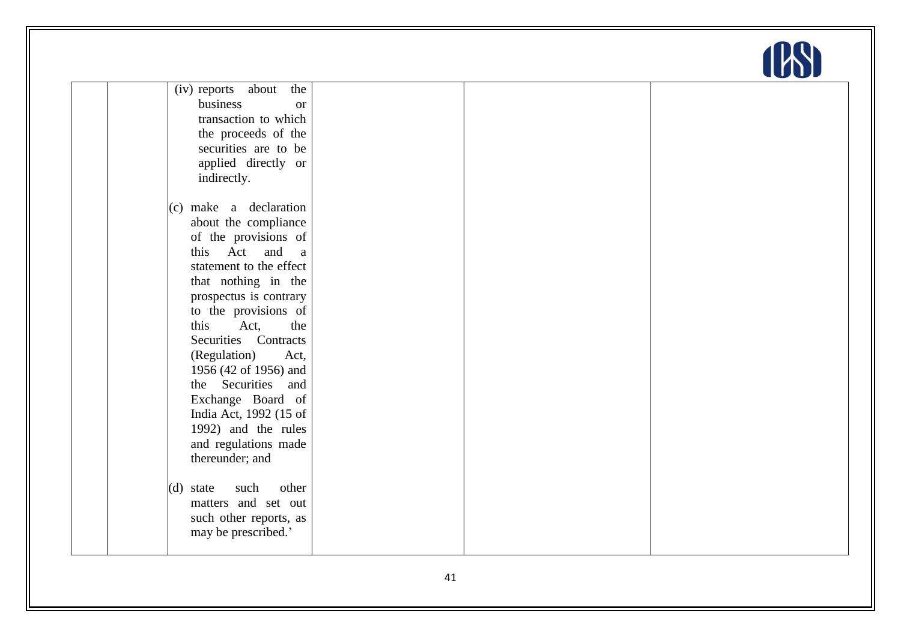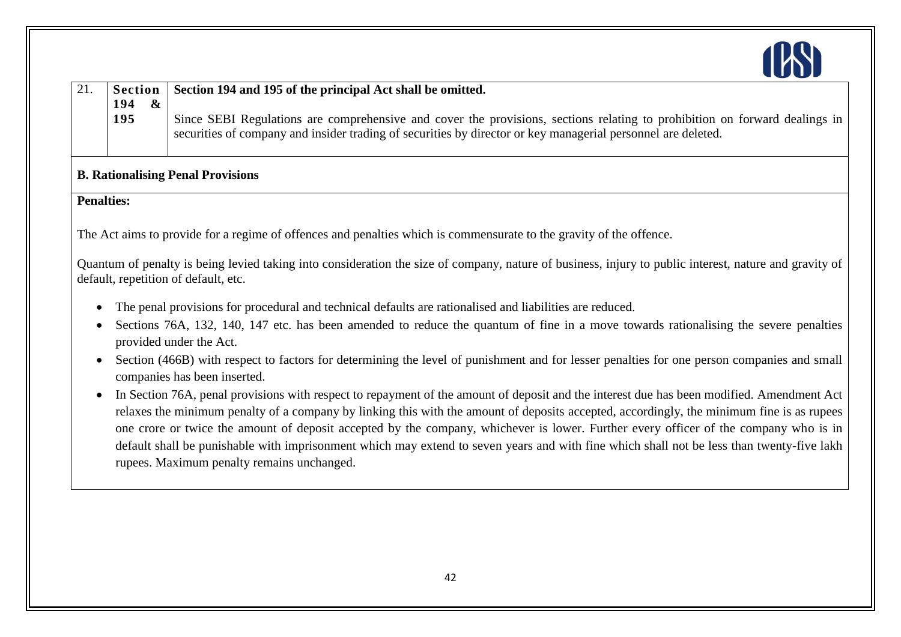

|     |                       | Section Section 194 and 195 of the principal Act shall be omitted.                                                         |
|-----|-----------------------|----------------------------------------------------------------------------------------------------------------------------|
| 194 | $\boldsymbol{\alpha}$ |                                                                                                                            |
| 195 |                       | Since SEBI Regulations are comprehensive and cover the provisions, sections relating to prohibition on forward dealings in |
|     |                       | securities of company and insider trading of securities by director or key managerial personnel are deleted.               |
|     |                       |                                                                                                                            |

## **B. Rationalising Penal Provisions**

**Penalties:**

The Act aims to provide for a regime of offences and penalties which is commensurate to the gravity of the offence.

Quantum of penalty is being levied taking into consideration the size of company, nature of business, injury to public interest, nature and gravity of default, repetition of default, etc.

- The penal provisions for procedural and technical defaults are rationalised and liabilities are reduced.
- Sections 76A, 132, 140, 147 etc. has been amended to reduce the quantum of fine in a move towards rationalising the severe penalties provided under the Act.
- Section (466B) with respect to factors for determining the level of punishment and for lesser penalties for one person companies and small companies has been inserted.
- In Section 76A, penal provisions with respect to repayment of the amount of deposit and the interest due has been modified. Amendment Act relaxes the minimum penalty of a company by linking this with the amount of deposits accepted, accordingly, the minimum fine is as rupees one crore or twice the amount of deposit accepted by the company, whichever is lower. Further every officer of the company who is in default shall be punishable with imprisonment which may extend to seven years and with fine which shall not be less than twenty-five lakh rupees. Maximum penalty remains unchanged.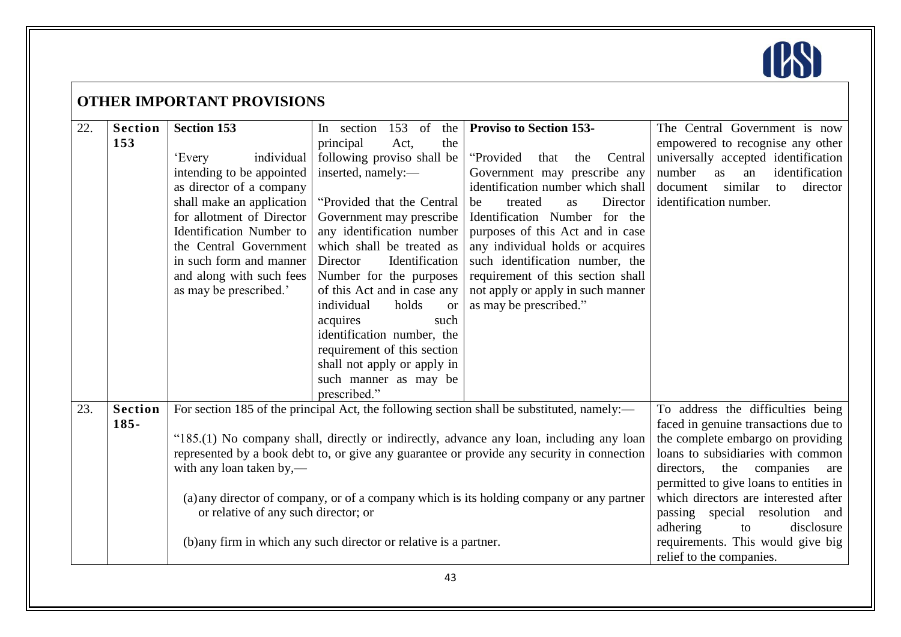

|     | <b>OTHER IMPORTANT PROVISIONS</b> |                                                                                                                                                                                                                                                                                                      |                                                                                                                                                                                                                                                                                                                                                                                                                                                                                                                         |                                                                                                                                                                                                                                                                                                                                                                                                                                       |                                                                                                                                                                                                                                                                                                                                                                                                                   |  |  |
|-----|-----------------------------------|------------------------------------------------------------------------------------------------------------------------------------------------------------------------------------------------------------------------------------------------------------------------------------------------------|-------------------------------------------------------------------------------------------------------------------------------------------------------------------------------------------------------------------------------------------------------------------------------------------------------------------------------------------------------------------------------------------------------------------------------------------------------------------------------------------------------------------------|---------------------------------------------------------------------------------------------------------------------------------------------------------------------------------------------------------------------------------------------------------------------------------------------------------------------------------------------------------------------------------------------------------------------------------------|-------------------------------------------------------------------------------------------------------------------------------------------------------------------------------------------------------------------------------------------------------------------------------------------------------------------------------------------------------------------------------------------------------------------|--|--|
| 22. | <b>Section</b><br>153             | <b>Section 153</b><br>individual<br>'Every<br>intending to be appointed<br>as director of a company<br>shall make an application<br>for allotment of Director<br>Identification Number to<br>the Central Government<br>in such form and manner<br>and along with such fees<br>as may be prescribed.' | $153$ of<br>In section<br>the<br>Act,<br>the<br>principal<br>following proviso shall be<br>inserted, namely:-<br>"Provided that the Central"<br>Government may prescribe<br>any identification number<br>which shall be treated as<br>Director<br>Identification<br>Number for the purposes<br>of this Act and in case any<br>individual<br>holds<br><b>or</b><br>acquires<br>such<br>identification number, the<br>requirement of this section<br>shall not apply or apply in<br>such manner as may be<br>prescribed." | <b>Proviso to Section 153-</b><br>"Provided"<br>that<br>the<br>Central<br>Government may prescribe any<br>identification number which shall<br>Director<br>be<br>treated<br><b>as</b><br>Identification Number for the<br>purposes of this Act and in case<br>any individual holds or acquires<br>such identification number, the<br>requirement of this section shall<br>not apply or apply in such manner<br>as may be prescribed." | The Central Government is now<br>empowered to recognise any other<br>universally accepted identification<br>number<br>identification<br>as<br>an<br>similar<br>director<br>document<br>to<br>identification number.                                                                                                                                                                                               |  |  |
| 23. | <b>Section</b><br>$185 -$         | with any loan taken by,—<br>or relative of any such director; or                                                                                                                                                                                                                                     | For section 185 of the principal Act, the following section shall be substituted, namely:—<br>"185.(1) No company shall, directly or indirectly, advance any loan, including any loan<br>represented by a book debt to, or give any guarantee or provide any security in connection<br>(a) any director of company, or of a company which is its holding company or any partner<br>(b) any firm in which any such director or relative is a partner.                                                                    |                                                                                                                                                                                                                                                                                                                                                                                                                                       | To address the difficulties being<br>faced in genuine transactions due to<br>the complete embargo on providing<br>loans to subsidiaries with common<br>directors,<br>the companies<br>are<br>permitted to give loans to entities in<br>which directors are interested after<br>passing special resolution<br>and<br>adhering<br>disclosure<br>to<br>requirements. This would give big<br>relief to the companies. |  |  |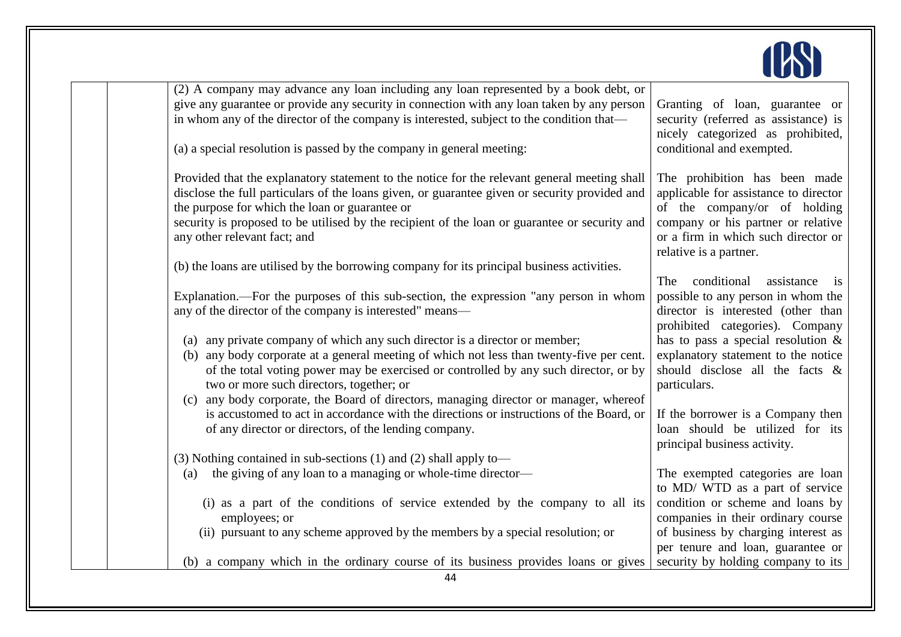

| (2) A company may advance any loan including any loan represented by a book debt, or          |                                        |
|-----------------------------------------------------------------------------------------------|----------------------------------------|
| give any guarantee or provide any security in connection with any loan taken by any person    | Granting of loan, guarantee or         |
| in whom any of the director of the company is interested, subject to the condition that—      | security (referred as assistance) is   |
|                                                                                               | nicely categorized as prohibited,      |
| (a) a special resolution is passed by the company in general meeting:                         | conditional and exempted.              |
|                                                                                               |                                        |
| Provided that the explanatory statement to the notice for the relevant general meeting shall  | The prohibition has been made          |
| disclose the full particulars of the loans given, or guarantee given or security provided and | applicable for assistance to director  |
| the purpose for which the loan or guarantee or                                                | of the company/or of holding           |
| security is proposed to be utilised by the recipient of the loan or guarantee or security and |                                        |
|                                                                                               | company or his partner or relative     |
| any other relevant fact; and                                                                  | or a firm in which such director or    |
|                                                                                               | relative is a partner.                 |
| (b) the loans are utilised by the borrowing company for its principal business activities.    |                                        |
|                                                                                               | conditional<br>assistance<br>The<br>is |
| Explanation.—For the purposes of this sub-section, the expression "any person in whom         | possible to any person in whom the     |
| any of the director of the company is interested" means—                                      | director is interested (other than     |
|                                                                                               | prohibited categories). Company        |
| (a) any private company of which any such director is a director or member;                   | has to pass a special resolution $\&$  |
| any body corporate at a general meeting of which not less than twenty-five per cent.<br>(b)   | explanatory statement to the notice    |
| of the total voting power may be exercised or controlled by any such director, or by          | should disclose all the facts &        |
| two or more such directors, together; or                                                      | particulars.                           |
| any body corporate, the Board of directors, managing director or manager, whereof<br>(c)      |                                        |
| is accustomed to act in accordance with the directions or instructions of the Board, or       | If the borrower is a Company then      |
| of any director or directors, of the lending company.                                         | loan should be utilized for its        |
|                                                                                               | principal business activity.           |
| (3) Nothing contained in sub-sections (1) and (2) shall apply to—                             |                                        |
| the giving of any loan to a managing or whole-time director-<br>(a)                           | The exempted categories are loan       |
|                                                                                               | to MD/ WTD as a part of service        |
| (i) as a part of the conditions of service extended by the company to all its                 | condition or scheme and loans by       |
| employees; or                                                                                 | companies in their ordinary course     |
| (ii) pursuant to any scheme approved by the members by a special resolution; or               | of business by charging interest as    |
|                                                                                               |                                        |
|                                                                                               | per tenure and loan, guarantee or      |
| (b) a company which in the ordinary course of its business provides loans or gives            | security by holding company to its     |
| 44                                                                                            |                                        |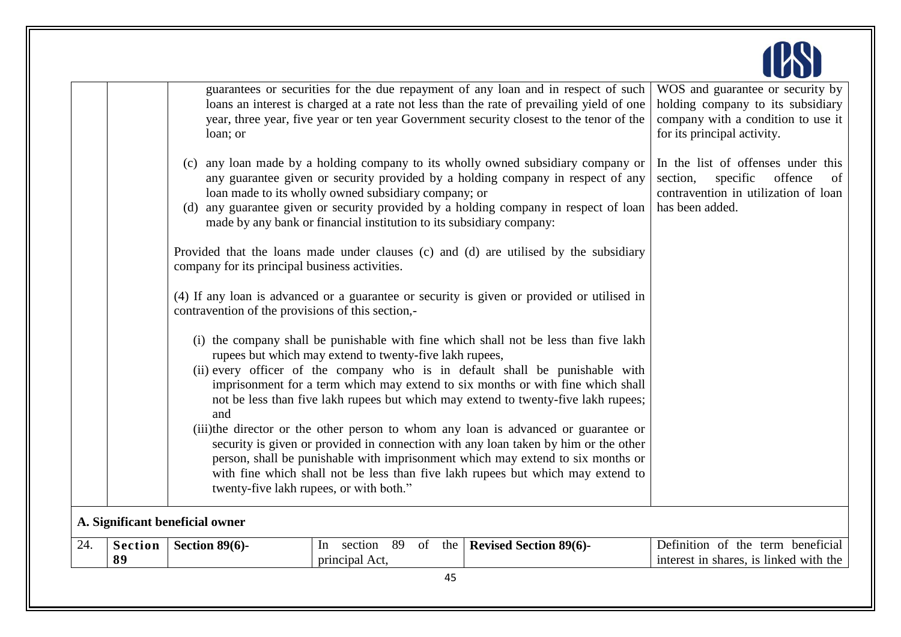|                                 | loan; or                                          |                                                                                                                              | guarantees or securities for the due repayment of any loan and in respect of such<br>loans an interest is charged at a rate not less than the rate of prevailing yield of one<br>year, three year, five year or ten year Government security closest to the tenor of the                                                                                                                                                                                                                                                                                                                                                                                                                         | WOS and guarantee or security by<br>holding company to its subsidiary<br>company with a condition to use it<br>for its principal activity. |
|---------------------------------|---------------------------------------------------|------------------------------------------------------------------------------------------------------------------------------|--------------------------------------------------------------------------------------------------------------------------------------------------------------------------------------------------------------------------------------------------------------------------------------------------------------------------------------------------------------------------------------------------------------------------------------------------------------------------------------------------------------------------------------------------------------------------------------------------------------------------------------------------------------------------------------------------|--------------------------------------------------------------------------------------------------------------------------------------------|
|                                 |                                                   | loan made to its wholly owned subsidiary company; or<br>made by any bank or financial institution to its subsidiary company: | (c) any loan made by a holding company to its wholly owned subsidiary company or<br>any guarantee given or security provided by a holding company in respect of any<br>(d) any guarantee given or security provided by a holding company in respect of loan                                                                                                                                                                                                                                                                                                                                                                                                                                      | In the list of offenses under this<br>section,<br>specific<br>offence<br>of<br>contravention in utilization of loan<br>has been added.     |
|                                 | company for its principal business activities.    |                                                                                                                              | Provided that the loans made under clauses (c) and (d) are utilised by the subsidiary                                                                                                                                                                                                                                                                                                                                                                                                                                                                                                                                                                                                            |                                                                                                                                            |
|                                 | contravention of the provisions of this section,- |                                                                                                                              | (4) If any loan is advanced or a guarantee or security is given or provided or utilised in                                                                                                                                                                                                                                                                                                                                                                                                                                                                                                                                                                                                       |                                                                                                                                            |
|                                 | and                                               | rupees but which may extend to twenty-five lakh rupees,<br>twenty-five lakh rupees, or with both."                           | (i) the company shall be punishable with fine which shall not be less than five lakh<br>(ii) every officer of the company who is in default shall be punishable with<br>imprisonment for a term which may extend to six months or with fine which shall<br>not be less than five lakh rupees but which may extend to twenty-five lakh rupees;<br>(iii)the director or the other person to whom any loan is advanced or guarantee or<br>security is given or provided in connection with any loan taken by him or the other<br>person, shall be punishable with imprisonment which may extend to six months or<br>with fine which shall not be less than five lakh rupees but which may extend to |                                                                                                                                            |
| A. Significant beneficial owner |                                                   |                                                                                                                              |                                                                                                                                                                                                                                                                                                                                                                                                                                                                                                                                                                                                                                                                                                  |                                                                                                                                            |
| <b>Section</b><br>24.<br>89     | Section $89(6)$ -                                 | 89<br>In section<br>of the<br>principal Act,                                                                                 | <b>Revised Section 89(6)-</b>                                                                                                                                                                                                                                                                                                                                                                                                                                                                                                                                                                                                                                                                    | Definition of the term beneficial<br>interest in shares, is linked with the                                                                |
|                                 |                                                   | 45                                                                                                                           |                                                                                                                                                                                                                                                                                                                                                                                                                                                                                                                                                                                                                                                                                                  |                                                                                                                                            |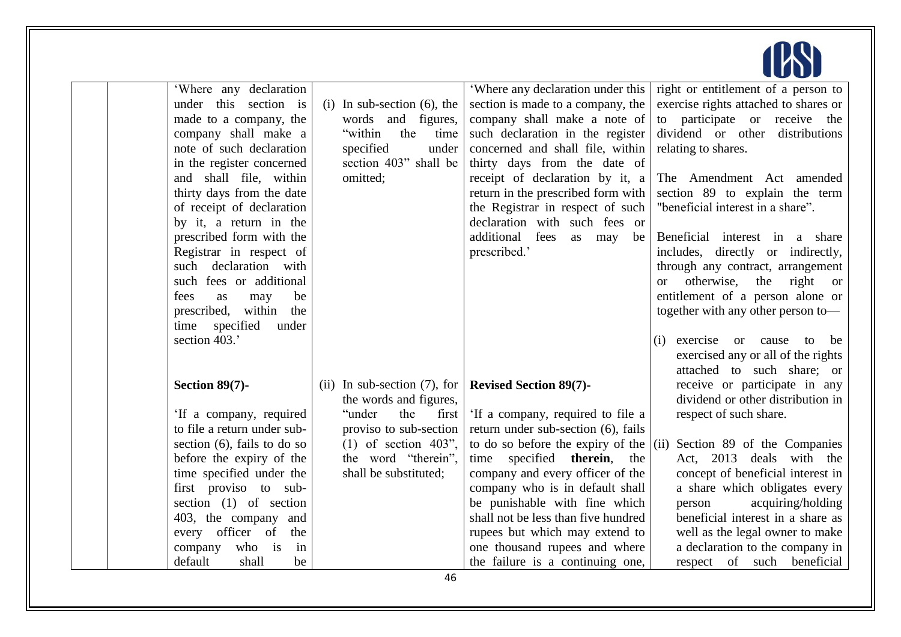

| 'Where any declaration         |                                                                  | 'Where any declaration under this   | right or entitlement of a person to            |
|--------------------------------|------------------------------------------------------------------|-------------------------------------|------------------------------------------------|
| under this section is          | $(i)$ In sub-section $(6)$ , the                                 | section is made to a company, the   | exercise rights attached to shares or          |
| made to a company, the         | words and figures,                                               | company shall make a note of        | to participate or receive the                  |
| company shall make a           | "within"<br>the<br>time                                          | such declaration in the register    | dividend or other<br>distributions             |
| note of such declaration       | specified<br>under                                               | concerned and shall file, within    | relating to shares.                            |
| in the register concerned      | section 403" shall be                                            | thirty days from the date of        |                                                |
| and shall file, within         | omitted;                                                         | receipt of declaration by it, a     | The Amendment Act amended                      |
| thirty days from the date      |                                                                  | return in the prescribed form with  | section 89 to explain the term                 |
| of receipt of declaration      |                                                                  | the Registrar in respect of such    | "beneficial interest in a share".              |
| by it, a return in the         |                                                                  | declaration with such fees or       |                                                |
| prescribed form with the       |                                                                  | additional fees<br>may<br>as<br>be  | Beneficial interest in a share                 |
| Registrar in respect of        |                                                                  | prescribed.'                        | includes, directly or indirectly,              |
| such declaration with          |                                                                  |                                     | through any contract, arrangement              |
| such fees or additional        |                                                                  |                                     | otherwise, the<br>right<br><sub>or</sub><br>or |
| fees<br>be<br>as<br>may        |                                                                  |                                     | entitlement of a person alone or               |
| prescribed, within the         |                                                                  |                                     | together with any other person to-             |
| specified<br>time<br>under     |                                                                  |                                     |                                                |
| section 403.'                  |                                                                  |                                     | exercise or cause<br>(i)<br>be<br>to           |
|                                |                                                                  |                                     | exercised any or all of the rights             |
|                                |                                                                  |                                     | attached to such share; or                     |
| Section 89(7)-                 | (ii) In sub-section $(7)$ , for   <b>Revised Section 89(7)</b> - |                                     | receive or participate in any                  |
|                                | the words and figures,                                           |                                     | dividend or other distribution in              |
| 'If a company, required        | the<br>"under<br>first                                           | If a company, required to file a    | respect of such share.                         |
| to file a return under sub-    | proviso to sub-section                                           | return under sub-section (6), fails |                                                |
| section $(6)$ , fails to do so | $(1)$ of section 403",                                           | to do so before the expiry of the   | Section 89 of the Companies<br>(ii)            |
| before the expiry of the       | the word "therein",                                              | time specified therein,<br>the      | Act, 2013 deals with the                       |
| time specified under the       | shall be substituted;                                            | company and every officer of the    | concept of beneficial interest in              |
| first proviso to sub-          |                                                                  | company who is in default shall     | a share which obligates every                  |
| section $(1)$ of section       |                                                                  | be punishable with fine which       | acquiring/holding<br>person                    |
| 403, the company and           |                                                                  | shall not be less than five hundred | beneficial interest in a share as              |
| every officer of<br>the        |                                                                  | rupees but which may extend to      | well as the legal owner to make                |
| who is<br>in<br>company        |                                                                  | one thousand rupees and where       | a declaration to the company in                |
| default<br>shall<br>be         |                                                                  | the failure is a continuing one,    | respect of such beneficial                     |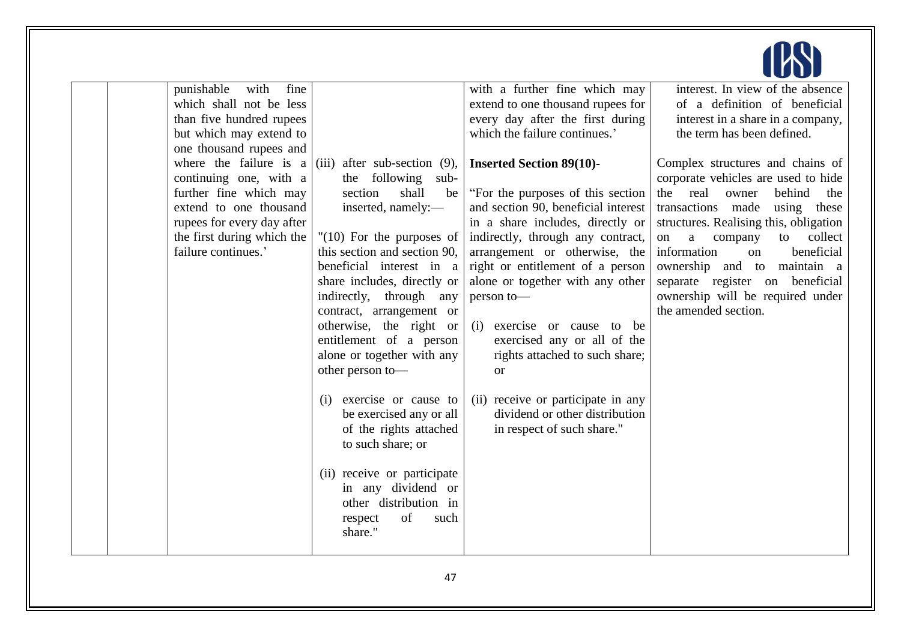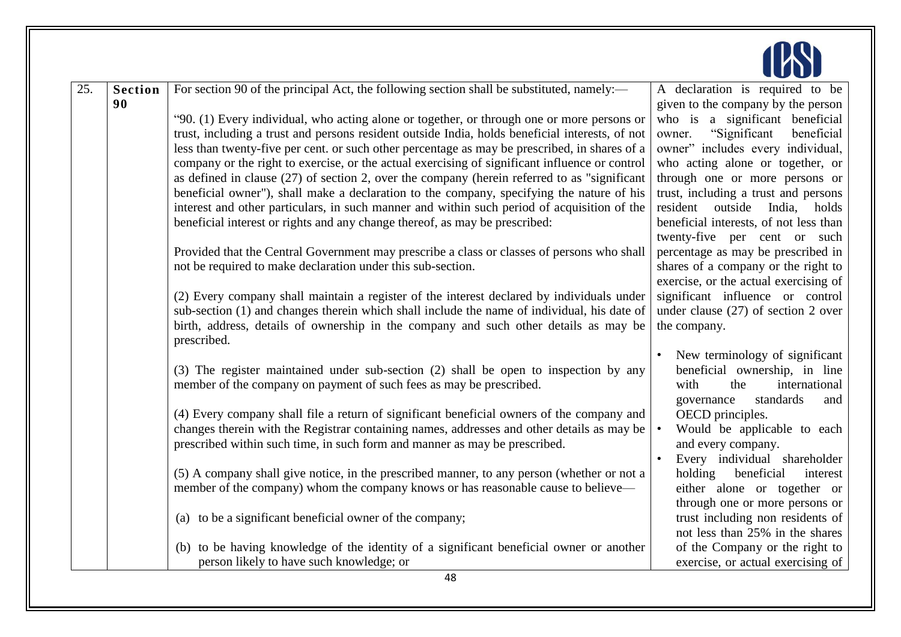

| 25. | <b>Section</b> | For section 90 of the principal Act, the following section shall be substituted, namely:—           | A declaration is required to be        |
|-----|----------------|-----------------------------------------------------------------------------------------------------|----------------------------------------|
|     | 90             |                                                                                                     | given to the company by the person     |
|     |                | "90. (1) Every individual, who acting alone or together, or through one or more persons or          | who is a significant beneficial        |
|     |                | trust, including a trust and persons resident outside India, holds beneficial interests, of not     | "Significant"<br>beneficial<br>owner.  |
|     |                | less than twenty-five per cent. or such other percentage as may be prescribed, in shares of a       | owner" includes every individual,      |
|     |                | company or the right to exercise, or the actual exercising of significant influence or control      | who acting alone or together, or       |
|     |                | as defined in clause $(27)$ of section 2, over the company (herein referred to as "significant"     | through one or more persons or         |
|     |                | beneficial owner"), shall make a declaration to the company, specifying the nature of his           | trust, including a trust and persons   |
|     |                | interest and other particulars, in such manner and within such period of acquisition of the         | resident outside India, holds          |
|     |                | beneficial interest or rights and any change thereof, as may be prescribed:                         | beneficial interests, of not less than |
|     |                |                                                                                                     | twenty-five per cent or such           |
|     |                | Provided that the Central Government may prescribe a class or classes of persons who shall          | percentage as may be prescribed in     |
|     |                | not be required to make declaration under this sub-section.                                         | shares of a company or the right to    |
|     |                |                                                                                                     | exercise, or the actual exercising of  |
|     |                | (2) Every company shall maintain a register of the interest declared by individuals under           | significant influence or control       |
|     |                | sub-section (1) and changes therein which shall include the name of individual, his date of         | under clause $(27)$ of section 2 over  |
|     |                | birth, address, details of ownership in the company and such other details as may be<br>prescribed. | the company.                           |
|     |                |                                                                                                     | New terminology of significant         |
|     |                | (3) The register maintained under sub-section (2) shall be open to inspection by any                | beneficial ownership, in line          |
|     |                | member of the company on payment of such fees as may be prescribed.                                 | with<br>international<br>the           |
|     |                |                                                                                                     | governance<br>standards<br>and         |
|     |                | (4) Every company shall file a return of significant beneficial owners of the company and           | OECD principles.                       |
|     |                | changes therein with the Registrar containing names, addresses and other details as may be          | Would be applicable to each            |
|     |                | prescribed within such time, in such form and manner as may be prescribed.                          | and every company.                     |
|     |                |                                                                                                     | Every individual shareholder           |
|     |                | (5) A company shall give notice, in the prescribed manner, to any person (whether or not a          | beneficial<br>holding<br>interest      |
|     |                | member of the company) whom the company knows or has reasonable cause to believe—                   | either alone or together or            |
|     |                |                                                                                                     | through one or more persons or         |
|     |                | (a) to be a significant beneficial owner of the company;                                            | trust including non residents of       |
|     |                |                                                                                                     | not less than 25% in the shares        |
|     |                | (b) to be having knowledge of the identity of a significant beneficial owner or another             | of the Company or the right to         |
|     |                | person likely to have such knowledge; or                                                            | exercise, or actual exercising of      |
|     |                | 48                                                                                                  |                                        |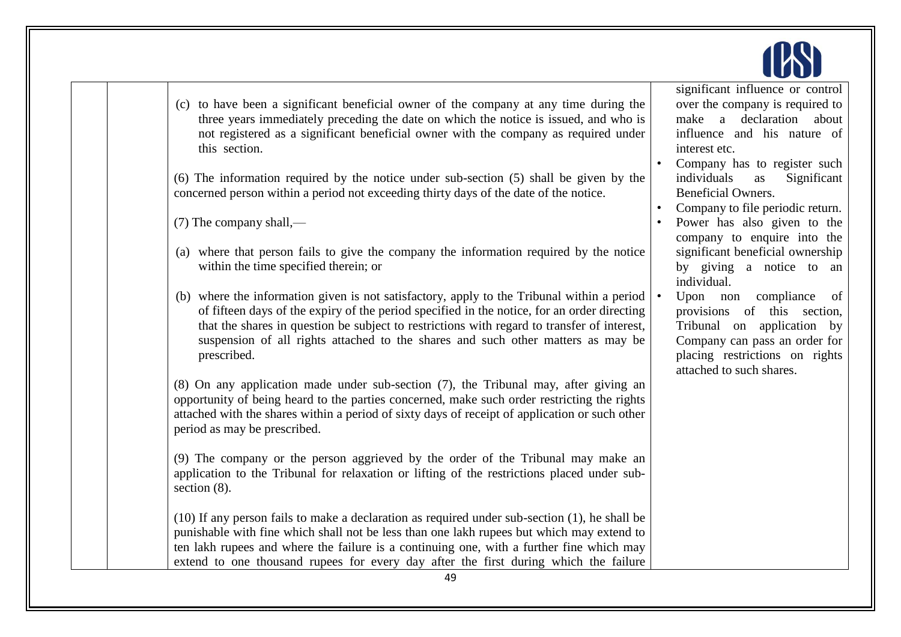

- (c) to have been a significant beneficial owner of the company at any time during the three years immediately preceding the date on which the notice is issued, and who is not registered as a significant beneficial owner with the company as required under this section.
- (6) The information required by the notice under sub-section (5) shall be given by the concerned person within a period not exceeding thirty days of the date of the notice.
- (7) The company shall,—
- (a) where that person fails to give the company the information required by the notice within the time specified therein; or
- (b) where the information given is not satisfactory, apply to the Tribunal within a period of fifteen days of the expiry of the period specified in the notice, for an order directing that the shares in question be subject to restrictions with regard to transfer of interest, suspension of all rights attached to the shares and such other matters as may be prescribed.

(8) On any application made under sub-section (7), the Tribunal may, after giving an opportunity of being heard to the parties concerned, make such order restricting the rights attached with the shares within a period of sixty days of receipt of application or such other period as may be prescribed.

(9) The company or the person aggrieved by the order of the Tribunal may make an application to the Tribunal for relaxation or lifting of the restrictions placed under subsection  $(8)$ .

(10) If any person fails to make a declaration as required under sub-section (1), he shall be punishable with fine which shall not be less than one lakh rupees but which may extend to ten lakh rupees and where the failure is a continuing one, with a further fine which may extend to one thousand rupees for every day after the first during which the failure

significant influence or control over the company is required to make a declaration about influence and his nature of interest etc.

- Company has to register such individuals as Significant Beneficial Owners.
- Company to file periodic return.
- Power has also given to the company to enquire into the significant beneficial ownership by giving a notice to an individual.
- Upon non compliance of provisions of this section, Tribunal on application by Company can pass an order for placing restrictions on rights attached to such shares.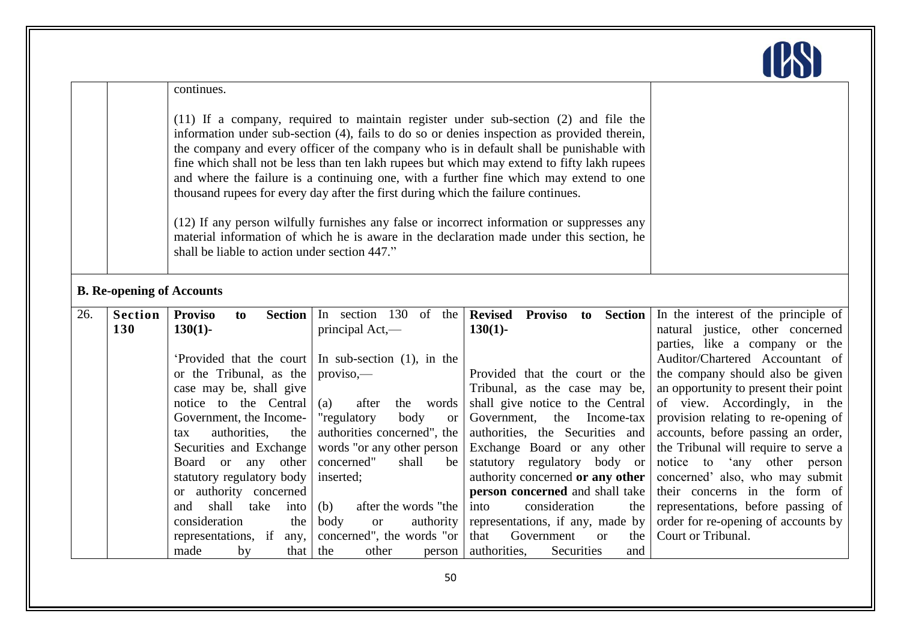

|     |                                  |                                                                                                                                                                                                                                                                                                                                                                                                                                                                                                                                                                                                                                                                                                                                                                                                            |                                                               |                                                                   | <u>au op</u>                                                                                              |
|-----|----------------------------------|------------------------------------------------------------------------------------------------------------------------------------------------------------------------------------------------------------------------------------------------------------------------------------------------------------------------------------------------------------------------------------------------------------------------------------------------------------------------------------------------------------------------------------------------------------------------------------------------------------------------------------------------------------------------------------------------------------------------------------------------------------------------------------------------------------|---------------------------------------------------------------|-------------------------------------------------------------------|-----------------------------------------------------------------------------------------------------------|
|     |                                  | continues.                                                                                                                                                                                                                                                                                                                                                                                                                                                                                                                                                                                                                                                                                                                                                                                                 |                                                               |                                                                   |                                                                                                           |
|     |                                  | $(11)$ If a company, required to maintain register under sub-section $(2)$ and file the<br>information under sub-section (4), fails to do so or denies inspection as provided therein,<br>the company and every officer of the company who is in default shall be punishable with<br>fine which shall not be less than ten lakh rupees but which may extend to fifty lakh rupees<br>and where the failure is a continuing one, with a further fine which may extend to one<br>thousand rupees for every day after the first during which the failure continues.<br>(12) If any person wilfully furnishes any false or incorrect information or suppresses any<br>material information of which he is aware in the declaration made under this section, he<br>shall be liable to action under section 447." |                                                               |                                                                   |                                                                                                           |
|     | <b>B. Re-opening of Accounts</b> |                                                                                                                                                                                                                                                                                                                                                                                                                                                                                                                                                                                                                                                                                                                                                                                                            |                                                               |                                                                   |                                                                                                           |
| 26. | <b>Section</b><br>130            | <b>Proviso</b><br>Section  <br>to<br>$130(1)$ -                                                                                                                                                                                                                                                                                                                                                                                                                                                                                                                                                                                                                                                                                                                                                            | In section 130<br>of the<br>principal Act,—                   | <b>Revised</b><br>Proviso to Section<br>$130(1)$ -                | In the interest of the principle of<br>natural justice, other concerned<br>parties, like a company or the |
|     |                                  | 'Provided that the court                                                                                                                                                                                                                                                                                                                                                                                                                                                                                                                                                                                                                                                                                                                                                                                   | In sub-section $(1)$ , in the                                 |                                                                   | Auditor/Chartered Accountant of                                                                           |
|     |                                  | or the Tribunal, as the                                                                                                                                                                                                                                                                                                                                                                                                                                                                                                                                                                                                                                                                                                                                                                                    | $proviso$ .                                                   | Provided that the court or the                                    | the company should also be given                                                                          |
|     |                                  | case may be, shall give<br>notice to the Central                                                                                                                                                                                                                                                                                                                                                                                                                                                                                                                                                                                                                                                                                                                                                           | after<br>words<br>(a)<br>the                                  | Tribunal, as the case may be,<br>shall give notice to the Central | an opportunity to present their point<br>of view. Accordingly, in the                                     |
|     |                                  | Government, the Income-                                                                                                                                                                                                                                                                                                                                                                                                                                                                                                                                                                                                                                                                                                                                                                                    | body<br>"regulatory<br><b>or</b>                              | Government,<br>Income-tax<br>the                                  | provision relating to re-opening of                                                                       |
|     |                                  | authorities,<br>the<br>tax                                                                                                                                                                                                                                                                                                                                                                                                                                                                                                                                                                                                                                                                                                                                                                                 | authorities concerned", the                                   | authorities, the Securities and                                   | accounts, before passing an order,                                                                        |
|     |                                  | Securities and Exchange                                                                                                                                                                                                                                                                                                                                                                                                                                                                                                                                                                                                                                                                                                                                                                                    | words "or any other person                                    | Exchange Board or any other                                       | the Tribunal will require to serve a                                                                      |
|     |                                  | Board or any<br>other                                                                                                                                                                                                                                                                                                                                                                                                                                                                                                                                                                                                                                                                                                                                                                                      | concerned"<br>shall<br>be                                     | statutory regulatory body or                                      | notice to 'any other person                                                                               |
|     |                                  | statutory regulatory body                                                                                                                                                                                                                                                                                                                                                                                                                                                                                                                                                                                                                                                                                                                                                                                  | inserted;                                                     | authority concerned or any other                                  | concerned' also, who may submit                                                                           |
|     |                                  | or authority concerned<br>shall                                                                                                                                                                                                                                                                                                                                                                                                                                                                                                                                                                                                                                                                                                                                                                            |                                                               | person concerned and shall take                                   | their concerns in the form of                                                                             |
|     |                                  | take<br>and<br>into<br>consideration<br>the                                                                                                                                                                                                                                                                                                                                                                                                                                                                                                                                                                                                                                                                                                                                                                | after the words "the<br>(b)<br>body<br>authority<br><b>or</b> | consideration<br>into<br>the<br>representations, if any, made by  | representations, before passing of<br>order for re-opening of accounts by                                 |
|     |                                  | representations, if<br>any,                                                                                                                                                                                                                                                                                                                                                                                                                                                                                                                                                                                                                                                                                                                                                                                | concerned", the words "or                                     | that<br>Government<br>the<br>$\alpha$                             | Court or Tribunal.                                                                                        |
|     |                                  | made<br>by<br>that                                                                                                                                                                                                                                                                                                                                                                                                                                                                                                                                                                                                                                                                                                                                                                                         | the<br>other<br>person                                        | authorities,<br>Securities<br>and                                 |                                                                                                           |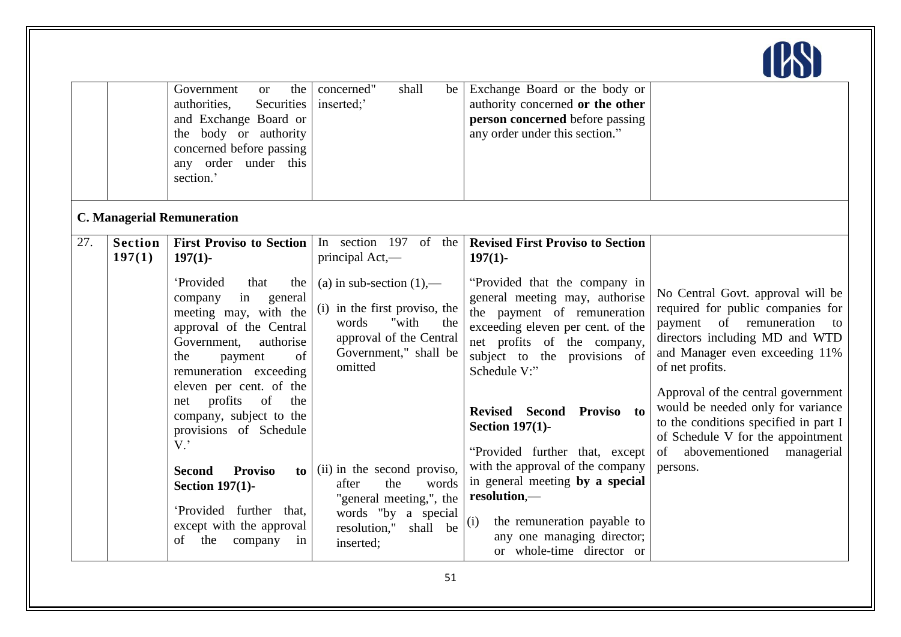

|     |                          | Government<br>the<br><b>or</b><br>authorities,<br>Securities<br>and Exchange Board or<br>the body or authority<br>concerned before passing<br>any order under this<br>section.'                                                                                             | concerned"<br>shall<br>be<br>inserted;                                                                                                               | Exchange Board or the body or<br>authority concerned or the other<br>person concerned before passing<br>any order under this section."                                                                                                           |                                                                                                                                                                                                                                                                                                                    |
|-----|--------------------------|-----------------------------------------------------------------------------------------------------------------------------------------------------------------------------------------------------------------------------------------------------------------------------|------------------------------------------------------------------------------------------------------------------------------------------------------|--------------------------------------------------------------------------------------------------------------------------------------------------------------------------------------------------------------------------------------------------|--------------------------------------------------------------------------------------------------------------------------------------------------------------------------------------------------------------------------------------------------------------------------------------------------------------------|
|     |                          | <b>C. Managerial Remuneration</b>                                                                                                                                                                                                                                           |                                                                                                                                                      |                                                                                                                                                                                                                                                  |                                                                                                                                                                                                                                                                                                                    |
| 27. | <b>Section</b><br>197(1) | <b>First Proviso to Section</b><br>$197(1)$ -                                                                                                                                                                                                                               | In section 197 of the<br>principal Act,—                                                                                                             | <b>Revised First Proviso to Section</b><br>$197(1)$ -                                                                                                                                                                                            |                                                                                                                                                                                                                                                                                                                    |
|     |                          | 'Provided<br>that<br>the<br>in<br>company<br>general<br>meeting may, with the<br>approval of the Central<br>Government,<br>authorise<br>of<br>the<br>payment<br>remuneration exceeding<br>eleven per cent. of the<br>profits<br>of<br>the<br>net<br>company, subject to the | (a) in sub-section $(1)$ ,—<br>(i) in the first proviso, the<br>"with<br>words<br>the<br>approval of the Central<br>Government," shall be<br>omitted | "Provided that the company in<br>general meeting may, authorise<br>the payment of remuneration<br>exceeding eleven per cent. of the<br>net profits of the company,<br>subject to the provisions of<br>Schedule V:"<br>Revised Second Proviso to  | No Central Govt. approval will be<br>required for public companies for<br>payment of remuneration<br>to<br>directors including MD and WTD<br>and Manager even exceeding 11%<br>of net profits.<br>Approval of the central government<br>would be needed only for variance<br>to the conditions specified in part I |
|     |                          | provisions of Schedule<br>$V$ .<br><b>Proviso</b><br><b>Second</b><br>to l<br><b>Section 197(1)-</b><br>'Provided further that,<br>except with the approval<br>the<br>company<br>οf<br>in                                                                                   | (ii) in the second proviso,<br>the<br>words<br>after<br>"general meeting,", the<br>words "by a special<br>resolution,"<br>shall be<br>inserted;      | <b>Section 197(1)-</b><br>"Provided further that, except<br>with the approval of the company<br>in general meeting by a special<br>resolution,-<br>(i)<br>the remuneration payable to<br>any one managing director;<br>or whole-time director or | of Schedule V for the appointment<br>abovementioned<br>of<br>managerial<br>persons.                                                                                                                                                                                                                                |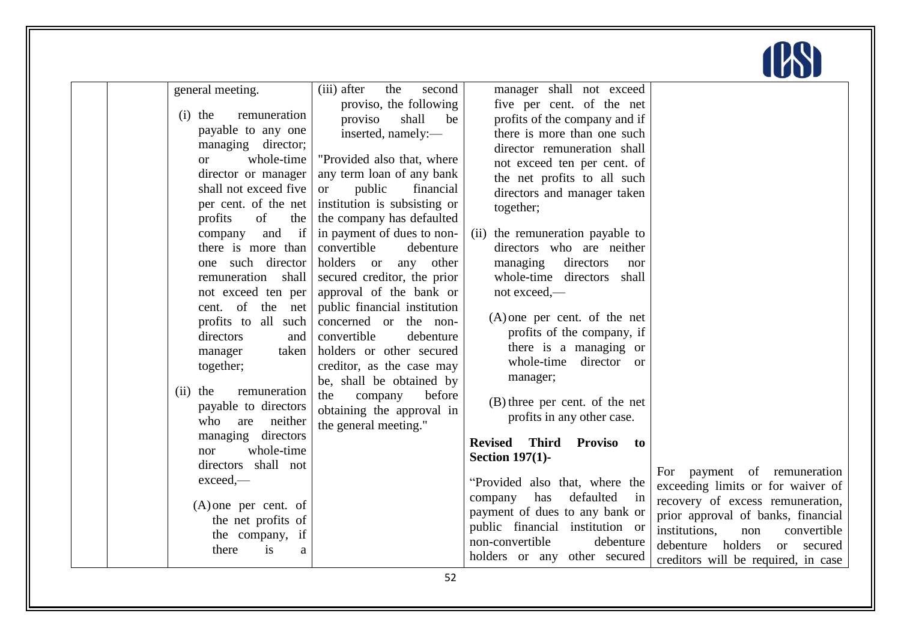| general meeting.<br>$(i)$ the<br>remuneration<br>payable to any one<br>managing director;<br>whole-time<br>$\alpha$<br>director or manager<br>shall not exceed five<br>per cent. of the net<br>profits<br>of<br>the<br>if<br>and<br>company<br>there is more than<br>one such director<br>remuneration shall<br>not exceed ten per<br>of the<br>cent.<br>net<br>profits to all such<br>directors<br>and<br>taken<br>manager<br>together;<br>$(ii)$ the<br>remuneration<br>payable to directors<br>who<br>neither<br>are<br>managing directors<br>whole-time<br>nor<br>directors shall not<br>exceed.<br>$(A)$ one per cent. of<br>the net profits of<br>the company, if<br>there<br><i>is</i><br>a | (iii) after<br>the<br>second<br>proviso, the following<br>proviso<br>shall<br>be<br>inserted, namely:-<br>"Provided also that, where<br>any term loan of any bank<br>public<br>financial<br>$\alpha$<br>institution is subsisting or<br>the company has defaulted<br>in payment of dues to non-<br>convertible<br>debenture<br>holders or<br>other<br>any<br>secured creditor, the prior<br>approval of the bank or<br>public financial institution<br>concerned or the non-<br>convertible<br>debenture<br>holders or other secured<br>creditor, as the case may<br>be, shall be obtained by<br>the<br>before<br>company<br>obtaining the approval in<br>the general meeting." | manager shall not exceed<br>five per cent. of the net<br>profits of the company and if<br>there is more than one such<br>director remuneration shall<br>not exceed ten per cent. of<br>the net profits to all such<br>directors and manager taken<br>together;<br>(ii) the remuneration payable to<br>directors who are neither<br>managing<br>directors<br>nor<br>whole-time directors<br>shall<br>not exceed,—<br>$(A)$ one per cent. of the net<br>profits of the company, if<br>there is a managing or<br>whole-time director or<br>manager;<br>(B) three per cent. of the net<br>profits in any other case.<br>Third Proviso<br><b>Revised</b><br>to<br><b>Section 197(1)-</b><br>"Provided also that, where the<br>has<br>defaulted<br>in<br>company<br>payment of dues to any bank or<br>public financial institution or<br>non-convertible<br>debenture<br>holders or any other secured | payment of remuneration<br>For<br>exceeding limits or for waiver of<br>recovery of excess remuneration,<br>prior approval of banks, financial<br>institutions.<br>convertible<br>non<br>debenture<br>holders<br>secured<br>$\alpha$<br>creditors will be required, in case |
|----------------------------------------------------------------------------------------------------------------------------------------------------------------------------------------------------------------------------------------------------------------------------------------------------------------------------------------------------------------------------------------------------------------------------------------------------------------------------------------------------------------------------------------------------------------------------------------------------------------------------------------------------------------------------------------------------|---------------------------------------------------------------------------------------------------------------------------------------------------------------------------------------------------------------------------------------------------------------------------------------------------------------------------------------------------------------------------------------------------------------------------------------------------------------------------------------------------------------------------------------------------------------------------------------------------------------------------------------------------------------------------------|-------------------------------------------------------------------------------------------------------------------------------------------------------------------------------------------------------------------------------------------------------------------------------------------------------------------------------------------------------------------------------------------------------------------------------------------------------------------------------------------------------------------------------------------------------------------------------------------------------------------------------------------------------------------------------------------------------------------------------------------------------------------------------------------------------------------------------------------------------------------------------------------------|----------------------------------------------------------------------------------------------------------------------------------------------------------------------------------------------------------------------------------------------------------------------------|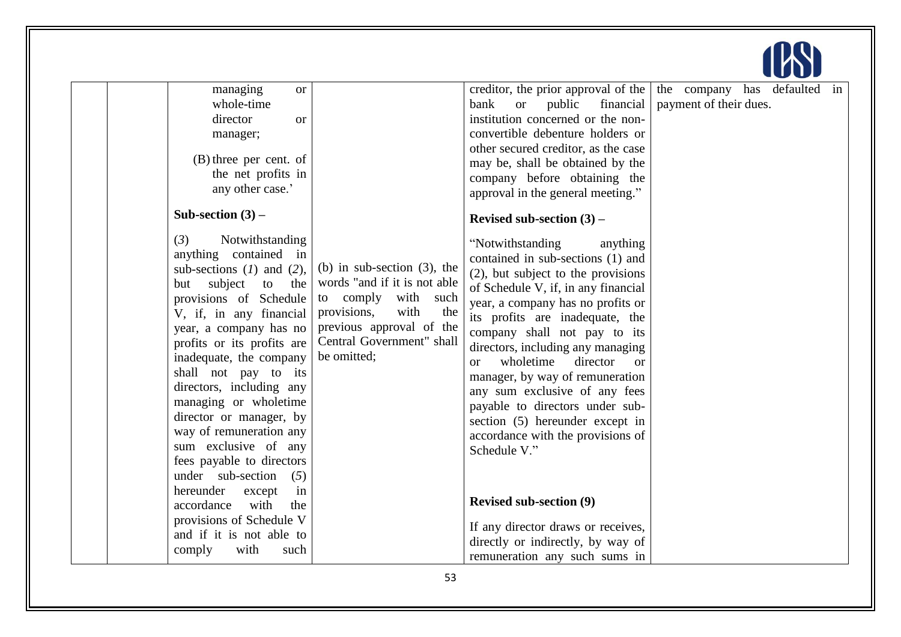| managing<br><b>or</b><br>whole-time<br>director<br>or<br>manager;<br>$(B)$ three per cent. of<br>the net profits in<br>any other case.'<br>Sub-section $(3)$ –<br>Notwithstanding<br>(3)<br>anything contained in<br>sub-sections $(1)$ and $(2)$ ,                                                                                                                                     | (b) in sub-section $(3)$ , the                                                                                                                               | creditor, the prior approval of the $\vert$<br>bank<br><sub>or</sub><br>public<br>financial<br>institution concerned or the non-<br>convertible debenture holders or<br>other secured creditor, as the case<br>may be, shall be obtained by the<br>company before obtaining the<br>approval in the general meeting."<br>Revised sub-section $(3)$ –<br>"Notwithstanding"<br>anything<br>contained in sub-sections (1) and                                              | the company has defaulted<br>in<br>payment of their dues. |
|-----------------------------------------------------------------------------------------------------------------------------------------------------------------------------------------------------------------------------------------------------------------------------------------------------------------------------------------------------------------------------------------|--------------------------------------------------------------------------------------------------------------------------------------------------------------|------------------------------------------------------------------------------------------------------------------------------------------------------------------------------------------------------------------------------------------------------------------------------------------------------------------------------------------------------------------------------------------------------------------------------------------------------------------------|-----------------------------------------------------------|
| subject<br>to<br>the<br>but<br>provisions of Schedule<br>V, if, in any financial<br>year, a company has no<br>profits or its profits are<br>inadequate, the company<br>shall not pay to its<br>directors, including any<br>managing or wholetime<br>director or manager, by<br>way of remuneration any<br>sum exclusive of any<br>fees payable to directors<br>under sub-section<br>(5) | words "and if it is not able<br>to comply<br>with such<br>provisions,<br>with<br>the<br>previous approval of the<br>Central Government" shall<br>be omitted; | (2), but subject to the provisions<br>of Schedule V, if, in any financial<br>year, a company has no profits or<br>its profits are inadequate, the<br>company shall not pay to its<br>directors, including any managing<br>wholetime<br>director<br>$\alpha$<br>$\alpha$<br>manager, by way of remuneration<br>any sum exclusive of any fees<br>payable to directors under sub-<br>section (5) hereunder except in<br>accordance with the provisions of<br>Schedule V." |                                                           |
| hereunder<br>except<br>in<br>with<br>accordance<br>the<br>provisions of Schedule V<br>and if it is not able to<br>with<br>comply<br>such                                                                                                                                                                                                                                                |                                                                                                                                                              | <b>Revised sub-section (9)</b><br>If any director draws or receives,<br>directly or indirectly, by way of<br>remuneration any such sums in                                                                                                                                                                                                                                                                                                                             |                                                           |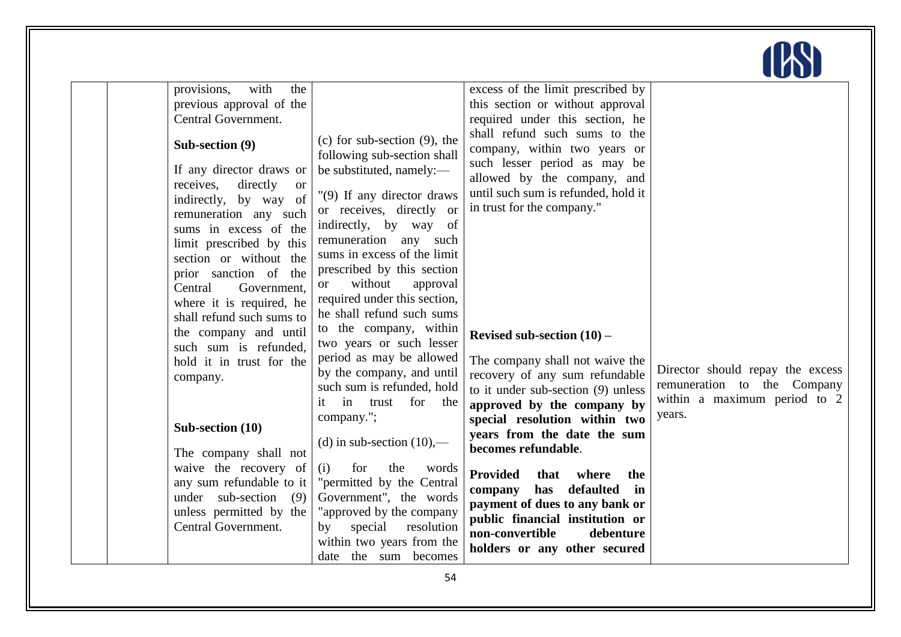| provisions,<br>with<br>the<br>previous approval of the<br>Central Government.<br>Sub-section (9)<br>If any director draws or<br>receives,<br>directly<br><sub>or</sub><br>indirectly, by way of<br>remuneration any such<br>sums in excess of the<br>limit prescribed by this<br>section or without the<br>prior sanction of the<br>Central<br>Government,<br>where it is required, he<br>shall refund such sums to<br>the company and until<br>such sum is refunded,<br>hold it in trust for the<br>company.<br>Sub-section (10)<br>The company shall not<br>waive the recovery of<br>any sum refundable to it<br>under sub-section<br>(9)<br>unless permitted by the<br>Central Government. | (c) for sub-section $(9)$ , the<br>following sub-section shall<br>be substituted, namely:-<br>"(9) If any director draws<br>or receives, directly or<br>indirectly, by way<br>of<br>remuneration any such<br>sums in excess of the limit<br>prescribed by this section<br>without<br>approval<br><sub>or</sub><br>required under this section,<br>he shall refund such sums<br>to the company, within<br>two years or such lesser<br>period as may be allowed<br>by the company, and until<br>such sum is refunded, hold<br>in trust<br>it<br>for the<br>company.";<br>(d) in sub-section $(10)$ ,—<br>for<br>the<br>(i)<br>words<br>"permitted by the Central<br>Government", the words<br>"approved by the company<br>special<br>resolution<br>by<br>within two years from the<br>date the sum becomes | excess of the limit prescribed by<br>this section or without approval<br>required under this section, he<br>shall refund such sums to the<br>company, within two years or<br>such lesser period as may be<br>allowed by the company, and<br>until such sum is refunded, hold it<br>in trust for the company."<br>Revised sub-section $(10)$ –<br>The company shall not waive the<br>recovery of any sum refundable<br>to it under sub-section $(9)$ unless<br>approved by the company by<br>special resolution within two<br>years from the date the sum<br>becomes refundable.<br><b>Provided</b><br>that<br>where<br>the<br>has<br>defaulted<br>company<br>in<br>payment of dues to any bank or<br>public financial institution or<br>non-convertible<br>debenture<br>holders or any other secured | Director should repay the excess<br>remuneration to the Company<br>within a maximum period to 2<br>years. |
|-----------------------------------------------------------------------------------------------------------------------------------------------------------------------------------------------------------------------------------------------------------------------------------------------------------------------------------------------------------------------------------------------------------------------------------------------------------------------------------------------------------------------------------------------------------------------------------------------------------------------------------------------------------------------------------------------|----------------------------------------------------------------------------------------------------------------------------------------------------------------------------------------------------------------------------------------------------------------------------------------------------------------------------------------------------------------------------------------------------------------------------------------------------------------------------------------------------------------------------------------------------------------------------------------------------------------------------------------------------------------------------------------------------------------------------------------------------------------------------------------------------------|------------------------------------------------------------------------------------------------------------------------------------------------------------------------------------------------------------------------------------------------------------------------------------------------------------------------------------------------------------------------------------------------------------------------------------------------------------------------------------------------------------------------------------------------------------------------------------------------------------------------------------------------------------------------------------------------------------------------------------------------------------------------------------------------------|-----------------------------------------------------------------------------------------------------------|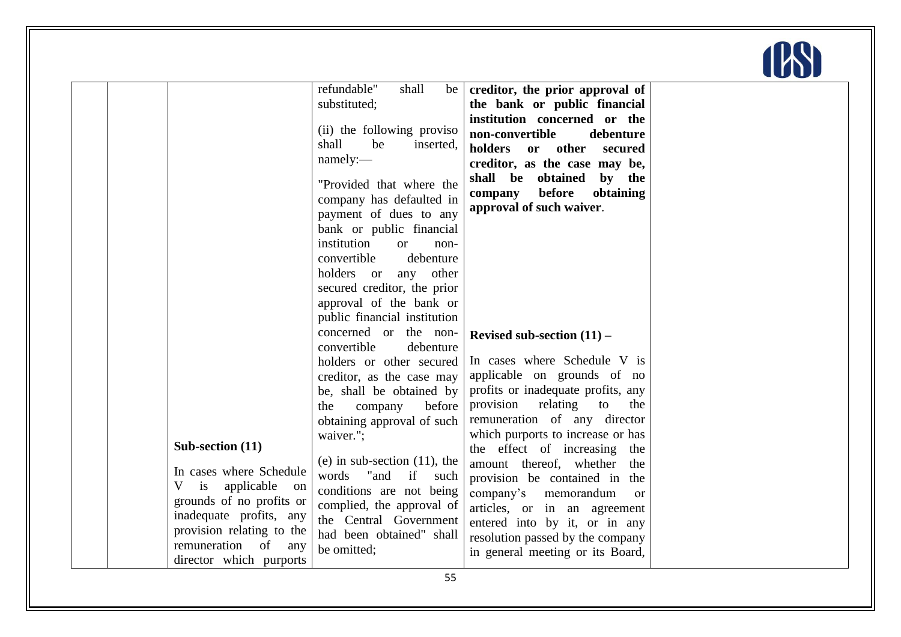

| Sub-section (11)<br>In cases where Schedule<br>is<br>applicable<br>V<br>on<br>grounds of no profits or<br>inadequate profits, any<br>provision relating to the<br>remuneration of any | refundable"<br>shall<br>be<br>substituted;<br>(ii) the following proviso<br>shall<br>be<br>inserted,<br>namely:<br>"Provided that where the<br>company has defaulted in<br>payment of dues to any<br>bank or public financial<br>institution<br><b>or</b><br>non-<br>convertible<br>debenture<br>holders or<br>any other<br>secured creditor, the prior<br>approval of the bank or<br>public financial institution<br>concerned or the non-<br>convertible<br>debenture<br>holders or other secured<br>creditor, as the case may<br>be, shall be obtained by<br>company<br>before<br>the<br>obtaining approval of such<br>waiver.";<br>(e) in sub-section $(11)$ , the<br>words<br>"and<br>if<br>such<br>conditions are not being<br>complied, the approval of<br>the Central Government<br>had been obtained" shall | creditor, the prior approval of<br>the bank or public financial<br>institution concerned or the<br>non-convertible<br>debenture<br>holders or other<br>secured<br>creditor, as the case may be,<br>shall be obtained<br>by the<br>before<br>obtaining<br>company<br>approval of such waiver.<br>Revised sub-section $(11)$ –<br>In cases where Schedule V is<br>applicable on grounds of no<br>profits or inadequate profits, any<br>provision relating<br>to<br>the<br>remuneration of any director<br>which purports to increase or has<br>the effect of increasing the<br>amount thereof, whether<br>the<br>provision be contained in the<br>company's memorandum<br><sub>or</sub><br>articles, or in an agreement<br>entered into by it, or in any<br>resolution passed by the company |  |
|---------------------------------------------------------------------------------------------------------------------------------------------------------------------------------------|----------------------------------------------------------------------------------------------------------------------------------------------------------------------------------------------------------------------------------------------------------------------------------------------------------------------------------------------------------------------------------------------------------------------------------------------------------------------------------------------------------------------------------------------------------------------------------------------------------------------------------------------------------------------------------------------------------------------------------------------------------------------------------------------------------------------|--------------------------------------------------------------------------------------------------------------------------------------------------------------------------------------------------------------------------------------------------------------------------------------------------------------------------------------------------------------------------------------------------------------------------------------------------------------------------------------------------------------------------------------------------------------------------------------------------------------------------------------------------------------------------------------------------------------------------------------------------------------------------------------------|--|
| director which purports                                                                                                                                                               | be omitted;                                                                                                                                                                                                                                                                                                                                                                                                                                                                                                                                                                                                                                                                                                                                                                                                          | in general meeting or its Board,                                                                                                                                                                                                                                                                                                                                                                                                                                                                                                                                                                                                                                                                                                                                                           |  |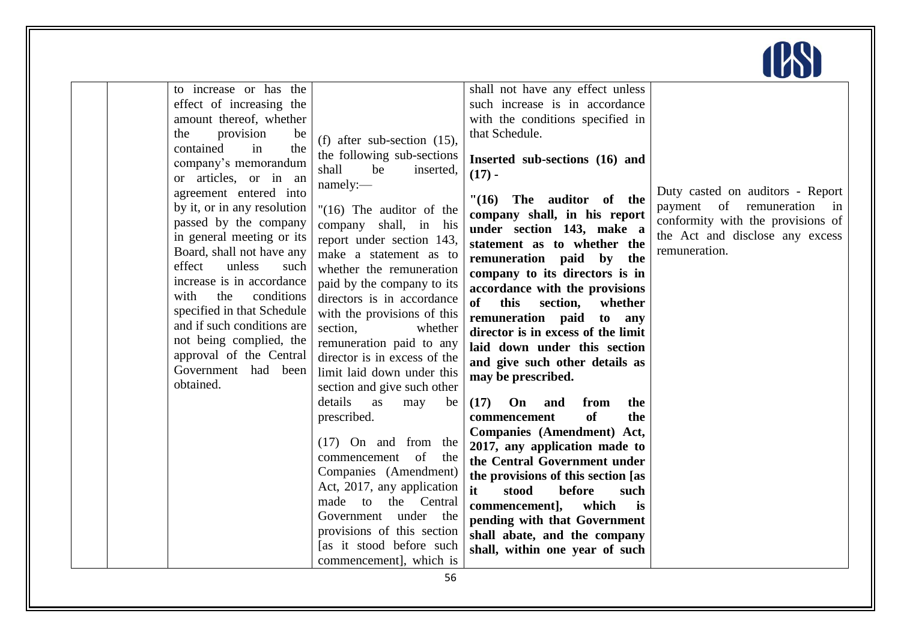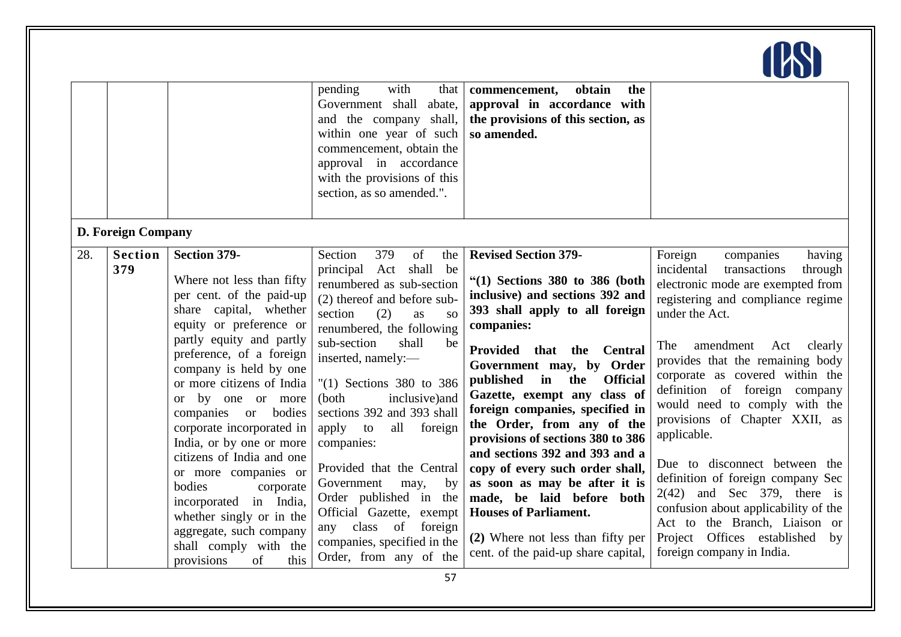|     |                                             |                                                                                                                                                                                                                                                                                                                                                                                                                                                                                                                                                                                          | pending<br>with<br>that<br>Government shall<br>abate,<br>and the company shall,<br>within one year of such<br>commencement, obtain the<br>approval in accordance<br>with the provisions of this<br>section, as so amended.".                                                                                                                                                                                                                                                                                                                                                               | obtain<br>the<br>commencement,<br>approval in accordance with<br>the provisions of this section, as<br>so amended.                                                                                                                                                                                                                                                                                                                                                                                                                                                                                                                                                  |                                                                                                                                                                                                                                                                                                                                                                                                                                                                                                                                                                                                                                                       |
|-----|---------------------------------------------|------------------------------------------------------------------------------------------------------------------------------------------------------------------------------------------------------------------------------------------------------------------------------------------------------------------------------------------------------------------------------------------------------------------------------------------------------------------------------------------------------------------------------------------------------------------------------------------|--------------------------------------------------------------------------------------------------------------------------------------------------------------------------------------------------------------------------------------------------------------------------------------------------------------------------------------------------------------------------------------------------------------------------------------------------------------------------------------------------------------------------------------------------------------------------------------------|---------------------------------------------------------------------------------------------------------------------------------------------------------------------------------------------------------------------------------------------------------------------------------------------------------------------------------------------------------------------------------------------------------------------------------------------------------------------------------------------------------------------------------------------------------------------------------------------------------------------------------------------------------------------|-------------------------------------------------------------------------------------------------------------------------------------------------------------------------------------------------------------------------------------------------------------------------------------------------------------------------------------------------------------------------------------------------------------------------------------------------------------------------------------------------------------------------------------------------------------------------------------------------------------------------------------------------------|
| 28. | D. Foreign Company<br><b>Section</b><br>379 | <b>Section 379-</b><br>Where not less than fifty<br>per cent. of the paid-up<br>share capital, whether<br>equity or preference or<br>partly equity and partly<br>preference, of a foreign<br>company is held by one<br>or more citizens of India<br>or by one or more<br>companies<br><sub>or</sub><br>bodies<br>corporate incorporated in<br>India, or by one or more<br>citizens of India and one<br>or more companies or<br>bodies<br>corporate<br>incorporated in India,<br>whether singly or in the<br>aggregate, such company<br>shall comply with the<br>of<br>this<br>provisions | Section<br>379<br>of<br>the<br>principal Act shall<br>be<br>renumbered as sub-section<br>(2) thereof and before sub-<br>section<br>(2)<br>as<br>SO <sub>2</sub><br>renumbered, the following<br>sub-section<br>shall<br>be<br>inserted, namely:-<br>" $(1)$ Sections 380 to 386<br>inclusive) and<br>(both<br>sections 392 and 393 shall<br>apply<br>all<br>foreign<br>to<br>companies:<br>Provided that the Central<br>Government<br>by<br>may,<br>Order published in the<br>Official Gazette, exempt<br>any class of<br>foreign<br>companies, specified in the<br>Order, from any of the | <b>Revised Section 379-</b><br>" $(1)$ Sections 380 to 386 (both<br>inclusive) and sections 392 and<br>393 shall apply to all foreign<br>companies:<br>Provided that the<br><b>Central</b><br>Government may, by Order<br>published<br>$\mathbf{in}$<br>the<br><b>Official</b><br>Gazette, exempt any class of<br>foreign companies, specified in<br>the Order, from any of the<br>provisions of sections 380 to 386<br>and sections 392 and 393 and a<br>copy of every such order shall,<br>as soon as may be after it is<br>made, be laid before both<br><b>Houses of Parliament.</b><br>(2) Where not less than fifty per<br>cent. of the paid-up share capital, | Foreign<br>companies<br>having<br>incidental<br>transactions<br>through<br>electronic mode are exempted from<br>registering and compliance regime<br>under the Act.<br>amendment<br>Act<br>clearly<br>The<br>provides that the remaining body<br>corporate as covered within the<br>definition of foreign company<br>would need to comply with the<br>provisions of Chapter XXII, as<br>applicable.<br>Due to disconnect between the<br>definition of foreign company Sec<br>$2(42)$ and Sec 379, there is<br>confusion about applicability of the<br>Act to the Branch, Liaison or<br>Project Offices established<br>by<br>foreign company in India. |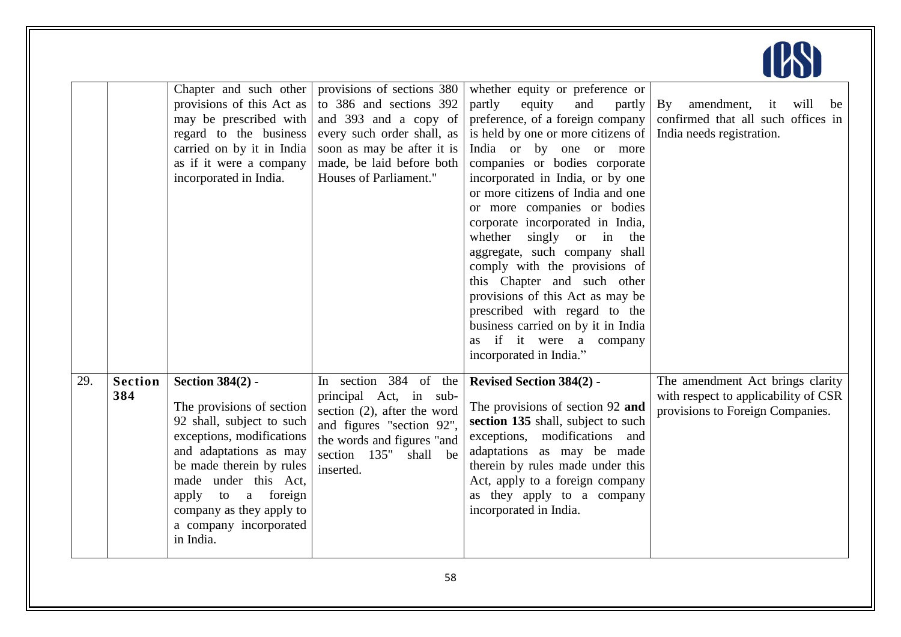|     |                       | Chapter and such other<br>provisions of this Act as<br>may be prescribed with<br>regard to the business<br>carried on by it in India<br>as if it were a company<br>incorporated in India.                                                                                                   | provisions of sections 380<br>to 386 and sections 392<br>and 393 and a copy of<br>every such order shall, as<br>soon as may be after it is<br>made, be laid before both<br>Houses of Parliament." | whether equity or preference or<br>partly<br>equity<br>and<br>partly<br>preference, of a foreign company<br>is held by one or more citizens of<br>India or by one or more<br>companies or bodies corporate<br>incorporated in India, or by one<br>or more citizens of India and one<br>or more companies or bodies<br>corporate incorporated in India,<br>singly<br>or in<br>whether<br>the<br>aggregate, such company shall<br>comply with the provisions of<br>this Chapter and such other<br>provisions of this Act as may be<br>prescribed with regard to the<br>business carried on by it in India<br>as if it were a company<br>incorporated in India." | $\mathbf{B}\mathbf{y}$<br>amendment, it<br>will<br>be<br>confirmed that all such offices in<br>India needs registration. |
|-----|-----------------------|---------------------------------------------------------------------------------------------------------------------------------------------------------------------------------------------------------------------------------------------------------------------------------------------|---------------------------------------------------------------------------------------------------------------------------------------------------------------------------------------------------|---------------------------------------------------------------------------------------------------------------------------------------------------------------------------------------------------------------------------------------------------------------------------------------------------------------------------------------------------------------------------------------------------------------------------------------------------------------------------------------------------------------------------------------------------------------------------------------------------------------------------------------------------------------|--------------------------------------------------------------------------------------------------------------------------|
| 29. | <b>Section</b><br>384 | <b>Section 384(2) -</b><br>The provisions of section<br>92 shall, subject to such<br>exceptions, modifications<br>and adaptations as may<br>be made therein by rules<br>made under this Act,<br>a foreign<br>apply<br>to<br>company as they apply to<br>a company incorporated<br>in India. | In section 384 of the<br>principal Act, in sub-<br>section $(2)$ , after the word<br>and figures "section 92",<br>the words and figures "and<br>section 135"<br>shall be<br>inserted.             | <b>Revised Section 384(2) -</b><br>The provisions of section 92 and<br>section 135 shall, subject to such<br>exceptions, modifications<br>and<br>adaptations as may be made<br>therein by rules made under this<br>Act, apply to a foreign company<br>as they apply to a company<br>incorporated in India.                                                                                                                                                                                                                                                                                                                                                    | The amendment Act brings clarity<br>with respect to applicability of CSR<br>provisions to Foreign Companies.             |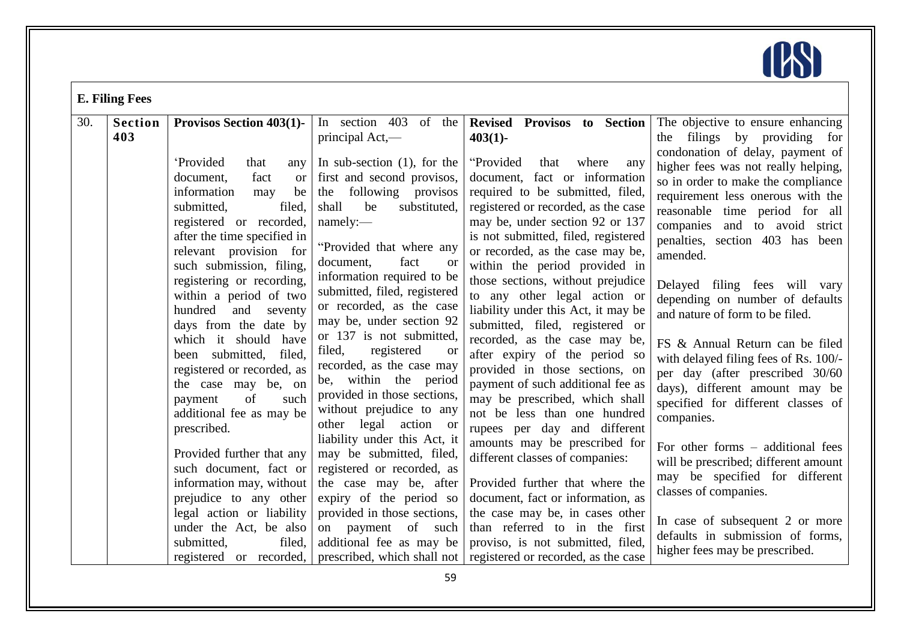

|     | <b>E. Filing Fees</b> |                                                                                                                                                                                                        |                                                                                                                                                                                                            |                                                                                                                                                                                                                                                         |                                                                                                                                                                                                                                  |  |  |
|-----|-----------------------|--------------------------------------------------------------------------------------------------------------------------------------------------------------------------------------------------------|------------------------------------------------------------------------------------------------------------------------------------------------------------------------------------------------------------|---------------------------------------------------------------------------------------------------------------------------------------------------------------------------------------------------------------------------------------------------------|----------------------------------------------------------------------------------------------------------------------------------------------------------------------------------------------------------------------------------|--|--|
| 30. | <b>Section</b><br>403 | <b>Provisos Section 403(1)-</b><br>'Provided<br>that<br>any                                                                                                                                            | In section 403<br>of the<br>principal Act,—<br>In sub-section $(1)$ , for the                                                                                                                              | Revised Provisos to Section<br>$403(1)$ -<br>"Provided<br>where<br>that<br>any                                                                                                                                                                          | The objective to ensure enhancing<br>the filings by providing for<br>condonation of delay, payment of                                                                                                                            |  |  |
|     |                       | document,<br>fact<br><sub>or</sub><br>information<br>be<br>may<br>filed,<br>submitted,<br>registered or recorded,<br>after the time specified in<br>relevant provision for<br>such submission, filing, | first and second provisos,<br>the following provisos<br>substituted,<br>shall<br>be<br>namely:<br>"Provided that where any<br>fact<br>document,<br><b>or</b><br>information required to be                 | document, fact or information<br>required to be submitted, filed,<br>registered or recorded, as the case<br>may be, under section 92 or 137<br>is not submitted, filed, registered<br>or recorded, as the case may be,<br>within the period provided in | higher fees was not really helping,<br>so in order to make the compliance<br>requirement less onerous with the<br>reasonable time period for all<br>companies and to avoid strict<br>penalties, section 403 has been<br>amended. |  |  |
|     |                       | registering or recording,<br>within a period of two<br>hundred<br>and<br>seventy<br>days from the date by                                                                                              | submitted, filed, registered<br>or recorded, as the case<br>may be, under section 92                                                                                                                       | those sections, without prejudice<br>to any other legal action or<br>liability under this Act, it may be<br>submitted, filed, registered or                                                                                                             | Delayed filing fees will vary<br>depending on number of defaults<br>and nature of form to be filed.                                                                                                                              |  |  |
|     |                       | which it should have<br>filed,<br>been submitted,<br>registered or recorded, as<br>the case may be, on<br>of<br>such<br>payment<br>additional fee as may be<br>prescribed.                             | or 137 is not submitted,<br>registered<br>filed,<br><b>or</b><br>recorded, as the case may<br>be, within the period<br>provided in those sections,<br>without prejudice to any<br>other legal<br>action or | recorded, as the case may be,<br>after expiry of the period so<br>provided in those sections, on<br>payment of such additional fee as<br>may be prescribed, which shall<br>not be less than one hundred<br>rupees per day and different                 | FS & Annual Return can be filed<br>with delayed filing fees of Rs. 100/-<br>per day (after prescribed 30/60<br>days), different amount may be<br>specified for different classes of<br>companies.                                |  |  |
|     |                       | Provided further that any<br>such document, fact or<br>information may, without<br>prejudice to any other                                                                                              | liability under this Act, it<br>may be submitted, filed,<br>registered or recorded, as<br>the case may be, after<br>expiry of the period so                                                                | amounts may be prescribed for<br>different classes of companies:<br>Provided further that where the<br>document, fact or information, as                                                                                                                | For other forms $-$ additional fees<br>will be prescribed; different amount<br>may be specified for different<br>classes of companies.                                                                                           |  |  |
|     |                       | legal action or liability<br>under the Act, be also<br>filed,<br>submitted,<br>registered or recorded,                                                                                                 | provided in those sections,<br>on payment of<br>such<br>additional fee as may be<br>prescribed, which shall not                                                                                            | the case may be, in cases other<br>than referred to in the first<br>proviso, is not submitted, filed,<br>registered or recorded, as the case                                                                                                            | In case of subsequent 2 or more<br>defaults in submission of forms,<br>higher fees may be prescribed.                                                                                                                            |  |  |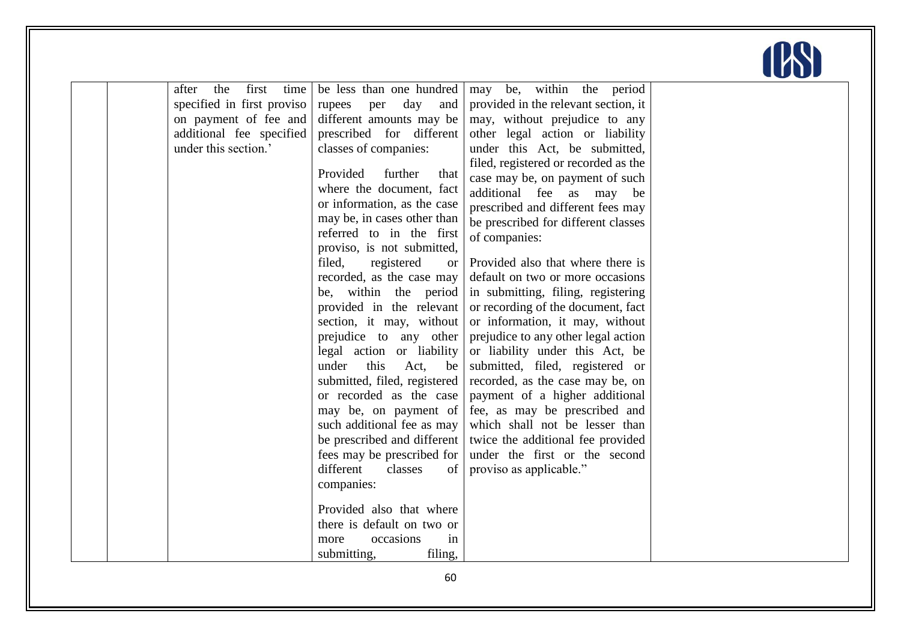

| first<br>the<br>time<br>after | be less than one hundred          | may be, within the period            |  |
|-------------------------------|-----------------------------------|--------------------------------------|--|
| specified in first proviso    | day<br>and<br>rupees<br>per       | provided in the relevant section, it |  |
| on payment of fee and         | different amounts may be          | may, without prejudice to any        |  |
| additional fee specified      | prescribed for different          | other legal action or liability      |  |
| under this section.'          | classes of companies:             | under this Act, be submitted,        |  |
|                               |                                   | filed, registered or recorded as the |  |
|                               | Provided<br>further<br>that       | case may be, on payment of such      |  |
|                               | where the document, fact          | additional fee as may be             |  |
|                               | or information, as the case       | prescribed and different fees may    |  |
|                               | may be, in cases other than       | be prescribed for different classes  |  |
|                               | referred to in the first          | of companies:                        |  |
|                               | proviso, is not submitted,        |                                      |  |
|                               | filed,<br>registered<br><b>or</b> | Provided also that where there is    |  |
|                               | recorded, as the case may         | default on two or more occasions     |  |
|                               | be, within the period             | in submitting, filing, registering   |  |
|                               | provided in the relevant          | or recording of the document, fact   |  |
|                               | section, it may, without          | or information, it may, without      |  |
|                               | prejudice to any other            | prejudice to any other legal action  |  |
|                               | legal action or liability         | or liability under this Act, be      |  |
|                               | this<br>under<br>Act,<br>be       | submitted, filed, registered or      |  |
|                               | submitted, filed, registered      | recorded, as the case may be, on     |  |
|                               | or recorded as the case           | payment of a higher additional       |  |
|                               | may be, on payment of             | fee, as may be prescribed and        |  |
|                               | such additional fee as may        | which shall not be lesser than       |  |
|                               | be prescribed and different       | twice the additional fee provided    |  |
|                               | fees may be prescribed for        | under the first or the second        |  |
|                               |                                   |                                      |  |
|                               | different<br>classes<br>of        | proviso as applicable."              |  |
|                               | companies:                        |                                      |  |
|                               | Provided also that where          |                                      |  |
|                               | there is default on two or        |                                      |  |
|                               | occasions<br>in<br>more           |                                      |  |
|                               | filing,<br>submitting,            |                                      |  |
|                               |                                   |                                      |  |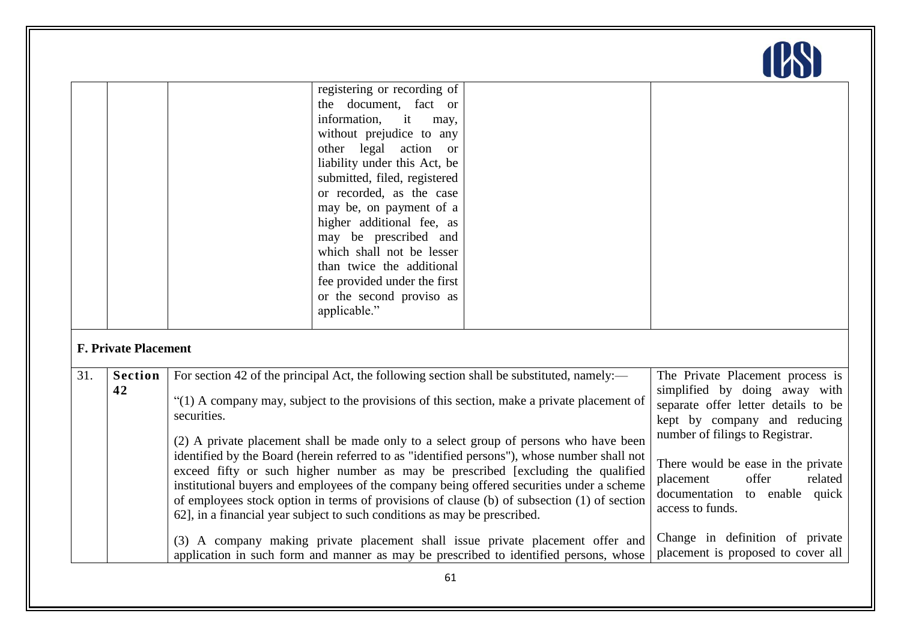|     |                             |             | registering or recording of<br>the document, fact or<br>information.<br>it<br>may,<br>without prejudice to any<br>other legal action or<br>liability under this Act, be<br>submitted, filed, registered<br>or recorded, as the case<br>may be, on payment of a<br>higher additional fee, as<br>may be prescribed and<br>which shall not be lesser<br>than twice the additional<br>fee provided under the first<br>or the second proviso as<br>applicable."                                                                                                                                                                                                                                                                                    |                                                                                                                                                                         |                                                                       |
|-----|-----------------------------|-------------|-----------------------------------------------------------------------------------------------------------------------------------------------------------------------------------------------------------------------------------------------------------------------------------------------------------------------------------------------------------------------------------------------------------------------------------------------------------------------------------------------------------------------------------------------------------------------------------------------------------------------------------------------------------------------------------------------------------------------------------------------|-------------------------------------------------------------------------------------------------------------------------------------------------------------------------|-----------------------------------------------------------------------|
|     | <b>F. Private Placement</b> |             |                                                                                                                                                                                                                                                                                                                                                                                                                                                                                                                                                                                                                                                                                                                                               |                                                                                                                                                                         |                                                                       |
| 31. | <b>Section</b><br>42        | securities. | For section 42 of the principal Act, the following section shall be substituted, namely:—<br>"(1) A company may, subject to the provisions of this section, make a private placement of<br>(2) A private placement shall be made only to a select group of persons who have been<br>identified by the Board (herein referred to as "identified persons"), whose number shall not<br>exceed fifty or such higher number as may be prescribed [excluding the qualified<br>institutional buyers and employees of the company being offered securities under a scheme<br>of employees stock option in terms of provisions of clause (b) of subsection (1) of section<br>62], in a financial year subject to such conditions as may be prescribed. |                                                                                                                                                                         |                                                                       |
|     |                             |             |                                                                                                                                                                                                                                                                                                                                                                                                                                                                                                                                                                                                                                                                                                                                               | (3) A company making private placement shall issue private placement offer and<br>application in such form and manner as may be prescribed to identified persons, whose | Change in definition of private<br>placement is proposed to cover all |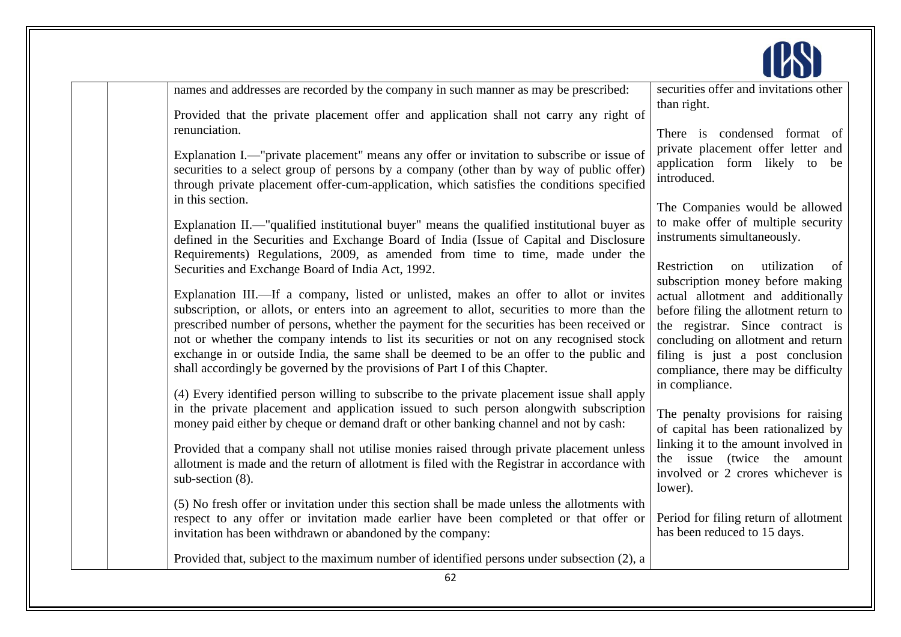

| names and addresses are recorded by the company in such manner as may be prescribed:                                                                                                                                                                                                                   | securities offer and invitations other<br>than right.                                                               |
|--------------------------------------------------------------------------------------------------------------------------------------------------------------------------------------------------------------------------------------------------------------------------------------------------------|---------------------------------------------------------------------------------------------------------------------|
| Provided that the private placement offer and application shall not carry any right of                                                                                                                                                                                                                 |                                                                                                                     |
| renunciation.                                                                                                                                                                                                                                                                                          | There is condensed format of                                                                                        |
| Explanation I.—"private placement" means any offer or invitation to subscribe or issue of<br>securities to a select group of persons by a company (other than by way of public offer)<br>through private placement offer-cum-application, which satisfies the conditions specified<br>in this section. | private placement offer letter and<br>application form likely to be<br>introduced.                                  |
|                                                                                                                                                                                                                                                                                                        | The Companies would be allowed                                                                                      |
| Explanation II.—"qualified institutional buyer" means the qualified institutional buyer as<br>defined in the Securities and Exchange Board of India (Issue of Capital and Disclosure                                                                                                                   | to make offer of multiple security<br>instruments simultaneously.                                                   |
| Requirements) Regulations, 2009, as amended from time to time, made under the<br>Securities and Exchange Board of India Act, 1992.                                                                                                                                                                     | Restriction<br>utilization<br>on<br>of<br>subscription money before making                                          |
| Explanation III.—If a company, listed or unlisted, makes an offer to allot or invites                                                                                                                                                                                                                  | actual allotment and additionally                                                                                   |
| subscription, or allots, or enters into an agreement to allot, securities to more than the<br>prescribed number of persons, whether the payment for the securities has been received or                                                                                                                | before filing the allotment return to<br>the registrar. Since contract is                                           |
| not or whether the company intends to list its securities or not on any recognised stock<br>exchange in or outside India, the same shall be deemed to be an offer to the public and<br>shall accordingly be governed by the provisions of Part I of this Chapter.                                      | concluding on allotment and return<br>filing is just a post conclusion<br>compliance, there may be difficulty       |
| (4) Every identified person willing to subscribe to the private placement issue shall apply                                                                                                                                                                                                            | in compliance.                                                                                                      |
| in the private placement and application issued to such person alongwith subscription                                                                                                                                                                                                                  |                                                                                                                     |
| money paid either by cheque or demand draft or other banking channel and not by cash:                                                                                                                                                                                                                  | The penalty provisions for raising<br>of capital has been rationalized by                                           |
| Provided that a company shall not utilise monies raised through private placement unless<br>allotment is made and the return of allotment is filed with the Registrar in accordance with<br>sub-section (8).                                                                                           | linking it to the amount involved in<br>the issue (twice the amount<br>involved or 2 crores whichever is<br>lower). |
| (5) No fresh offer or invitation under this section shall be made unless the allotments with                                                                                                                                                                                                           |                                                                                                                     |
| respect to any offer or invitation made earlier have been completed or that offer or                                                                                                                                                                                                                   | Period for filing return of allotment                                                                               |
| invitation has been withdrawn or abandoned by the company:                                                                                                                                                                                                                                             | has been reduced to 15 days.                                                                                        |
| Provided that, subject to the maximum number of identified persons under subsection (2), a                                                                                                                                                                                                             |                                                                                                                     |
| 62                                                                                                                                                                                                                                                                                                     |                                                                                                                     |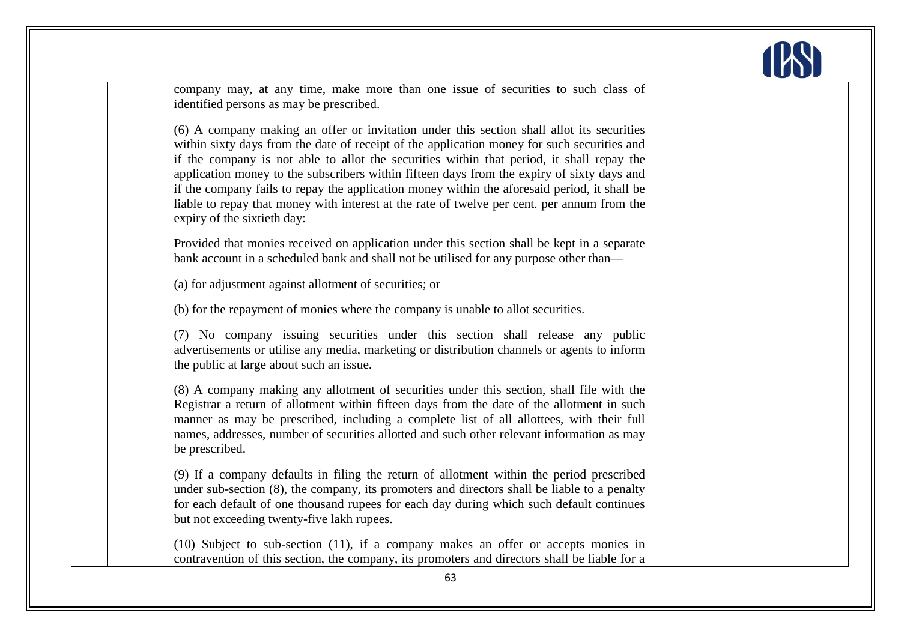

company may, at any time, make more than one issue of securities to such class of identified persons as may be prescribed.

(6) A company making an offer or invitation under this section shall allot its securities within sixty days from the date of receipt of the application money for such securities and if the company is not able to allot the securities within that period, it shall repay the application money to the subscribers within fifteen days from the expiry of sixty days and if the company fails to repay the application money within the aforesaid period, it shall be liable to repay that money with interest at the rate of twelve per cent. per annum from the expiry of the sixtieth day:

Provided that monies received on application under this section shall be kept in a separate bank account in a scheduled bank and shall not be utilised for any purpose other than—

(a) for adjustment against allotment of securities; or

(b) for the repayment of monies where the company is unable to allot securities.

(7) No company issuing securities under this section shall release any public advertisements or utilise any media, marketing or distribution channels or agents to inform the public at large about such an issue.

(8) A company making any allotment of securities under this section, shall file with the Registrar a return of allotment within fifteen days from the date of the allotment in such manner as may be prescribed, including a complete list of all allottees, with their full names, addresses, number of securities allotted and such other relevant information as may be prescribed.

(9) If a company defaults in filing the return of allotment within the period prescribed under sub-section (8), the company, its promoters and directors shall be liable to a penalty for each default of one thousand rupees for each day during which such default continues but not exceeding twenty-five lakh rupees.

(10) Subject to sub-section (11), if a company makes an offer or accepts monies in contravention of this section, the company, its promoters and directors shall be liable for a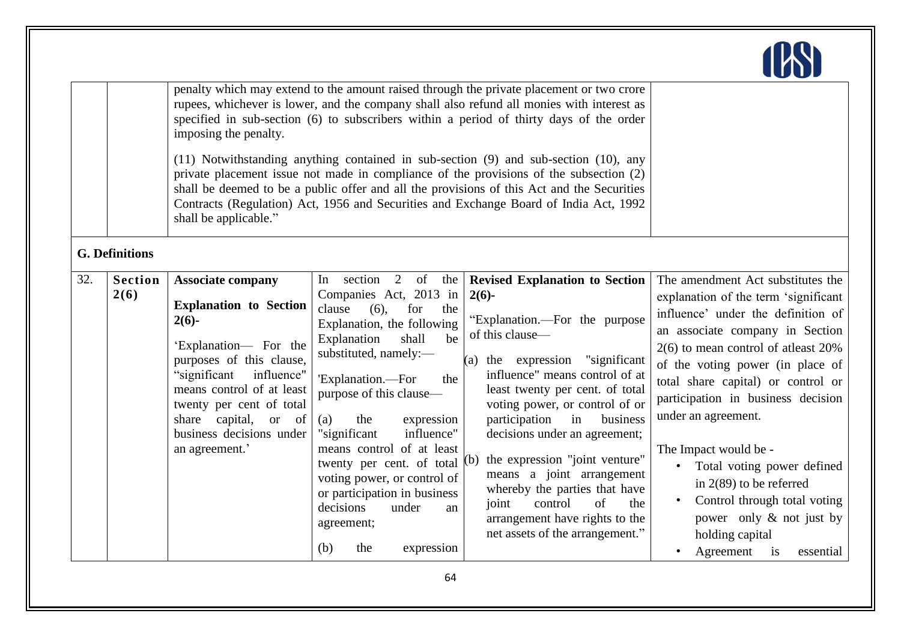|     |                        |                                                                                                                                                                                                                                                                                               |                                                                                                                                                                                                                                                                                                                                                                                                                                                           | penalty which may extend to the amount raised through the private placement or two crore<br>rupees, whichever is lower, and the company shall also refund all monies with interest as                                                                                                                                                                                                                                                                                                                                            |                                                                                                                                                                                                                                                                                                                                                                                                                                                                                         |
|-----|------------------------|-----------------------------------------------------------------------------------------------------------------------------------------------------------------------------------------------------------------------------------------------------------------------------------------------|-----------------------------------------------------------------------------------------------------------------------------------------------------------------------------------------------------------------------------------------------------------------------------------------------------------------------------------------------------------------------------------------------------------------------------------------------------------|----------------------------------------------------------------------------------------------------------------------------------------------------------------------------------------------------------------------------------------------------------------------------------------------------------------------------------------------------------------------------------------------------------------------------------------------------------------------------------------------------------------------------------|-----------------------------------------------------------------------------------------------------------------------------------------------------------------------------------------------------------------------------------------------------------------------------------------------------------------------------------------------------------------------------------------------------------------------------------------------------------------------------------------|
|     |                        | imposing the penalty.                                                                                                                                                                                                                                                                         |                                                                                                                                                                                                                                                                                                                                                                                                                                                           | specified in sub-section (6) to subscribers within a period of thirty days of the order                                                                                                                                                                                                                                                                                                                                                                                                                                          |                                                                                                                                                                                                                                                                                                                                                                                                                                                                                         |
|     |                        | shall be applicable."                                                                                                                                                                                                                                                                         |                                                                                                                                                                                                                                                                                                                                                                                                                                                           | (11) Notwithstanding anything contained in sub-section (9) and sub-section (10), any<br>private placement issue not made in compliance of the provisions of the subsection (2)<br>shall be deemed to be a public offer and all the provisions of this Act and the Securities<br>Contracts (Regulation) Act, 1956 and Securities and Exchange Board of India Act, 1992                                                                                                                                                            |                                                                                                                                                                                                                                                                                                                                                                                                                                                                                         |
|     | <b>G. Definitions</b>  |                                                                                                                                                                                                                                                                                               |                                                                                                                                                                                                                                                                                                                                                                                                                                                           |                                                                                                                                                                                                                                                                                                                                                                                                                                                                                                                                  |                                                                                                                                                                                                                                                                                                                                                                                                                                                                                         |
| 32. | <b>Section</b><br>2(6) | <b>Associate company</b><br><b>Explanation</b> to Section<br>$2(6)$ -<br>'Explanation- For the<br>purposes of this clause,<br>influence"<br>"significant<br>means control of at least<br>twenty per cent of total<br>capital,<br>share<br>or of<br>business decisions under<br>an agreement.' | In section 2 of the<br>Companies Act, 2013 in<br>clause<br>$(6)$ ,<br>for<br>the<br>Explanation, the following<br>Explanation<br>shall<br>be<br>substituted, namely:-<br>'Explanation.-For<br>the<br>purpose of this clause—<br>the<br>expression<br>(a)<br>influence"<br>"significant<br>means control of at least<br>twenty per cent. of total<br>voting power, or control of<br>or participation in business<br>decisions<br>under<br>an<br>agreement; | <b>Revised Explanation to Section</b><br>$2(6)$ -<br>"Explanation.—For the purpose<br>of this clause-<br>(a) the expression "significant<br>influence" means control of at<br>least twenty per cent. of total<br>voting power, or control of or<br>participation<br>in<br>business<br>decisions under an agreement;<br>the expression "joint venture"<br>(b)<br>means a joint arrangement<br>whereby the parties that have<br>of<br>control<br>the<br>joint<br>arrangement have rights to the<br>net assets of the arrangement." | The amendment Act substitutes the<br>explanation of the term 'significant<br>influence' under the definition of<br>an associate company in Section<br>$2(6)$ to mean control of atleast $20\%$<br>of the voting power (in place of<br>total share capital) or control or<br>participation in business decision<br>under an agreement.<br>The Impact would be -<br>• Total voting power defined<br>in $2(89)$ to be referred<br>Control through total voting<br>power only & not just by |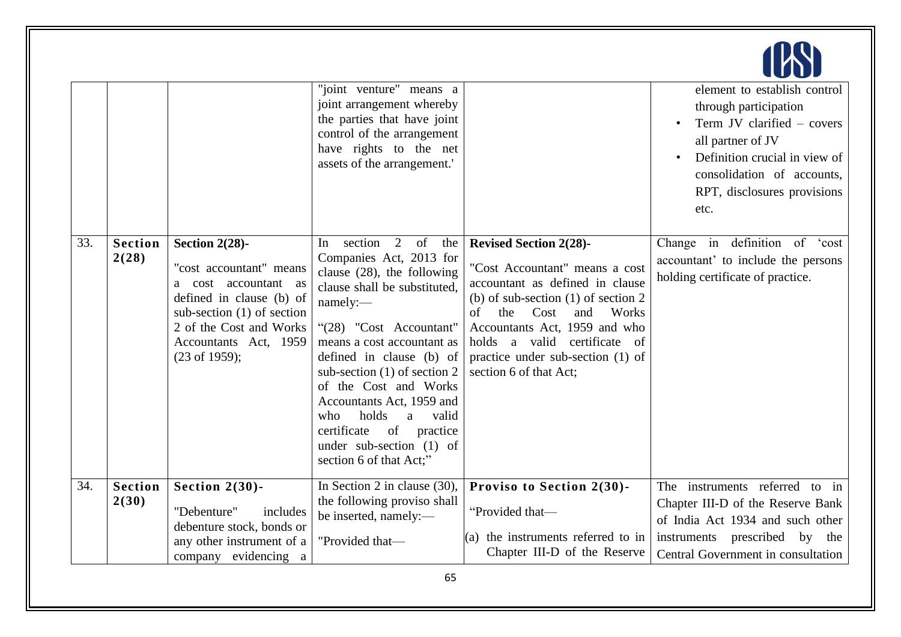|     |                         |                                                                                                                                                                                                               | "joint venture" means a<br>joint arrangement whereby<br>the parties that have joint<br>control of the arrangement<br>have rights to the net<br>assets of the arrangement.'                                                                                                                                                                                                                                                                   |                                                                                                                                                                                                                                                                                                                  | element to establish control<br>through participation<br>Term JV clarified – covers<br>all partner of JV<br>Definition crucial in view of<br>consolidation of accounts,<br>RPT, disclosures provisions<br>etc. |
|-----|-------------------------|---------------------------------------------------------------------------------------------------------------------------------------------------------------------------------------------------------------|----------------------------------------------------------------------------------------------------------------------------------------------------------------------------------------------------------------------------------------------------------------------------------------------------------------------------------------------------------------------------------------------------------------------------------------------|------------------------------------------------------------------------------------------------------------------------------------------------------------------------------------------------------------------------------------------------------------------------------------------------------------------|----------------------------------------------------------------------------------------------------------------------------------------------------------------------------------------------------------------|
| 33. | <b>Section</b><br>2(28) | Section 2(28)-<br>"cost accountant" means<br>a cost accountant as<br>defined in clause (b) of<br>sub-section $(1)$ of section<br>2 of the Cost and Works<br>Accountants Act, 1959<br>$(23 \text{ of } 1959);$ | section<br>2<br>of<br>the<br>In<br>Companies Act, 2013 for<br>clause $(28)$ , the following<br>clause shall be substituted,<br>namely:-<br>"(28) "Cost Accountant"<br>means a cost accountant as<br>defined in clause (b) of<br>sub-section $(1)$ of section 2<br>of the Cost and Works<br>Accountants Act, 1959 and<br>holds<br>who<br>valid<br>a<br>certificate<br>of<br>practice<br>under sub-section $(1)$ of<br>section 6 of that Act;" | <b>Revised Section 2(28)-</b><br>"Cost Accountant" means a cost<br>accountant as defined in clause<br>(b) of sub-section $(1)$ of section 2<br>Works<br>of<br>the<br>Cost<br>and<br>Accountants Act, 1959 and who<br>holds a valid certificate of<br>practice under sub-section (1) of<br>section 6 of that Act; | Change in definition of $\overline{\text{cost}}$<br>accountant' to include the persons<br>holding certificate of practice.                                                                                     |
| 34. | <b>Section</b><br>2(30) | Section $2(30)$ -<br>"Debenture"<br>includes<br>debenture stock, bonds or                                                                                                                                     | In Section 2 in clause $(30)$ ,<br>the following proviso shall<br>be inserted, namely:-                                                                                                                                                                                                                                                                                                                                                      | Proviso to Section 2(30)-<br>"Provided that-                                                                                                                                                                                                                                                                     | The instruments referred to in<br>Chapter III-D of the Reserve Bank<br>of India Act 1934 and such other                                                                                                        |
|     |                         | any other instrument of a<br>evidencing a<br>company                                                                                                                                                          | "Provided that-                                                                                                                                                                                                                                                                                                                                                                                                                              | $(a)$ the instruments referred to in<br>Chapter III-D of the Reserve                                                                                                                                                                                                                                             | instruments prescribed by the<br>Central Government in consultation                                                                                                                                            |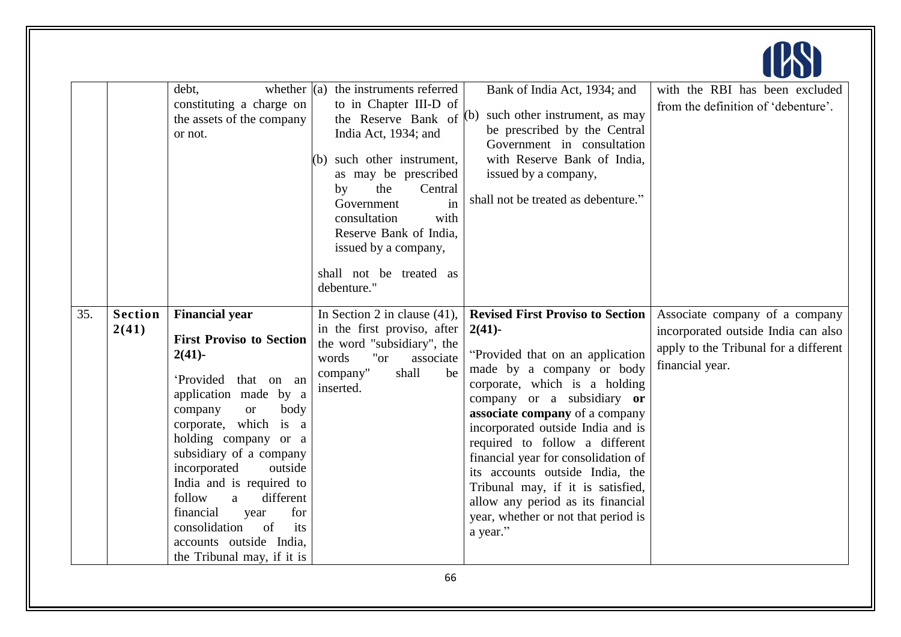|     |                         | debt,<br>constituting a charge on<br>the assets of the company<br>or not.                                                                                                                                                                                                                                                                                                                                                                   | whether $\vert$ (a) the instruments referred<br>to in Chapter III-D of<br>the Reserve Bank of<br>India Act, 1934; and<br>(b) such other instrument,<br>as may be prescribed<br>the<br>Central<br>by<br>Government<br>in<br>with<br>consultation<br>Reserve Bank of India,<br>issued by a company,<br>shall not be treated as<br>debenture." | Bank of India Act, 1934; and<br>(b) such other instrument, as may<br>be prescribed by the Central<br>Government in consultation<br>with Reserve Bank of India,<br>issued by a company,<br>shall not be treated as debenture."                                                                                                                                                                                                                                                                         | with the RBI has been excluded<br>from the definition of 'debenture'.                                                             |
|-----|-------------------------|---------------------------------------------------------------------------------------------------------------------------------------------------------------------------------------------------------------------------------------------------------------------------------------------------------------------------------------------------------------------------------------------------------------------------------------------|---------------------------------------------------------------------------------------------------------------------------------------------------------------------------------------------------------------------------------------------------------------------------------------------------------------------------------------------|-------------------------------------------------------------------------------------------------------------------------------------------------------------------------------------------------------------------------------------------------------------------------------------------------------------------------------------------------------------------------------------------------------------------------------------------------------------------------------------------------------|-----------------------------------------------------------------------------------------------------------------------------------|
| 35. | <b>Section</b><br>2(41) | <b>Financial year</b><br><b>First Proviso to Section</b><br>$2(41)$ -<br>'Provided<br>that on an<br>application made by a<br>company<br>body<br><b>or</b><br>corporate, which is a<br>holding company or a<br>subsidiary of a company<br>incorporated<br>outside<br>India and is required to<br>follow<br>different<br>a<br>financial<br>for<br>year<br>consolidation<br>of<br>its<br>accounts outside India,<br>the Tribunal may, if it is | In Section 2 in clause $(41)$ ,<br>in the first proviso, after<br>the word "subsidiary", the<br>words<br>"or"<br>associate<br>company"<br>shall<br>be<br>inserted.                                                                                                                                                                          | <b>Revised First Proviso to Section</b><br>$2(41)$ -<br>"Provided that on an application"<br>made by a company or body<br>corporate, which is a holding<br>company or a subsidiary or<br>associate company of a company<br>incorporated outside India and is<br>required to follow a different<br>financial year for consolidation of<br>its accounts outside India, the<br>Tribunal may, if it is satisfied,<br>allow any period as its financial<br>year, whether or not that period is<br>a year." | Associate company of a company<br>incorporated outside India can also<br>apply to the Tribunal for a different<br>financial year. |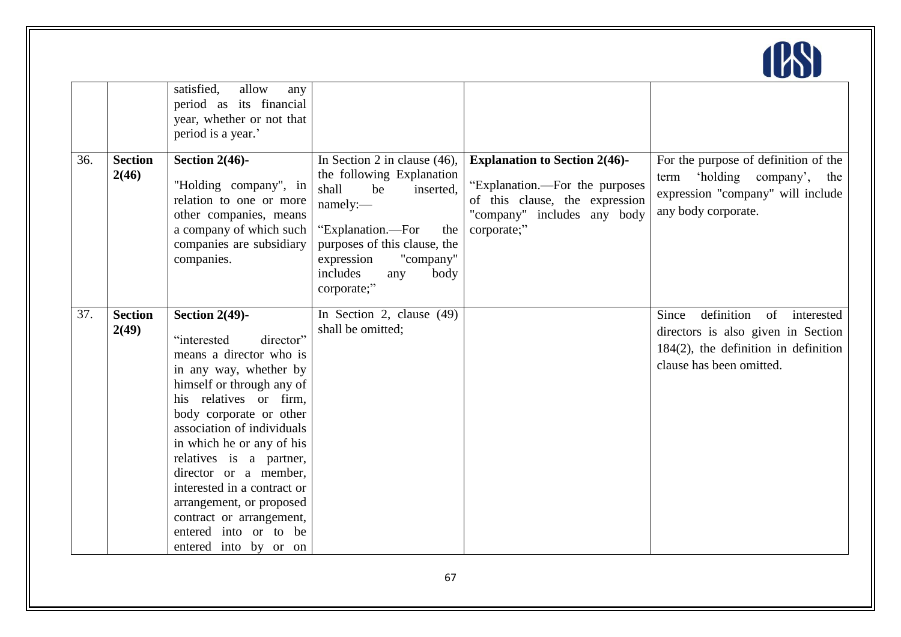

|     |                         | satisfied,<br>allow<br>any<br>period as its financial<br>year, whether or not that<br>period is a year.'                                                                                                                                                                                                                                                                                                                                     |                                                                                                                                                                                                                                       |                                                                                                                                                        |                                                                                                                                                      |
|-----|-------------------------|----------------------------------------------------------------------------------------------------------------------------------------------------------------------------------------------------------------------------------------------------------------------------------------------------------------------------------------------------------------------------------------------------------------------------------------------|---------------------------------------------------------------------------------------------------------------------------------------------------------------------------------------------------------------------------------------|--------------------------------------------------------------------------------------------------------------------------------------------------------|------------------------------------------------------------------------------------------------------------------------------------------------------|
| 36. | <b>Section</b><br>2(46) | Section $2(46)$ -<br>"Holding company", in<br>relation to one or more<br>other companies, means<br>a company of which such<br>companies are subsidiary<br>companies.                                                                                                                                                                                                                                                                         | In Section 2 in clause $(46)$ ,<br>the following Explanation<br>shall<br>be<br>inserted,<br>namely:-<br>"Explanation.-For<br>the<br>purposes of this clause, the<br>expression<br>"company"<br>includes<br>body<br>any<br>corporate;" | <b>Explanation to Section 2(46)-</b><br>"Explanation.—For the purposes<br>of this clause, the expression<br>"company" includes any body<br>corporate;" | For the purpose of definition of the<br>'holding company',<br>term<br>the<br>expression "company" will include<br>any body corporate.                |
| 37. | <b>Section</b><br>2(49) | Section $2(49)$ -<br>director"<br>"interested<br>means a director who is<br>in any way, whether by<br>himself or through any of<br>his relatives or firm,<br>body corporate or other<br>association of individuals<br>in which he or any of his<br>relatives is a partner,<br>director or a member,<br>interested in a contract or<br>arrangement, or proposed<br>contract or arrangement,<br>entered into or to be<br>entered into by or on | In Section 2, clause (49)<br>shall be omitted;                                                                                                                                                                                        |                                                                                                                                                        | definition<br>Since<br>of<br>interested<br>directors is also given in Section<br>$184(2)$ , the definition in definition<br>clause has been omitted. |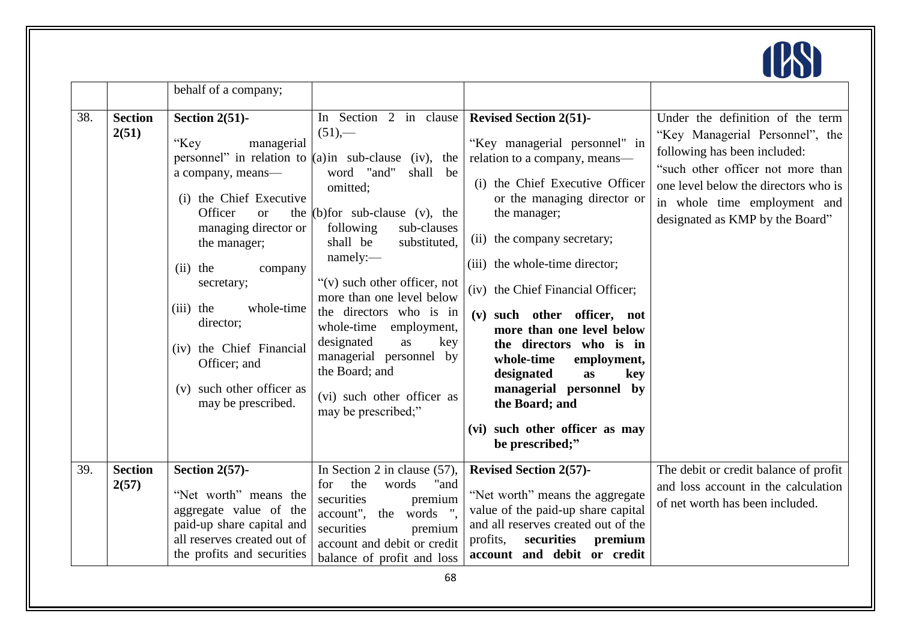

|     |                         | behalf of a company;                                                                                                                                                                                                                                                                                                                    |                                                                                                                                                                                                                                                                                                                                                                                                                                                                                                         |                                                                                                                                                                                                                                                                                                                                                                                                                                                                                                                                          |                                                                                                                                                                                                                                                     |
|-----|-------------------------|-----------------------------------------------------------------------------------------------------------------------------------------------------------------------------------------------------------------------------------------------------------------------------------------------------------------------------------------|---------------------------------------------------------------------------------------------------------------------------------------------------------------------------------------------------------------------------------------------------------------------------------------------------------------------------------------------------------------------------------------------------------------------------------------------------------------------------------------------------------|------------------------------------------------------------------------------------------------------------------------------------------------------------------------------------------------------------------------------------------------------------------------------------------------------------------------------------------------------------------------------------------------------------------------------------------------------------------------------------------------------------------------------------------|-----------------------------------------------------------------------------------------------------------------------------------------------------------------------------------------------------------------------------------------------------|
| 38. | <b>Section</b><br>2(51) | Section $2(51)$ -<br>"Key<br>managerial<br>a company, means-<br>(i) the Chief Executive<br>Officer<br><b>or</b><br>managing director or<br>the manager;<br>$(ii)$ the<br>company<br>secretary;<br>$(iii)$ the<br>whole-time<br>director;<br>(iv) the Chief Financial<br>Officer; and<br>(v) such other officer as<br>may be prescribed. | In Section 2 in clause<br>$(51)$ ,-<br>personnel" in relation to $(a)$ in sub-clause (iv), the<br>word "and"<br>shall<br>be<br>omitted;<br>the $(b)$ for sub-clause $(v)$ , the<br>sub-clauses<br>following<br>shall be<br>substituted,<br>namely:<br>" $(v)$ such other officer, not<br>more than one level below<br>the directors who is in<br>whole-time<br>employment,<br>designated<br>as<br>key<br>managerial personnel by<br>the Board; and<br>(vi) such other officer as<br>may be prescribed;" | <b>Revised Section 2(51)-</b><br>"Key managerial personnel" in<br>relation to a company, means-<br>(i) the Chief Executive Officer<br>or the managing director or<br>the manager;<br>(ii) the company secretary;<br>(iii) the whole-time director;<br>(iv) the Chief Financial Officer;<br>(v) such other officer, not<br>more than one level below<br>the directors who is in<br>whole-time<br>employment,<br>designated<br>as<br>key<br>managerial personnel by<br>the Board; and<br>(vi) such other officer as may<br>be prescribed;" | Under the definition of the term<br>"Key Managerial Personnel", the<br>following has been included:<br>"such other officer not more than<br>one level below the directors who is<br>in whole time employment and<br>designated as KMP by the Board" |
| 39. | <b>Section</b><br>2(57) | Section $2(57)$ -<br>"Net worth" means the<br>aggregate value of the<br>paid-up share capital and<br>all reserves created out of<br>the profits and securities                                                                                                                                                                          | In Section 2 in clause $(57)$ ,<br>the<br>"and<br>words<br>for<br>securities<br>premium<br>words ".<br>account",<br>the<br>securities<br>premium<br>account and debit or credit<br>balance of profit and loss                                                                                                                                                                                                                                                                                           | <b>Revised Section 2(57)-</b><br>"Net worth" means the aggregate<br>value of the paid-up share capital<br>and all reserves created out of the<br>profits,<br>securities<br>premium<br>account and debit or credit                                                                                                                                                                                                                                                                                                                        | The debit or credit balance of profit<br>and loss account in the calculation<br>of net worth has been included.                                                                                                                                     |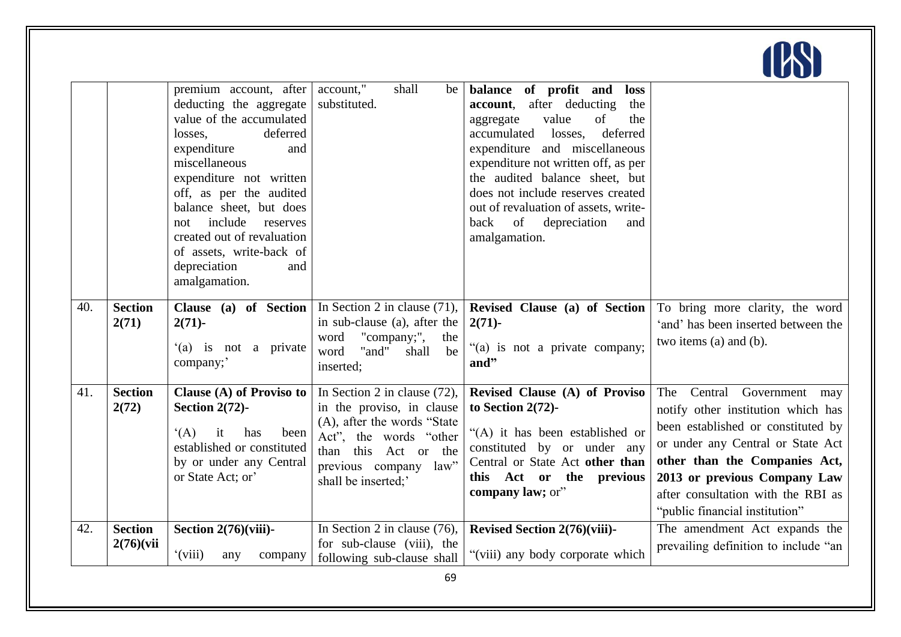|     |                              | premium account, after<br>deducting the aggregate<br>value of the accumulated<br>losses,<br>deferred<br>expenditure<br>and<br>miscellaneous<br>expenditure not written<br>off, as per the audited<br>balance sheet, but does<br>include<br>reserves<br>not<br>created out of revaluation<br>of assets, write-back of<br>depreciation<br>and<br>amalgamation. | account,"<br>shall<br>be<br>substituted.                                                                                                                                                          | balance of profit and<br>loss<br>after deducting<br>account,<br>the<br>value<br>of<br>the<br>aggregate<br>deferred<br>accumulated<br>losses,<br>expenditure and miscellaneous<br>expenditure not written off, as per<br>the audited balance sheet, but<br>does not include reserves created<br>out of revaluation of assets, write-<br>of<br>back<br>depreciation<br>and<br>amalgamation. |                                                                                                                                                                                                                                                                                         |
|-----|------------------------------|--------------------------------------------------------------------------------------------------------------------------------------------------------------------------------------------------------------------------------------------------------------------------------------------------------------------------------------------------------------|---------------------------------------------------------------------------------------------------------------------------------------------------------------------------------------------------|-------------------------------------------------------------------------------------------------------------------------------------------------------------------------------------------------------------------------------------------------------------------------------------------------------------------------------------------------------------------------------------------|-----------------------------------------------------------------------------------------------------------------------------------------------------------------------------------------------------------------------------------------------------------------------------------------|
| 40. | <b>Section</b><br>2(71)      | $2(71)$ -<br>'(a) is not a private<br>company;                                                                                                                                                                                                                                                                                                               | <b>Clause</b> (a) of Section   In Section 2 in clause (71),<br>in sub-clause (a), after the<br>"company;",<br>word<br>the<br>"and"<br>word<br>shall<br>be<br>inserted;                            | Revised Clause (a) of Section<br>$2(71)$ -<br>"(a) is not a private company;<br>and"                                                                                                                                                                                                                                                                                                      | To bring more clarity, the word<br>'and' has been inserted between the<br>two items (a) and (b).                                                                                                                                                                                        |
| 41. | <b>Section</b><br>2(72)      | Clause (A) of Proviso to<br>Section $2(72)$ -<br>(A)<br>it<br>has<br>been<br>established or constituted<br>by or under any Central<br>or State Act; or'                                                                                                                                                                                                      | In Section 2 in clause $(72)$ ,<br>in the proviso, in clause<br>(A), after the words "State"<br>Act", the words "other<br>than this<br>Act or the<br>previous company law"<br>shall be inserted;' | Revised Clause (A) of Proviso<br>to Section 2(72)-<br>"(A) it has been established or<br>constituted by or under any<br>Central or State Act other than<br>this Act or the previous<br>company law; or"                                                                                                                                                                                   | The Central Government<br>may<br>notify other institution which has<br>been established or constituted by<br>or under any Central or State Act<br>other than the Companies Act,<br>2013 or previous Company Law<br>after consultation with the RBI as<br>"public financial institution" |
| 42. | <b>Section</b><br>2(76)(vii) | Section $2(76)(viii)$ -<br>$\gamma$ (viii)<br>any<br>company                                                                                                                                                                                                                                                                                                 | In Section 2 in clause $(76)$ ,<br>for sub-clause (viii), the<br>following sub-clause shall                                                                                                       | Revised Section 2(76)(viii)-<br>"(viii) any body corporate which                                                                                                                                                                                                                                                                                                                          | The amendment Act expands the<br>prevailing definition to include "an                                                                                                                                                                                                                   |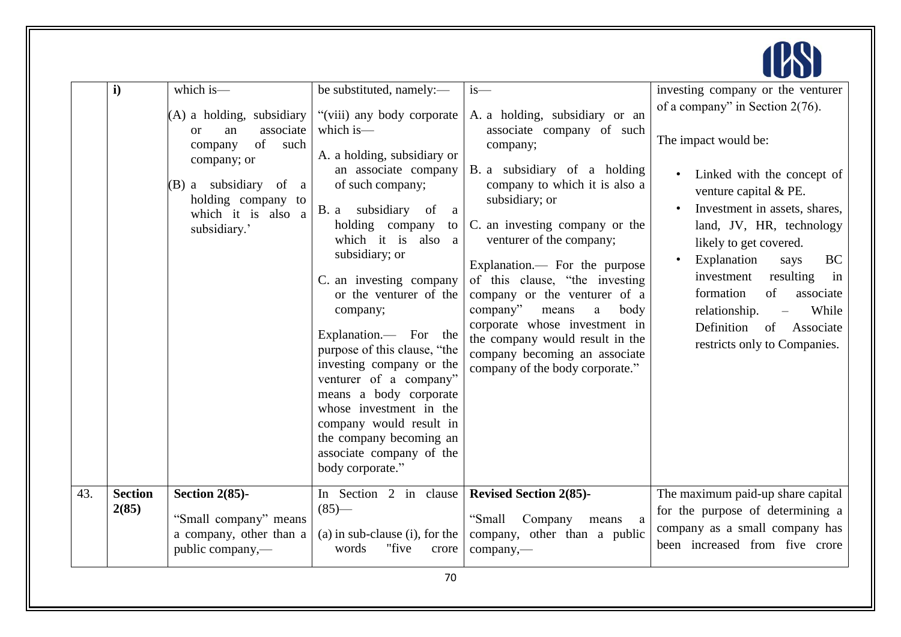

|     | $\mathbf{i}$            | which is-                                                                                                                                                                                 | be substituted, namely:-                                                                                                                                                                                                                                                                                                                                                                                                                                                                                                                                       | $is-$                                                                                                                                                                                                                                                                                                                                                                                                                                                                                                            | investing company or the venturer                                                                                                                                                                                                                                                                                                                                                                     |
|-----|-------------------------|-------------------------------------------------------------------------------------------------------------------------------------------------------------------------------------------|----------------------------------------------------------------------------------------------------------------------------------------------------------------------------------------------------------------------------------------------------------------------------------------------------------------------------------------------------------------------------------------------------------------------------------------------------------------------------------------------------------------------------------------------------------------|------------------------------------------------------------------------------------------------------------------------------------------------------------------------------------------------------------------------------------------------------------------------------------------------------------------------------------------------------------------------------------------------------------------------------------------------------------------------------------------------------------------|-------------------------------------------------------------------------------------------------------------------------------------------------------------------------------------------------------------------------------------------------------------------------------------------------------------------------------------------------------------------------------------------------------|
|     |                         | (A) a holding, subsidiary<br>associate<br><b>or</b><br>an<br>of<br>such<br>company<br>company; or<br>(B) a subsidiary of<br>a<br>holding company to<br>which it is also a<br>subsidiary.' | "(viii) any body corporate<br>which is-<br>A. a holding, subsidiary or<br>an associate company<br>of such company;<br>B. a subsidiary of<br><sub>a</sub><br>holding company<br>which it is also a<br>subsidiary; or<br>C. an investing company<br>or the venturer of the<br>company;<br>Explanation.— For the<br>purpose of this clause, "the<br>investing company or the<br>venturer of a company"<br>means a body corporate<br>whose investment in the<br>company would result in<br>the company becoming an<br>associate company of the<br>body corporate." | A. a holding, subsidiary or an<br>associate company of such<br>company;<br>B. a subsidiary of a holding<br>company to which it is also a<br>subsidiary; or<br>to $\vert$ C. an investing company or the<br>venturer of the company;<br>Explanation.— For the purpose<br>of this clause, "the investing<br>company or the venturer of a<br>company"<br>means<br>a<br>body<br>corporate whose investment in<br>the company would result in the<br>company becoming an associate<br>company of the body corporate." | of a company" in Section $2(76)$ .<br>The impact would be:<br>Linked with the concept of<br>venture capital & PE.<br>Investment in assets, shares,<br>land, JV, HR, technology<br>likely to get covered.<br>Explanation<br><b>BC</b><br>says<br>investment<br>resulting<br>in<br>formation<br>of<br>associate<br>relationship.<br>While<br>Definition<br>of Associate<br>restricts only to Companies. |
| 43. | <b>Section</b><br>2(85) | Section $2(85)$ -<br>"Small company" means<br>a company, other than a<br>public company,—                                                                                                 | In Section 2 in clause<br>$(85)$ —<br>$(a)$ in sub-clause $(i)$ , for the<br>"five<br>words<br>crore                                                                                                                                                                                                                                                                                                                                                                                                                                                           | <b>Revised Section 2(85)-</b><br>"Small<br>Company<br>means<br>a<br>company, other than a public<br>company,-                                                                                                                                                                                                                                                                                                                                                                                                    | The maximum paid-up share capital<br>for the purpose of determining a<br>company as a small company has<br>been increased from five crore                                                                                                                                                                                                                                                             |
|     |                         |                                                                                                                                                                                           | 70                                                                                                                                                                                                                                                                                                                                                                                                                                                                                                                                                             |                                                                                                                                                                                                                                                                                                                                                                                                                                                                                                                  |                                                                                                                                                                                                                                                                                                                                                                                                       |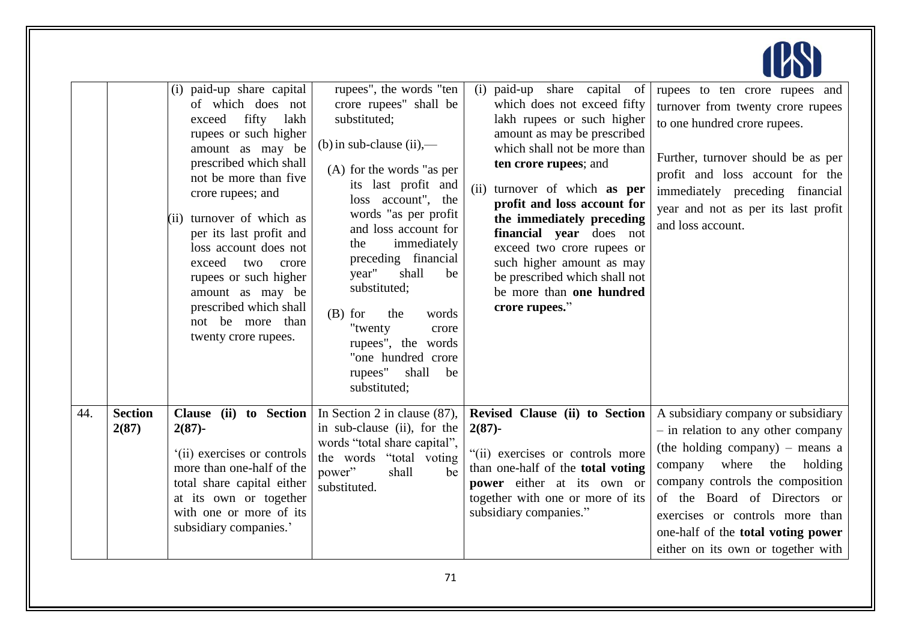|     |                         | (i) paid-up share capital<br>of which does not<br>fifty<br>lakh<br>exceed<br>rupees or such higher<br>amount as may be<br>prescribed which shall<br>not be more than five<br>crore rupees; and<br>(ii) turnover of which as<br>per its last profit and<br>loss account does not<br>exceed<br>two<br>crore<br>rupees or such higher<br>amount as may be<br>prescribed which shall<br>not be more than<br>twenty crore rupees. | rupees", the words "ten<br>crore rupees" shall be<br>substituted;<br>(b) in sub-clause $(ii)$ ,—<br>(A) for the words "as per<br>its last profit and<br>loss account", the<br>words "as per profit<br>and loss account for<br>immediately<br>the<br>preceding financial<br>year"<br>shall<br>be<br>substituted;<br>$(B)$ for<br>the<br>words<br>"twenty<br>crore<br>rupees", the words<br>"one hundred crore<br>rupees"<br>shall<br>be<br>substituted; | paid-up share capital<br>of<br>(i)<br>which does not exceed fifty<br>lakh rupees or such higher<br>amount as may be prescribed<br>which shall not be more than<br>ten crore rupees; and<br>turnover of which as per<br>(ii)<br>profit and loss account for<br>the immediately preceding<br>financial year does not<br>exceed two crore rupees or<br>such higher amount as may<br>be prescribed which shall not<br>be more than one hundred<br>crore rupees." | rupees to ten crore rupees and<br>turnover from twenty crore rupees<br>to one hundred crore rupees.<br>Further, turnover should be as per<br>profit and loss account for the<br>immediately preceding financial<br>year and not as per its last profit<br>and loss account.                                                              |
|-----|-------------------------|------------------------------------------------------------------------------------------------------------------------------------------------------------------------------------------------------------------------------------------------------------------------------------------------------------------------------------------------------------------------------------------------------------------------------|--------------------------------------------------------------------------------------------------------------------------------------------------------------------------------------------------------------------------------------------------------------------------------------------------------------------------------------------------------------------------------------------------------------------------------------------------------|--------------------------------------------------------------------------------------------------------------------------------------------------------------------------------------------------------------------------------------------------------------------------------------------------------------------------------------------------------------------------------------------------------------------------------------------------------------|------------------------------------------------------------------------------------------------------------------------------------------------------------------------------------------------------------------------------------------------------------------------------------------------------------------------------------------|
| 44. | <b>Section</b><br>2(87) | Clause (ii) to Section<br>$2(87) -$<br>(ii) exercises or controls<br>more than one-half of the<br>total share capital either<br>at its own or together<br>with one or more of its<br>subsidiary companies.'                                                                                                                                                                                                                  | In Section 2 in clause $(87)$ ,<br>in sub-clause (ii), for the<br>words "total share capital",<br>the words "total voting"<br>shall<br>power"<br>be<br>substituted.                                                                                                                                                                                                                                                                                    | Revised Clause (ii) to Section<br>$2(87)$ -<br>"(ii) exercises or controls more<br>than one-half of the total voting<br>power either at its own or<br>together with one or more of its<br>subsidiary companies."                                                                                                                                                                                                                                             | A subsidiary company or subsidiary<br>- in relation to any other company<br>(the holding company) – means a<br>company where<br>the<br>holding<br>company controls the composition<br>of the Board of Directors or<br>exercises or controls more than<br>one-half of the <b>total voting power</b><br>either on its own or together with |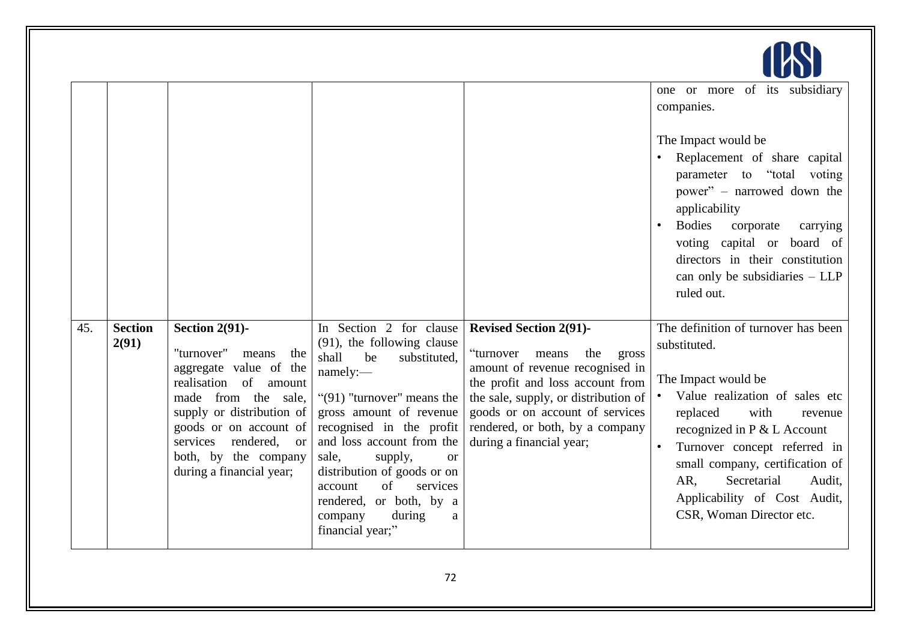|     |                         |                                                                                                                                                                                                                                                                  |                                                                                                                                                                                                                                                                                                                                                                                                        |                                                                                                                                                                                                                                                                                      | one or more of its subsidiary<br>companies.<br>The Impact would be<br>Replacement of share capital<br>parameter to "total voting<br>power" - narrowed down the<br>applicability<br><b>Bodies</b><br>corporate<br>carrying<br>voting capital or board of<br>directors in their constitution<br>can only be subsidiaries $-$ LLP<br>ruled out. |
|-----|-------------------------|------------------------------------------------------------------------------------------------------------------------------------------------------------------------------------------------------------------------------------------------------------------|--------------------------------------------------------------------------------------------------------------------------------------------------------------------------------------------------------------------------------------------------------------------------------------------------------------------------------------------------------------------------------------------------------|--------------------------------------------------------------------------------------------------------------------------------------------------------------------------------------------------------------------------------------------------------------------------------------|----------------------------------------------------------------------------------------------------------------------------------------------------------------------------------------------------------------------------------------------------------------------------------------------------------------------------------------------|
| 45. | <b>Section</b><br>2(91) | Section $2(91)$ -<br>"turnover"<br>the<br>means<br>aggregate value of the<br>realisation<br>of amount<br>made from the sale,<br>supply or distribution of<br>goods or on account of<br>services rendered, or<br>both, by the company<br>during a financial year; | In Section 2 for clause<br>(91), the following clause<br>shall<br>be<br>substituted,<br>namely:-<br>" $(91)$ "turnover" means the<br>gross amount of revenue<br>recognised in the profit<br>and loss account from the<br>sale,<br>supply,<br><sub>or</sub><br>distribution of goods or on<br>of<br>services<br>account<br>rendered, or both, by a<br>during<br>company<br>$\rm{a}$<br>financial year;" | <b>Revised Section 2(91)-</b><br>"turnover<br>means<br>the<br>gross<br>amount of revenue recognised in<br>the profit and loss account from<br>the sale, supply, or distribution of<br>goods or on account of services<br>rendered, or both, by a company<br>during a financial year; | The definition of turnover has been<br>substituted.<br>The Impact would be<br>Value realization of sales etc<br>replaced<br>with<br>revenue<br>recognized in P & L Account<br>Turnover concept referred in<br>small company, certification of<br>Secretarial<br>AR.<br>Audit.<br>Applicability of Cost Audit,<br>CSR, Woman Director etc.    |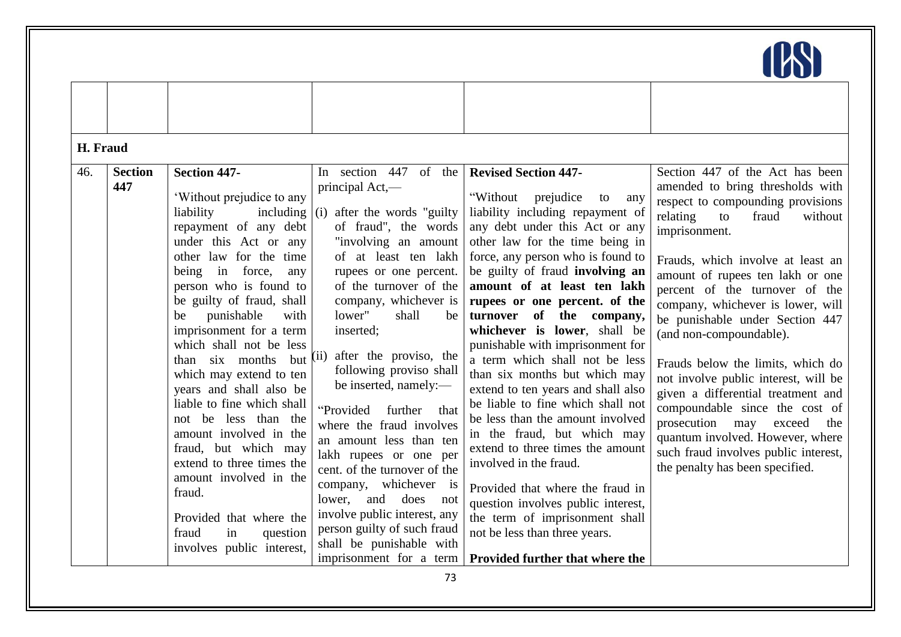

| H. Fraud |                       |                                                                                                                                                                                                                                                                                                                                                                                                                                                                                                                                                                                                                                                                       |                                                                                                                                                                                                                                                                                                                                                                                                                                                                                                                                                                                                                                                                                              |                                                                                                                                                                                                                                                                                                                                                                                                                                                                                                                                                                                                                                                                                                                                                                                                                                                                                   |                                                                                                                                                                                                                                                                                                                                                                                                                                                                                                                                                                                                                                                                                       |
|----------|-----------------------|-----------------------------------------------------------------------------------------------------------------------------------------------------------------------------------------------------------------------------------------------------------------------------------------------------------------------------------------------------------------------------------------------------------------------------------------------------------------------------------------------------------------------------------------------------------------------------------------------------------------------------------------------------------------------|----------------------------------------------------------------------------------------------------------------------------------------------------------------------------------------------------------------------------------------------------------------------------------------------------------------------------------------------------------------------------------------------------------------------------------------------------------------------------------------------------------------------------------------------------------------------------------------------------------------------------------------------------------------------------------------------|-----------------------------------------------------------------------------------------------------------------------------------------------------------------------------------------------------------------------------------------------------------------------------------------------------------------------------------------------------------------------------------------------------------------------------------------------------------------------------------------------------------------------------------------------------------------------------------------------------------------------------------------------------------------------------------------------------------------------------------------------------------------------------------------------------------------------------------------------------------------------------------|---------------------------------------------------------------------------------------------------------------------------------------------------------------------------------------------------------------------------------------------------------------------------------------------------------------------------------------------------------------------------------------------------------------------------------------------------------------------------------------------------------------------------------------------------------------------------------------------------------------------------------------------------------------------------------------|
| 46.      | <b>Section</b><br>447 | <b>Section 447-</b><br>'Without prejudice to any<br>including<br>liability<br>repayment of any debt<br>under this Act or any<br>other law for the time<br>being in force,<br>any<br>person who is found to<br>be guilty of fraud, shall<br>punishable<br>with<br>be<br>imprisonment for a term<br>which shall not be less<br>than six months<br>but<br>which may extend to ten<br>years and shall also be<br>liable to fine which shall<br>not be less than the<br>amount involved in the<br>fraud, but which may<br>extend to three times the<br>amount involved in the<br>fraud.<br>Provided that where the<br>fraud<br>question<br>in<br>involves public interest, | In section 447<br>of the<br>principal Act,-<br>(i)<br>after the words "guilty"<br>of fraud", the words<br>"involving an amount<br>of at least ten lakh<br>rupees or one percent.<br>of the turnover of the<br>company, whichever is<br>lower"<br>shall<br>be<br>inserted;<br>(ii)<br>after the proviso, the<br>following proviso shall<br>be inserted, namely:-<br>further<br>"Provided<br>that<br>where the fraud involves<br>an amount less than ten<br>lakh rupees or one per<br>cent. of the turnover of the<br>company, whichever is<br>and does<br>lower,<br>not<br>involve public interest, any<br>person guilty of such fraud<br>shall be punishable with<br>imprisonment for a term | <b>Revised Section 447-</b><br>"Without<br>prejudice<br>to<br>any<br>liability including repayment of<br>any debt under this Act or any<br>other law for the time being in<br>force, any person who is found to<br>be guilty of fraud involving an<br>amount of at least ten lakh<br>rupees or one percent. of the<br>turnover of the company,<br>whichever is lower, shall be<br>punishable with imprisonment for<br>a term which shall not be less<br>than six months but which may<br>extend to ten years and shall also<br>be liable to fine which shall not<br>be less than the amount involved<br>in the fraud, but which may<br>extend to three times the amount<br>involved in the fraud.<br>Provided that where the fraud in<br>question involves public interest,<br>the term of imprisonment shall<br>not be less than three years.<br>Provided further that where the | Section 447 of the Act has been<br>amended to bring thresholds with<br>respect to compounding provisions<br>relating<br>to<br>fraud<br>without<br>imprisonment.<br>Frauds, which involve at least an<br>amount of rupees ten lakh or one<br>percent of the turnover of the<br>company, whichever is lower, will<br>be punishable under Section 447<br>(and non-compoundable).<br>Frauds below the limits, which do<br>not involve public interest, will be<br>given a differential treatment and<br>compoundable since the cost of<br>prosecution may<br>exceed<br>the<br>quantum involved. However, where<br>such fraud involves public interest,<br>the penalty has been specified. |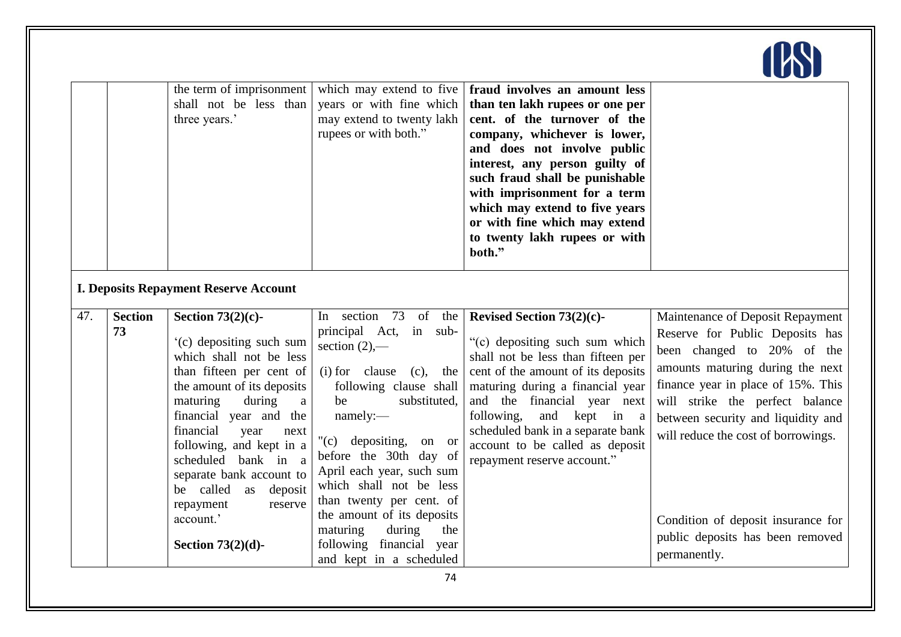|     |                                              | the term of imprisonment<br>shall not be less than<br>three years.'                                                                                                                                                                                                                                                                                                         | which may extend to five<br>years or with fine which<br>may extend to twenty lakh<br>rupees or with both."                                                                                                                                                                                                                                                               | fraud involves an amount less<br>than ten lakh rupees or one per<br>cent. of the turnover of the<br>company, whichever is lower,<br>and does not involve public<br>interest, any person guilty of<br>such fraud shall be punishable<br>with imprisonment for a term<br>which may extend to five years<br>or with fine which may extend<br>to twenty lakh rupees or with<br>both." |                                                                                                                                                                                                                                                                                                                                                                       |  |  |
|-----|----------------------------------------------|-----------------------------------------------------------------------------------------------------------------------------------------------------------------------------------------------------------------------------------------------------------------------------------------------------------------------------------------------------------------------------|--------------------------------------------------------------------------------------------------------------------------------------------------------------------------------------------------------------------------------------------------------------------------------------------------------------------------------------------------------------------------|-----------------------------------------------------------------------------------------------------------------------------------------------------------------------------------------------------------------------------------------------------------------------------------------------------------------------------------------------------------------------------------|-----------------------------------------------------------------------------------------------------------------------------------------------------------------------------------------------------------------------------------------------------------------------------------------------------------------------------------------------------------------------|--|--|
|     | <b>I. Deposits Repayment Reserve Account</b> |                                                                                                                                                                                                                                                                                                                                                                             |                                                                                                                                                                                                                                                                                                                                                                          |                                                                                                                                                                                                                                                                                                                                                                                   |                                                                                                                                                                                                                                                                                                                                                                       |  |  |
| 47. | <b>Section</b><br>73                         | Section $73(2)(c)$ -<br>(c) depositing such sum<br>which shall not be less<br>than fifteen per cent of<br>the amount of its deposits<br>maturing<br>during<br>a<br>financial year and the<br>financial<br>year<br>next<br>following, and kept in a<br>bank in a<br>scheduled<br>separate bank account to<br>be called<br>deposit<br>as<br>repayment<br>reserve<br>account.' | In section 73<br>of the<br>principal Act,<br>in sub-<br>section $(2)$ ,—<br>(i) for clause<br>$(c)$ , the<br>following clause shall<br>substituted,<br>be<br>namely:-<br>"(c) depositing, on or<br>before the 30th day of<br>April each year, such sum<br>which shall not be less<br>than twenty per cent. of<br>the amount of its deposits<br>maturing<br>during<br>the | Revised Section 73(2)(c)-<br>"(c) depositing such sum which<br>shall not be less than fifteen per<br>cent of the amount of its deposits<br>maturing during a financial year<br>and the financial year next<br>following,<br>and kept in a<br>scheduled bank in a separate bank<br>account to be called as deposit<br>repayment reserve account."                                  | Maintenance of Deposit Repayment<br>Reserve for Public Deposits has<br>been changed to 20% of the<br>amounts maturing during the next<br>finance year in place of 15%. This<br>will strike the perfect balance<br>between security and liquidity and<br>will reduce the cost of borrowings.<br>Condition of deposit insurance for<br>public deposits has been removed |  |  |
|     |                                              | Section $73(2)(d)$ -                                                                                                                                                                                                                                                                                                                                                        | following financial year<br>and kept in a scheduled                                                                                                                                                                                                                                                                                                                      |                                                                                                                                                                                                                                                                                                                                                                                   | permanently.                                                                                                                                                                                                                                                                                                                                                          |  |  |